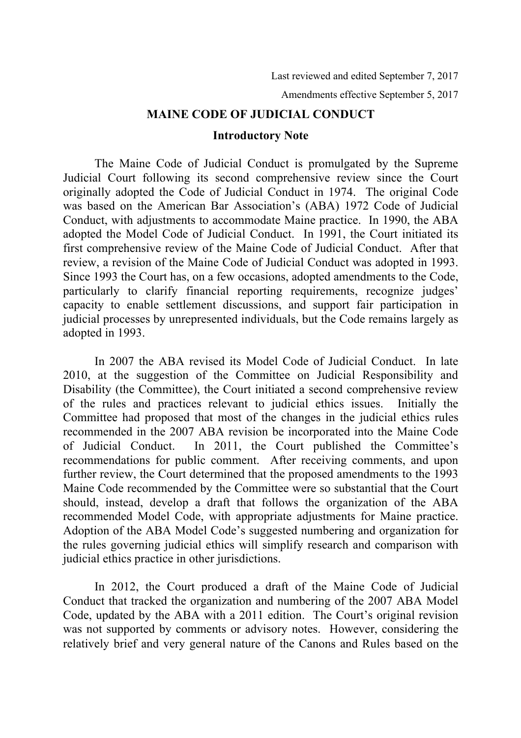Amendments effective September 5, 2017

### **MAINE CODE OF JUDICIAL CONDUCT**

#### **Introductory Note**

The Maine Code of Judicial Conduct is promulgated by the Supreme Judicial Court following its second comprehensive review since the Court originally adopted the Code of Judicial Conduct in 1974. The original Code was based on the American Bar Association's (ABA) 1972 Code of Judicial Conduct, with adjustments to accommodate Maine practice. In 1990, the ABA adopted the Model Code of Judicial Conduct. In 1991, the Court initiated its first comprehensive review of the Maine Code of Judicial Conduct. After that review, a revision of the Maine Code of Judicial Conduct was adopted in 1993. Since 1993 the Court has, on a few occasions, adopted amendments to the Code, particularly to clarify financial reporting requirements, recognize judges' capacity to enable settlement discussions, and support fair participation in judicial processes by unrepresented individuals, but the Code remains largely as adopted in 1993.

In 2007 the ABA revised its Model Code of Judicial Conduct. In late 2010, at the suggestion of the Committee on Judicial Responsibility and Disability (the Committee), the Court initiated a second comprehensive review of the rules and practices relevant to judicial ethics issues. Initially the Committee had proposed that most of the changes in the judicial ethics rules recommended in the 2007 ABA revision be incorporated into the Maine Code of Judicial Conduct. In 2011, the Court published the Committee's recommendations for public comment. After receiving comments, and upon further review, the Court determined that the proposed amendments to the 1993 Maine Code recommended by the Committee were so substantial that the Court should, instead, develop a draft that follows the organization of the ABA recommended Model Code, with appropriate adjustments for Maine practice. Adoption of the ABA Model Code's suggested numbering and organization for the rules governing judicial ethics will simplify research and comparison with judicial ethics practice in other jurisdictions.

In 2012, the Court produced a draft of the Maine Code of Judicial Conduct that tracked the organization and numbering of the 2007 ABA Model Code, updated by the ABA with a 2011 edition. The Court's original revision was not supported by comments or advisory notes. However, considering the relatively brief and very general nature of the Canons and Rules based on the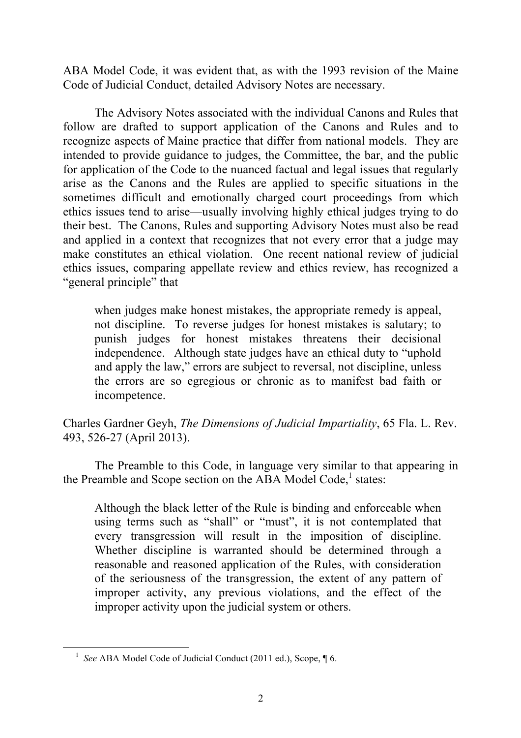ABA Model Code, it was evident that, as with the 1993 revision of the Maine Code of Judicial Conduct, detailed Advisory Notes are necessary.

The Advisory Notes associated with the individual Canons and Rules that follow are drafted to support application of the Canons and Rules and to recognize aspects of Maine practice that differ from national models. They are intended to provide guidance to judges, the Committee, the bar, and the public for application of the Code to the nuanced factual and legal issues that regularly arise as the Canons and the Rules are applied to specific situations in the sometimes difficult and emotionally charged court proceedings from which ethics issues tend to arise—usually involving highly ethical judges trying to do their best. The Canons, Rules and supporting Advisory Notes must also be read and applied in a context that recognizes that not every error that a judge may make constitutes an ethical violation. One recent national review of judicial ethics issues, comparing appellate review and ethics review, has recognized a "general principle" that

when judges make honest mistakes, the appropriate remedy is appeal, not discipline. To reverse judges for honest mistakes is salutary; to punish judges for honest mistakes threatens their decisional independence. Although state judges have an ethical duty to "uphold and apply the law," errors are subject to reversal, not discipline, unless the errors are so egregious or chronic as to manifest bad faith or incompetence.

Charles Gardner Geyh, *The Dimensions of Judicial Impartiality*, 65 Fla. L. Rev. 493, 526-27 (April 2013).

The Preamble to this Code, in language very similar to that appearing in the Preamble and Scope section on the ABA Model Code,<sup>1</sup> states:

Although the black letter of the Rule is binding and enforceable when using terms such as "shall" or "must", it is not contemplated that every transgression will result in the imposition of discipline. Whether discipline is warranted should be determined through a reasonable and reasoned application of the Rules, with consideration of the seriousness of the transgression, the extent of any pattern of improper activity, any previous violations, and the effect of the improper activity upon the judicial system or others.

<sup>&</sup>lt;sup>1</sup> See ABA Model Code of Judicial Conduct (2011 ed.), Scope, 16.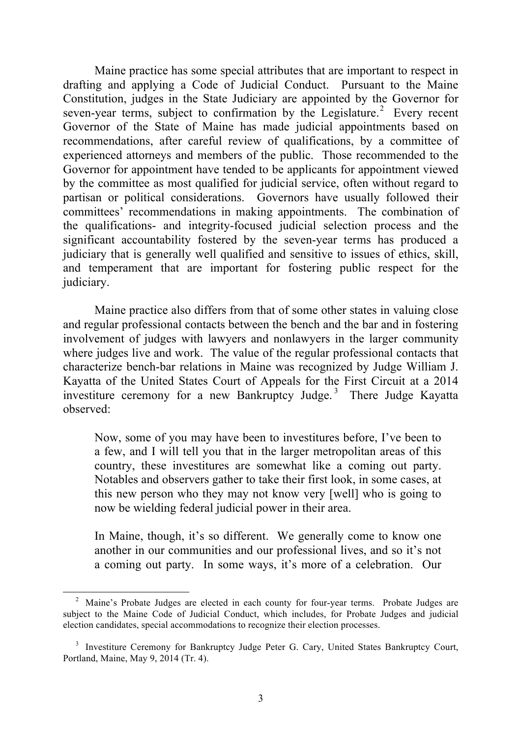Maine practice has some special attributes that are important to respect in drafting and applying a Code of Judicial Conduct. Pursuant to the Maine Constitution, judges in the State Judiciary are appointed by the Governor for seven-year terms, subject to confirmation by the Legislature.<sup>2</sup> Every recent Governor of the State of Maine has made judicial appointments based on recommendations, after careful review of qualifications, by a committee of experienced attorneys and members of the public. Those recommended to the Governor for appointment have tended to be applicants for appointment viewed by the committee as most qualified for judicial service, often without regard to partisan or political considerations. Governors have usually followed their committees' recommendations in making appointments. The combination of the qualifications- and integrity-focused judicial selection process and the significant accountability fostered by the seven-year terms has produced a judiciary that is generally well qualified and sensitive to issues of ethics, skill, and temperament that are important for fostering public respect for the judiciary.

Maine practice also differs from that of some other states in valuing close and regular professional contacts between the bench and the bar and in fostering involvement of judges with lawyers and nonlawyers in the larger community where judges live and work. The value of the regular professional contacts that characterize bench-bar relations in Maine was recognized by Judge William J. Kayatta of the United States Court of Appeals for the First Circuit at a 2014 investiture ceremony for a new Bankruptcy Judge.<sup>3</sup> There Judge Kayatta observed:

Now, some of you may have been to investitures before, I've been to a few, and I will tell you that in the larger metropolitan areas of this country, these investitures are somewhat like a coming out party. Notables and observers gather to take their first look, in some cases, at this new person who they may not know very [well] who is going to now be wielding federal judicial power in their area.

In Maine, though, it's so different. We generally come to know one another in our communities and our professional lives, and so it's not a coming out party. In some ways, it's more of a celebration. Our

 <sup>2</sup> Maine's Probate Judges are elected in each county for four-year terms. Probate Judges are subject to the Maine Code of Judicial Conduct, which includes, for Probate Judges and judicial election candidates, special accommodations to recognize their election processes.

<sup>&</sup>lt;sup>3</sup> Investiture Ceremony for Bankruptcy Judge Peter G. Cary, United States Bankruptcy Court, Portland, Maine, May 9, 2014 (Tr. 4).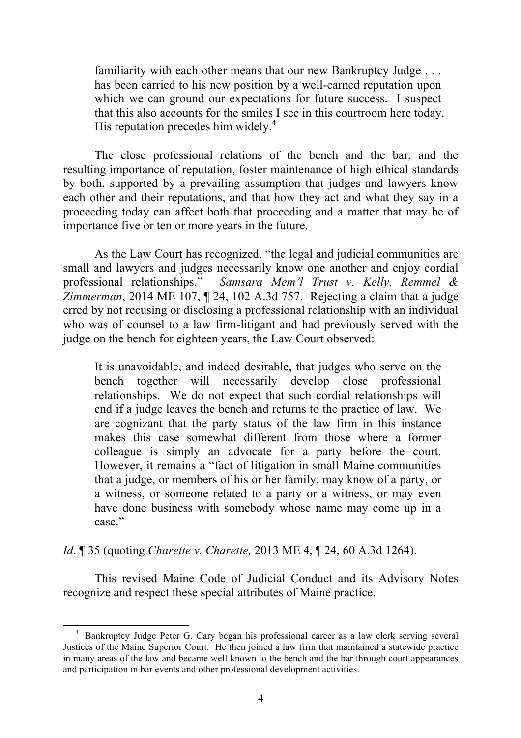familiarity with each other means that our new Bankruptcy Judge . . . has been carried to his new position by a well-earned reputation upon which we can ground our expectations for future success. I suspect that this also accounts for the smiles I see in this courtroom here today. His reputation precedes him widely.<sup>4</sup>

The close professional relations of the bench and the bar, and the resulting importance of reputation, foster maintenance of high ethical standards by both, supported by a prevailing assumption that judges and lawyers know each other and their reputations, and that how they act and what they say in a proceeding today can affect both that proceeding and a matter that may be of importance five or ten or more years in the future.

As the Law Court has recognized, "the legal and judicial communities are small and lawyers and judges necessarily know one another and enjoy cordial professional relationships." *Samsara Mem'l Trust v. Kelly, Remmel & Zimmerman*, 2014 ME 107, ¶ 24, 102 A.3d 757. Rejecting a claim that a judge erred by not recusing or disclosing a professional relationship with an individual who was of counsel to a law firm-litigant and had previously served with the judge on the bench for eighteen years, the Law Court observed:

It is unavoidable, and indeed desirable, that judges who serve on the bench together will necessarily develop close professional relationships. We do not expect that such cordial relationships will end if a judge leaves the bench and returns to the practice of law. We are cognizant that the party status of the law firm in this instance makes this case somewhat different from those where a former colleague is simply an advocate for a party before the court. However, it remains a "fact of litigation in small Maine communities that a judge, or members of his or her family, may know of a party, or a witness, or someone related to a party or a witness, or may even have done business with somebody whose name may come up in a case."

*Id*. ¶ 35 (quoting *Charette v. Charette,* 2013 ME 4, ¶ 24, 60 A.3d 1264).

This revised Maine Code of Judicial Conduct and its Advisory Notes recognize and respect these special attributes of Maine practice.

 <sup>4</sup> Bankruptcy Judge Peter G. Cary began his professional career as a law clerk serving several Justices of the Maine Superior Court. He then joined a law firm that maintained a statewide practice in many areas of the law and became well known to the bench and the bar through court appearances and participation in bar events and other professional development activities.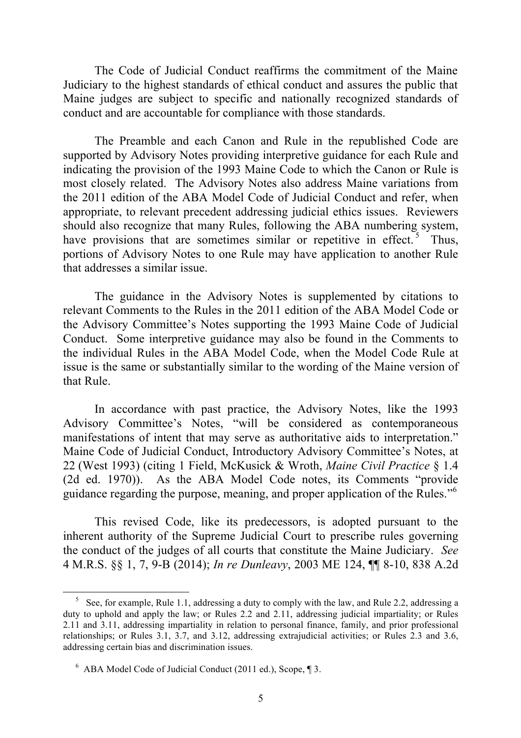The Code of Judicial Conduct reaffirms the commitment of the Maine Judiciary to the highest standards of ethical conduct and assures the public that Maine judges are subject to specific and nationally recognized standards of conduct and are accountable for compliance with those standards.

The Preamble and each Canon and Rule in the republished Code are supported by Advisory Notes providing interpretive guidance for each Rule and indicating the provision of the 1993 Maine Code to which the Canon or Rule is most closely related. The Advisory Notes also address Maine variations from the 2011 edition of the ABA Model Code of Judicial Conduct and refer, when appropriate, to relevant precedent addressing judicial ethics issues. Reviewers should also recognize that many Rules, following the ABA numbering system, have provisions that are sometimes similar or repetitive in effect.<sup>5</sup> Thus, portions of Advisory Notes to one Rule may have application to another Rule that addresses a similar issue.

The guidance in the Advisory Notes is supplemented by citations to relevant Comments to the Rules in the 2011 edition of the ABA Model Code or the Advisory Committee's Notes supporting the 1993 Maine Code of Judicial Conduct. Some interpretive guidance may also be found in the Comments to the individual Rules in the ABA Model Code, when the Model Code Rule at issue is the same or substantially similar to the wording of the Maine version of that Rule.

In accordance with past practice, the Advisory Notes, like the 1993 Advisory Committee's Notes, "will be considered as contemporaneous manifestations of intent that may serve as authoritative aids to interpretation." Maine Code of Judicial Conduct, Introductory Advisory Committee's Notes, at 22 (West 1993) (citing 1 Field, McKusick & Wroth, *Maine Civil Practice* § 1.4 (2d ed. 1970)). As the ABA Model Code notes, its Comments "provide guidance regarding the purpose, meaning, and proper application of the Rules."<sup>6</sup>

This revised Code, like its predecessors, is adopted pursuant to the inherent authority of the Supreme Judicial Court to prescribe rules governing the conduct of the judges of all courts that constitute the Maine Judiciary. *See*  4 M.R.S. §§ 1, 7, 9-B (2014); *In re Dunleavy*, 2003 ME 124, ¶¶ 8-10, 838 A.2d

 $rac{1}{5}$  See, for example, Rule 1.1, addressing a duty to comply with the law, and Rule 2.2, addressing a duty to uphold and apply the law; or Rules 2.2 and 2.11, addressing judicial impartiality; or Rules 2.11 and 3.11, addressing impartiality in relation to personal finance, family, and prior professional relationships; or Rules 3.1, 3.7, and 3.12, addressing extrajudicial activities; or Rules 2.3 and 3.6, addressing certain bias and discrimination issues.

<sup>6</sup> ABA Model Code of Judicial Conduct (2011 ed.), Scope, ¶ 3.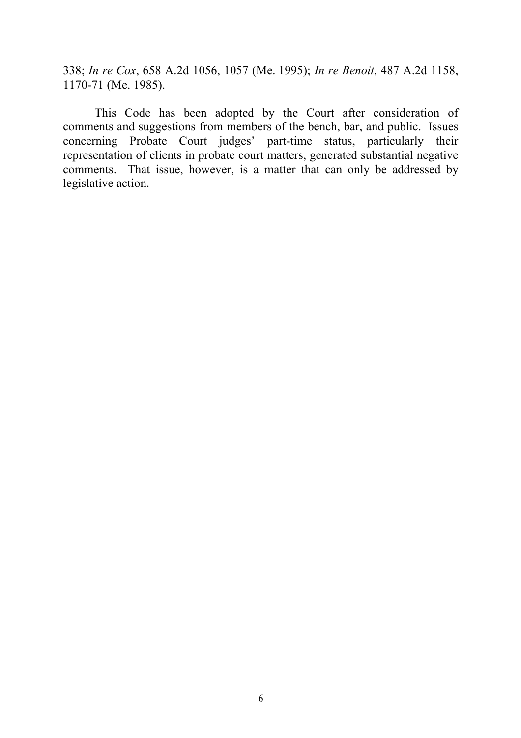338; *In re Cox*, 658 A.2d 1056, 1057 (Me. 1995); *In re Benoit*, 487 A.2d 1158, 1170-71 (Me. 1985).

This Code has been adopted by the Court after consideration of comments and suggestions from members of the bench, bar, and public. Issues concerning Probate Court judges' part-time status, particularly their representation of clients in probate court matters, generated substantial negative comments. That issue, however, is a matter that can only be addressed by legislative action.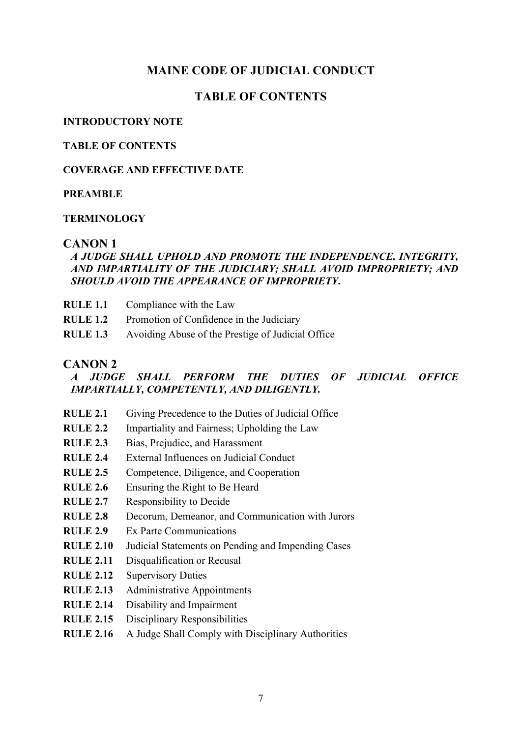## **MAINE CODE OF JUDICIAL CONDUCT**

### **TABLE OF CONTENTS**

#### **INTRODUCTORY NOTE**

#### **TABLE OF CONTENTS**

#### **COVERAGE AND EFFECTIVE DATE**

#### **PREAMBLE**

#### **TERMINOLOGY**

#### **CANON 1**

### *A JUDGE SHALL UPHOLD AND PROMOTE THE INDEPENDENCE, INTEGRITY, AND IMPARTIALITY OF THE JUDICIARY; SHALL AVOID IMPROPRIETY; AND SHOULD AVOID THE APPEARANCE OF IMPROPRIETY***.**

- **RULE 1.1** Compliance with the Law
- **RULE 1.2** Promotion of Confidence in the Judiciary
- **RULE 1.3** Avoiding Abuse of the Prestige of Judicial Office

### **CANON 2**

#### *A JUDGE SHALL PERFORM THE DUTIES OF JUDICIAL OFFICE IMPARTIALLY, COMPETENTLY, AND DILIGENTLY.*

- **RULE 2.1** Giving Precedence to the Duties of Judicial Office
- **RULE 2.2** Impartiality and Fairness; Upholding the Law
- **RULE 2.3** Bias, Prejudice, and Harassment
- **RULE 2.4** External Influences on Judicial Conduct
- **RULE 2.5** Competence, Diligence, and Cooperation
- **RULE 2.6** Ensuring the Right to Be Heard
- **RULE 2.7** Responsibility to Decide
- **RULE 2.8** Decorum, Demeanor, and Communication with Jurors
- **RULE 2.9** Ex Parte Communications
- **RULE 2.10** Judicial Statements on Pending and Impending Cases
- **RULE 2.11** Disqualification or Recusal
- **RULE 2.12** Supervisory Duties
- **RULE 2.13** Administrative Appointments
- **RULE 2.14** Disability and Impairment
- **RULE 2.15** Disciplinary Responsibilities

#### **RULE 2.16** A Judge Shall Comply with Disciplinary Authorities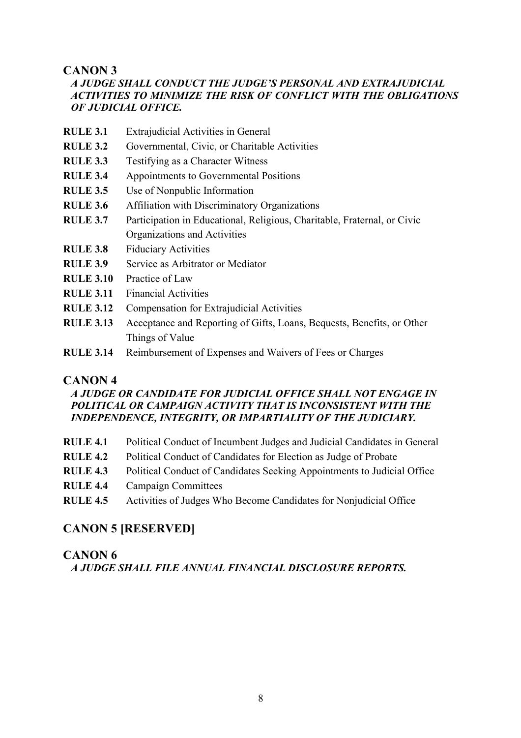# **CANON 3**

## *A JUDGE SHALL CONDUCT THE JUDGE'S PERSONAL AND EXTRAJUDICIAL ACTIVITIES TO MINIMIZE THE RISK OF CONFLICT WITH THE OBLIGATIONS OF JUDICIAL OFFICE.*

- **RULE 3.1** Extrajudicial Activities in General
- **RULE 3.2** Governmental, Civic, or Charitable Activities
- **RULE 3.3** Testifying as a Character Witness
- **RULE 3.4** Appointments to Governmental Positions
- **RULE 3.5** Use of Nonpublic Information
- **RULE 3.6** Affiliation with Discriminatory Organizations
- **RULE 3.7** Participation in Educational, Religious, Charitable, Fraternal, or Civic Organizations and Activities
- **RULE 3.8** Fiduciary Activities
- **RULE 3.9** Service as Arbitrator or Mediator
- **RULE 3.10** Practice of Law
- **RULE 3.11** Financial Activities
- **RULE 3.12** Compensation for Extrajudicial Activities
- **RULE 3.13** Acceptance and Reporting of Gifts, Loans, Bequests, Benefits, or Other Things of Value
- **RULE 3.14** Reimbursement of Expenses and Waivers of Fees or Charges

## **CANON 4**

### *A JUDGE OR CANDIDATE FOR JUDICIAL OFFICE SHALL NOT ENGAGE IN POLITICAL OR CAMPAIGN ACTIVITY THAT IS INCONSISTENT WITH THE INDEPENDENCE, INTEGRITY, OR IMPARTIALITY OF THE JUDICIARY.*

- **RULE 4.1** Political Conduct of Incumbent Judges and Judicial Candidates in General **RULE 4.2** Political Conduct of Candidates for Election as Judge of Probate **RULE 4.3** Political Conduct of Candidates Seeking Appointments to Judicial Office
- **RULE 4.4** Campaign Committees
- **RULE 4.5** Activities of Judges Who Become Candidates for Nonjudicial Office

# **CANON 5 [RESERVED]**

### **CANON 6** *A JUDGE SHALL FILE ANNUAL FINANCIAL DISCLOSURE REPORTS.*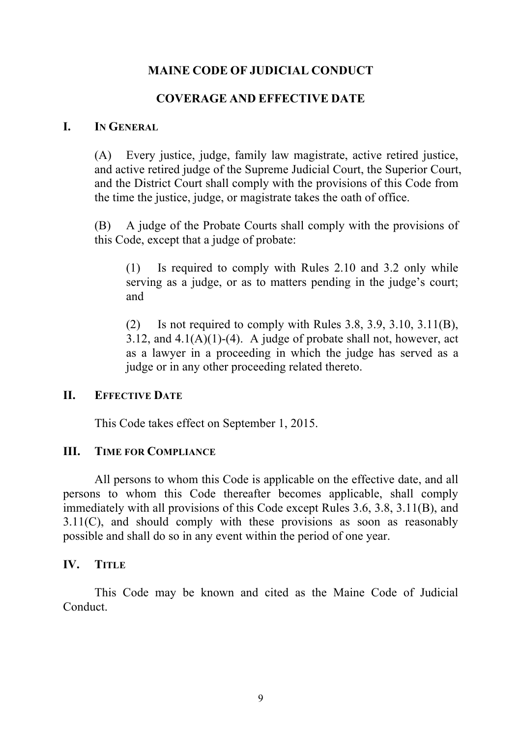# **MAINE CODE OF JUDICIAL CONDUCT**

# **COVERAGE AND EFFECTIVE DATE**

# **I. IN GENERAL**

(A) Every justice, judge, family law magistrate, active retired justice, and active retired judge of the Supreme Judicial Court, the Superior Court, and the District Court shall comply with the provisions of this Code from the time the justice, judge, or magistrate takes the oath of office.

(B) A judge of the Probate Courts shall comply with the provisions of this Code, except that a judge of probate:

(1) Is required to comply with Rules 2.10 and 3.2 only while serving as a judge, or as to matters pending in the judge's court; and

(2) Is not required to comply with Rules 3.8, 3.9, 3.10, 3.11(B), 3.12, and  $4.1(A)(1)-(4)$ . A judge of probate shall not, however, act as a lawyer in a proceeding in which the judge has served as a judge or in any other proceeding related thereto.

# **II. EFFECTIVE DATE**

This Code takes effect on September 1, 2015.

## **III. TIME FOR COMPLIANCE**

All persons to whom this Code is applicable on the effective date, and all persons to whom this Code thereafter becomes applicable, shall comply immediately with all provisions of this Code except Rules 3.6, 3.8, 3.11(B), and 3.11(C), and should comply with these provisions as soon as reasonably possible and shall do so in any event within the period of one year.

## **IV. TITLE**

This Code may be known and cited as the Maine Code of Judicial Conduct.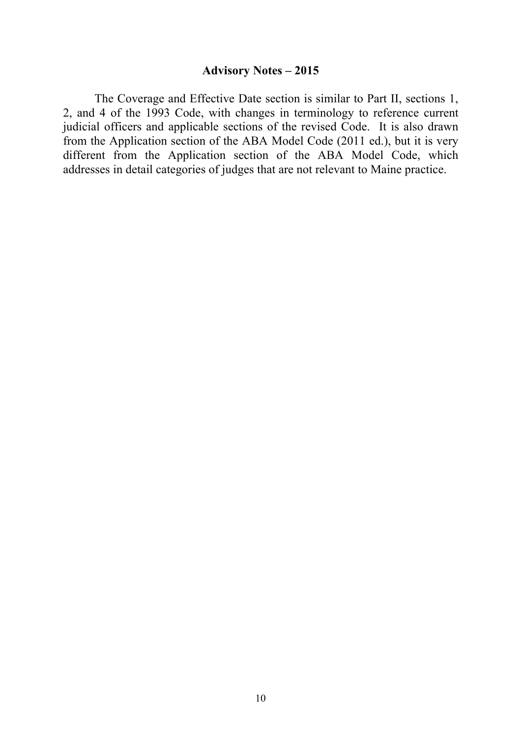### **Advisory Notes – 2015**

The Coverage and Effective Date section is similar to Part II, sections 1, 2, and 4 of the 1993 Code, with changes in terminology to reference current judicial officers and applicable sections of the revised Code. It is also drawn from the Application section of the ABA Model Code (2011 ed.), but it is very different from the Application section of the ABA Model Code, which addresses in detail categories of judges that are not relevant to Maine practice.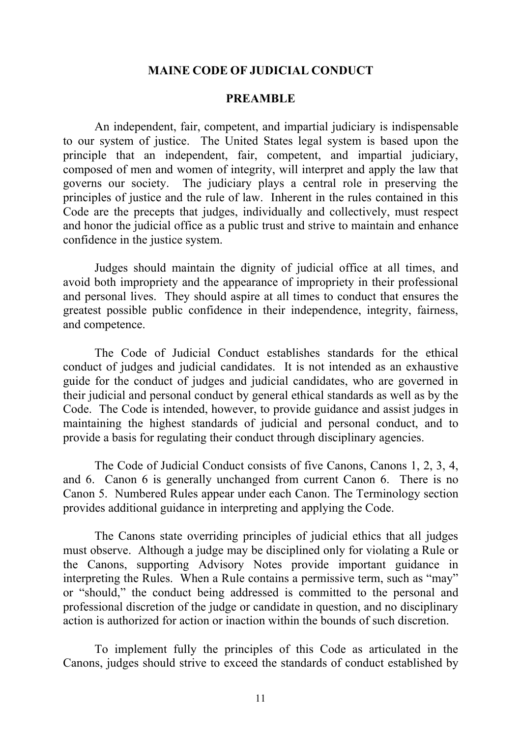### **MAINE CODE OF JUDICIAL CONDUCT**

### **PREAMBLE**

An independent, fair, competent, and impartial judiciary is indispensable to our system of justice. The United States legal system is based upon the principle that an independent, fair, competent, and impartial judiciary, composed of men and women of integrity, will interpret and apply the law that governs our society. The judiciary plays a central role in preserving the principles of justice and the rule of law. Inherent in the rules contained in this Code are the precepts that judges, individually and collectively, must respect and honor the judicial office as a public trust and strive to maintain and enhance confidence in the justice system.

Judges should maintain the dignity of judicial office at all times, and avoid both impropriety and the appearance of impropriety in their professional and personal lives. They should aspire at all times to conduct that ensures the greatest possible public confidence in their independence, integrity, fairness, and competence.

The Code of Judicial Conduct establishes standards for the ethical conduct of judges and judicial candidates. It is not intended as an exhaustive guide for the conduct of judges and judicial candidates, who are governed in their judicial and personal conduct by general ethical standards as well as by the Code. The Code is intended, however, to provide guidance and assist judges in maintaining the highest standards of judicial and personal conduct, and to provide a basis for regulating their conduct through disciplinary agencies.

The Code of Judicial Conduct consists of five Canons, Canons 1, 2, 3, 4, and 6. Canon 6 is generally unchanged from current Canon 6. There is no Canon 5. Numbered Rules appear under each Canon. The Terminology section provides additional guidance in interpreting and applying the Code.

The Canons state overriding principles of judicial ethics that all judges must observe. Although a judge may be disciplined only for violating a Rule or the Canons, supporting Advisory Notes provide important guidance in interpreting the Rules. When a Rule contains a permissive term, such as "may" or "should," the conduct being addressed is committed to the personal and professional discretion of the judge or candidate in question, and no disciplinary action is authorized for action or inaction within the bounds of such discretion.

To implement fully the principles of this Code as articulated in the Canons, judges should strive to exceed the standards of conduct established by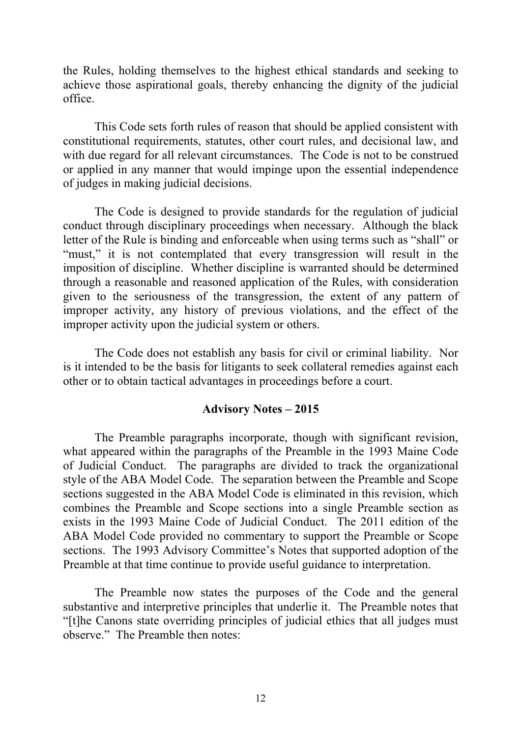the Rules, holding themselves to the highest ethical standards and seeking to achieve those aspirational goals, thereby enhancing the dignity of the judicial office.

This Code sets forth rules of reason that should be applied consistent with constitutional requirements, statutes, other court rules, and decisional law, and with due regard for all relevant circumstances. The Code is not to be construed or applied in any manner that would impinge upon the essential independence of judges in making judicial decisions.

The Code is designed to provide standards for the regulation of judicial conduct through disciplinary proceedings when necessary. Although the black letter of the Rule is binding and enforceable when using terms such as "shall" or "must," it is not contemplated that every transgression will result in the imposition of discipline. Whether discipline is warranted should be determined through a reasonable and reasoned application of the Rules, with consideration given to the seriousness of the transgression, the extent of any pattern of improper activity, any history of previous violations, and the effect of the improper activity upon the judicial system or others.

The Code does not establish any basis for civil or criminal liability. Nor is it intended to be the basis for litigants to seek collateral remedies against each other or to obtain tactical advantages in proceedings before a court.

## **Advisory Notes – 2015**

The Preamble paragraphs incorporate, though with significant revision, what appeared within the paragraphs of the Preamble in the 1993 Maine Code of Judicial Conduct. The paragraphs are divided to track the organizational style of the ABA Model Code. The separation between the Preamble and Scope sections suggested in the ABA Model Code is eliminated in this revision, which combines the Preamble and Scope sections into a single Preamble section as exists in the 1993 Maine Code of Judicial Conduct. The 2011 edition of the ABA Model Code provided no commentary to support the Preamble or Scope sections. The 1993 Advisory Committee's Notes that supported adoption of the Preamble at that time continue to provide useful guidance to interpretation.

The Preamble now states the purposes of the Code and the general substantive and interpretive principles that underlie it. The Preamble notes that "[t]he Canons state overriding principles of judicial ethics that all judges must observe." The Preamble then notes: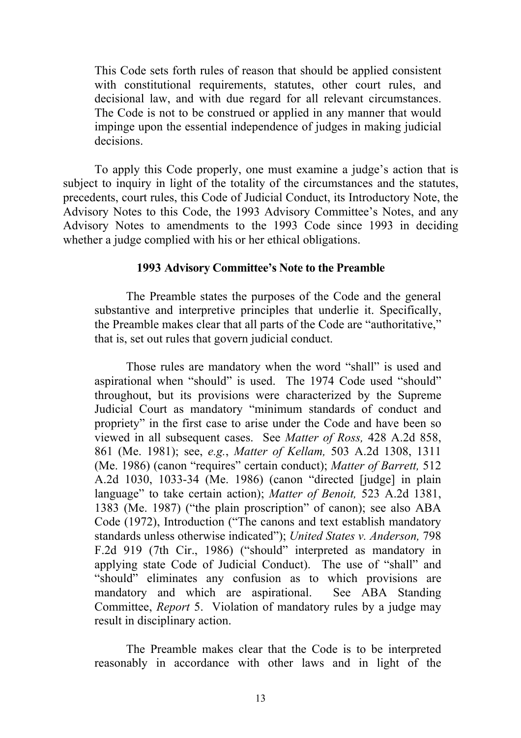This Code sets forth rules of reason that should be applied consistent with constitutional requirements, statutes, other court rules, and decisional law, and with due regard for all relevant circumstances. The Code is not to be construed or applied in any manner that would impinge upon the essential independence of judges in making judicial decisions.

To apply this Code properly, one must examine a judge's action that is subject to inquiry in light of the totality of the circumstances and the statutes, precedents, court rules, this Code of Judicial Conduct, its Introductory Note, the Advisory Notes to this Code, the 1993 Advisory Committee's Notes, and any Advisory Notes to amendments to the 1993 Code since 1993 in deciding whether a judge complied with his or her ethical obligations.

### **1993 Advisory Committee's Note to the Preamble**

The Preamble states the purposes of the Code and the general substantive and interpretive principles that underlie it. Specifically, the Preamble makes clear that all parts of the Code are "authoritative," that is, set out rules that govern judicial conduct.

Those rules are mandatory when the word "shall" is used and aspirational when "should" is used. The 1974 Code used "should" throughout, but its provisions were characterized by the Supreme Judicial Court as mandatory "minimum standards of conduct and propriety" in the first case to arise under the Code and have been so viewed in all subsequent cases. See *Matter of Ross,* 428 A.2d 858, 861 (Me. 1981); see, *e.g.*, *Matter of Kellam,* 503 A.2d 1308, 1311 (Me. 1986) (canon "requires" certain conduct); *Matter of Barrett,* 512 A.2d 1030, 1033-34 (Me. 1986) (canon "directed [judge] in plain language" to take certain action); *Matter of Benoit,* 523 A.2d 1381, 1383 (Me. 1987) ("the plain proscription" of canon); see also ABA Code (1972), Introduction ("The canons and text establish mandatory standards unless otherwise indicated"); *United States v. Anderson,* 798 F.2d 919 (7th Cir., 1986) ("should" interpreted as mandatory in applying state Code of Judicial Conduct). The use of "shall" and "should" eliminates any confusion as to which provisions are mandatory and which are aspirational. See ABA Standing Committee, *Report* 5. Violation of mandatory rules by a judge may result in disciplinary action.

The Preamble makes clear that the Code is to be interpreted reasonably in accordance with other laws and in light of the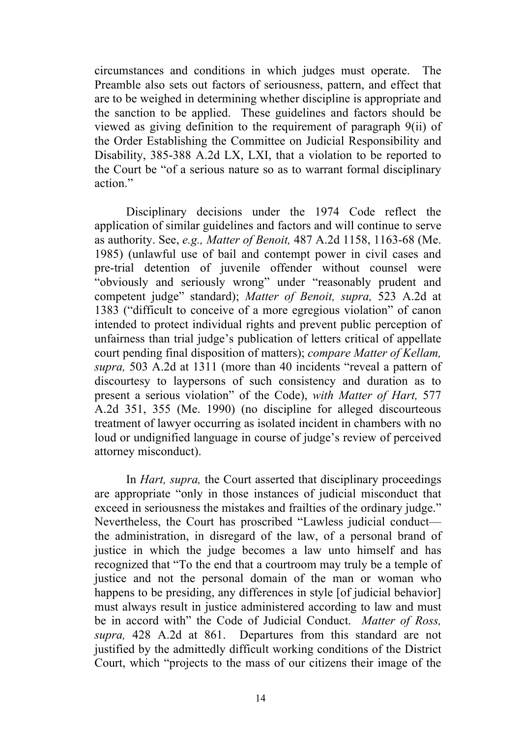circumstances and conditions in which judges must operate. The Preamble also sets out factors of seriousness, pattern, and effect that are to be weighed in determining whether discipline is appropriate and the sanction to be applied. These guidelines and factors should be viewed as giving definition to the requirement of paragraph 9(ii) of the Order Establishing the Committee on Judicial Responsibility and Disability, 385-388 A.2d LX, LXI, that a violation to be reported to the Court be "of a serious nature so as to warrant formal disciplinary action."

Disciplinary decisions under the 1974 Code reflect the application of similar guidelines and factors and will continue to serve as authority. See, *e.g., Matter of Benoit,* 487 A.2d 1158, 1163-68 (Me. 1985) (unlawful use of bail and contempt power in civil cases and pre-trial detention of juvenile offender without counsel were "obviously and seriously wrong" under "reasonably prudent and competent judge" standard); *Matter of Benoit, supra,* 523 A.2d at 1383 ("difficult to conceive of a more egregious violation" of canon intended to protect individual rights and prevent public perception of unfairness than trial judge's publication of letters critical of appellate court pending final disposition of matters); *compare Matter of Kellam, supra,* 503 A.2d at 1311 (more than 40 incidents "reveal a pattern of discourtesy to laypersons of such consistency and duration as to present a serious violation" of the Code), *with Matter of Hart,* 577 A.2d 351, 355 (Me. 1990) (no discipline for alleged discourteous treatment of lawyer occurring as isolated incident in chambers with no loud or undignified language in course of judge's review of perceived attorney misconduct).

In *Hart, supra,* the Court asserted that disciplinary proceedings are appropriate "only in those instances of judicial misconduct that exceed in seriousness the mistakes and frailties of the ordinary judge." Nevertheless, the Court has proscribed "Lawless judicial conduct the administration, in disregard of the law, of a personal brand of justice in which the judge becomes a law unto himself and has recognized that "To the end that a courtroom may truly be a temple of justice and not the personal domain of the man or woman who happens to be presiding, any differences in style [of judicial behavior] must always result in justice administered according to law and must be in accord with" the Code of Judicial Conduct. *Matter of Ross, supra,* 428 A.2d at 861. Departures from this standard are not justified by the admittedly difficult working conditions of the District Court, which "projects to the mass of our citizens their image of the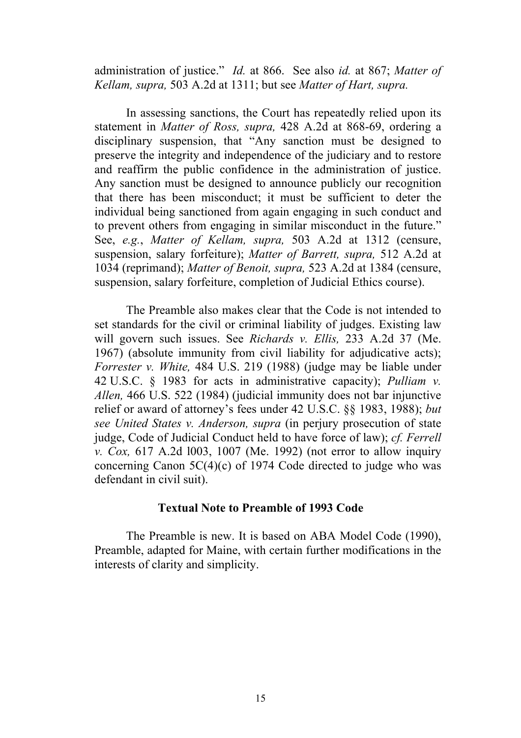administration of justice." *Id.* at 866. See also *id.* at 867; *Matter of Kellam, supra,* 503 A.2d at 1311; but see *Matter of Hart, supra.*

In assessing sanctions, the Court has repeatedly relied upon its statement in *Matter of Ross, supra,* 428 A.2d at 868-69, ordering a disciplinary suspension, that "Any sanction must be designed to preserve the integrity and independence of the judiciary and to restore and reaffirm the public confidence in the administration of justice. Any sanction must be designed to announce publicly our recognition that there has been misconduct; it must be sufficient to deter the individual being sanctioned from again engaging in such conduct and to prevent others from engaging in similar misconduct in the future." See, *e.g.*, *Matter of Kellam, supra,* 503 A.2d at 1312 (censure, suspension, salary forfeiture); *Matter of Barrett, supra,* 512 A.2d at 1034 (reprimand); *Matter of Benoit, supra,* 523 A.2d at 1384 (censure, suspension, salary forfeiture, completion of Judicial Ethics course).

The Preamble also makes clear that the Code is not intended to set standards for the civil or criminal liability of judges. Existing law will govern such issues. See *Richards v. Ellis,* 233 A.2d 37 (Me. 1967) (absolute immunity from civil liability for adjudicative acts); *Forrester v. White,* 484 U.S. 219 (1988) (judge may be liable under 42 U.S.C. § 1983 for acts in administrative capacity); *Pulliam v. Allen,* 466 U.S. 522 (1984) (judicial immunity does not bar injunctive relief or award of attorney's fees under 42 U.S.C. §§ 1983, 1988); *but see United States v. Anderson, supra* (in perjury prosecution of state judge, Code of Judicial Conduct held to have force of law); *cf. Ferrell v. Cox,* 617 A.2d l003, 1007 (Me. 1992) (not error to allow inquiry concerning Canon 5C(4)(c) of 1974 Code directed to judge who was defendant in civil suit).

### **Textual Note to Preamble of 1993 Code**

The Preamble is new. It is based on ABA Model Code (1990), Preamble, adapted for Maine, with certain further modifications in the interests of clarity and simplicity.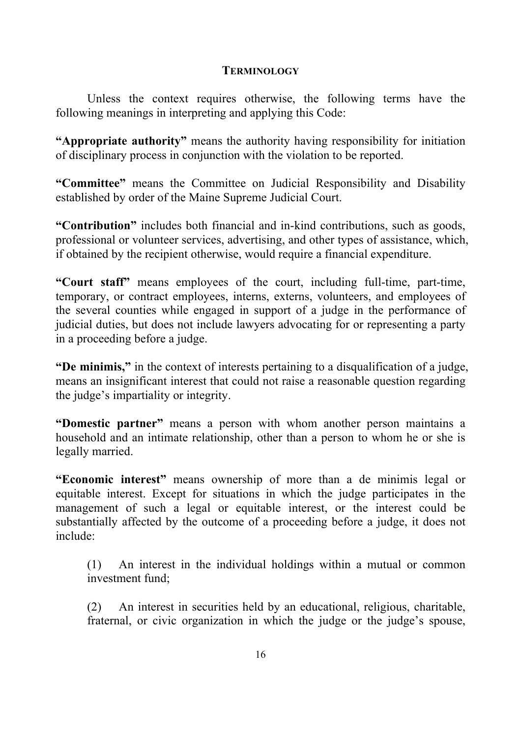### **TERMINOLOGY**

Unless the context requires otherwise, the following terms have the following meanings in interpreting and applying this Code:

**"Appropriate authority"** means the authority having responsibility for initiation of disciplinary process in conjunction with the violation to be reported.

**"Committee"** means the Committee on Judicial Responsibility and Disability established by order of the Maine Supreme Judicial Court.

**"Contribution"** includes both financial and in-kind contributions, such as goods, professional or volunteer services, advertising, and other types of assistance, which, if obtained by the recipient otherwise, would require a financial expenditure.

**"Court staff"** means employees of the court, including full-time, part-time, temporary, or contract employees, interns, externs, volunteers, and employees of the several counties while engaged in support of a judge in the performance of judicial duties, but does not include lawyers advocating for or representing a party in a proceeding before a judge.

"De minimis," in the context of interests pertaining to a disqualification of a judge, means an insignificant interest that could not raise a reasonable question regarding the judge's impartiality or integrity.

**"Domestic partner"** means a person with whom another person maintains a household and an intimate relationship, other than a person to whom he or she is legally married.

**"Economic interest"** means ownership of more than a de minimis legal or equitable interest. Except for situations in which the judge participates in the management of such a legal or equitable interest, or the interest could be substantially affected by the outcome of a proceeding before a judge, it does not include:

(1) An interest in the individual holdings within a mutual or common investment fund;

(2) An interest in securities held by an educational, religious, charitable, fraternal, or civic organization in which the judge or the judge's spouse,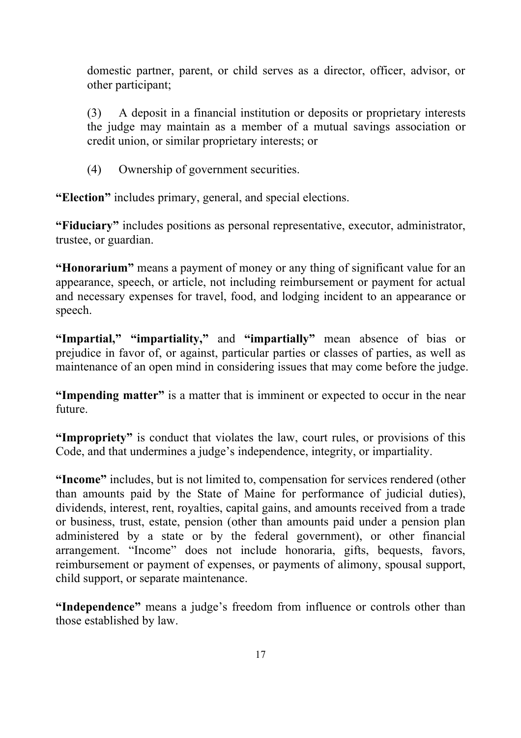domestic partner, parent, or child serves as a director, officer, advisor, or other participant;

(3) A deposit in a financial institution or deposits or proprietary interests the judge may maintain as a member of a mutual savings association or credit union, or similar proprietary interests; or

(4) Ownership of government securities.

**"Election"** includes primary, general, and special elections.

**"Fiduciary"** includes positions as personal representative, executor, administrator, trustee, or guardian.

**"Honorarium"** means a payment of money or any thing of significant value for an appearance, speech, or article, not including reimbursement or payment for actual and necessary expenses for travel, food, and lodging incident to an appearance or speech.

**"Impartial," "impartiality,"** and **"impartially"** mean absence of bias or prejudice in favor of, or against, particular parties or classes of parties, as well as maintenance of an open mind in considering issues that may come before the judge.

**"Impending matter"** is a matter that is imminent or expected to occur in the near future.

**"Impropriety"** is conduct that violates the law, court rules, or provisions of this Code, and that undermines a judge's independence, integrity, or impartiality.

**"Income"** includes, but is not limited to, compensation for services rendered (other than amounts paid by the State of Maine for performance of judicial duties), dividends, interest, rent, royalties, capital gains, and amounts received from a trade or business, trust, estate, pension (other than amounts paid under a pension plan administered by a state or by the federal government), or other financial arrangement. "Income" does not include honoraria, gifts, bequests, favors, reimbursement or payment of expenses, or payments of alimony, spousal support, child support, or separate maintenance.

**"Independence"** means a judge's freedom from influence or controls other than those established by law.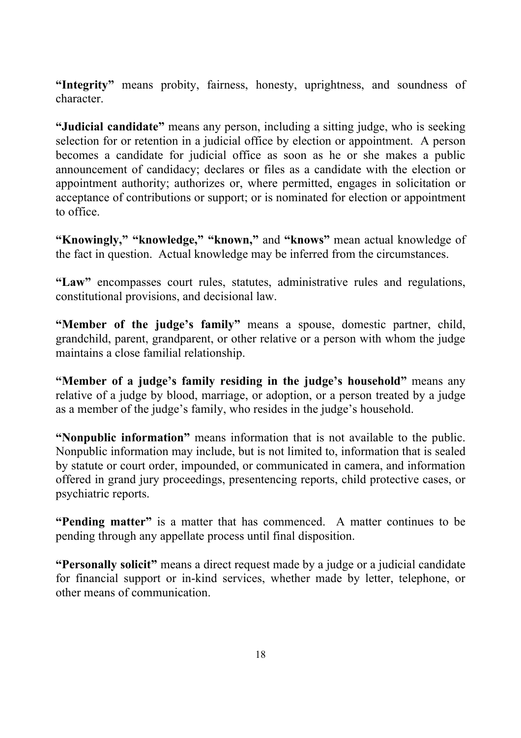**"Integrity"** means probity, fairness, honesty, uprightness, and soundness of character.

**"Judicial candidate"** means any person, including a sitting judge, who is seeking selection for or retention in a judicial office by election or appointment. A person becomes a candidate for judicial office as soon as he or she makes a public announcement of candidacy; declares or files as a candidate with the election or appointment authority; authorizes or, where permitted, engages in solicitation or acceptance of contributions or support; or is nominated for election or appointment to office.

**"Knowingly," "knowledge," "known,"** and **"knows"** mean actual knowledge of the fact in question. Actual knowledge may be inferred from the circumstances.

**"Law"** encompasses court rules, statutes, administrative rules and regulations, constitutional provisions, and decisional law.

**"Member of the judge's family"** means a spouse, domestic partner, child, grandchild, parent, grandparent, or other relative or a person with whom the judge maintains a close familial relationship.

**"Member of a judge's family residing in the judge's household"** means any relative of a judge by blood, marriage, or adoption, or a person treated by a judge as a member of the judge's family, who resides in the judge's household.

**"Nonpublic information"** means information that is not available to the public. Nonpublic information may include, but is not limited to, information that is sealed by statute or court order, impounded, or communicated in camera, and information offered in grand jury proceedings, presentencing reports, child protective cases, or psychiatric reports.

**"Pending matter"** is a matter that has commenced. A matter continues to be pending through any appellate process until final disposition.

**"Personally solicit"** means a direct request made by a judge or a judicial candidate for financial support or in-kind services, whether made by letter, telephone, or other means of communication.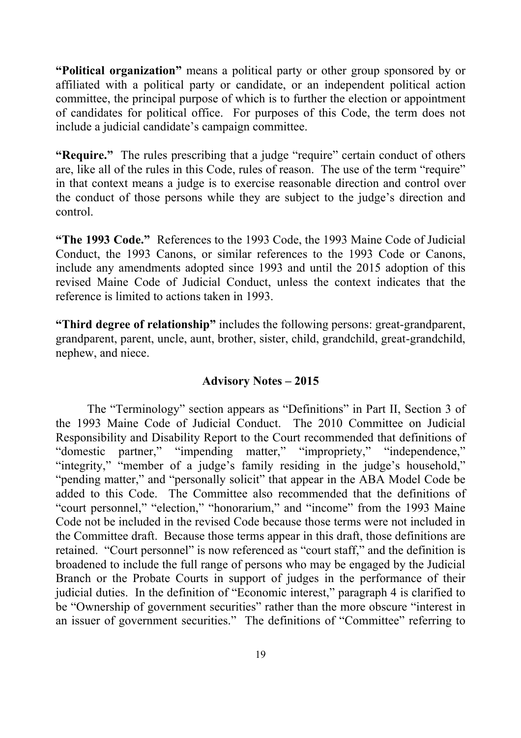**"Political organization"** means a political party or other group sponsored by or affiliated with a political party or candidate, or an independent political action committee, the principal purpose of which is to further the election or appointment of candidates for political office. For purposes of this Code, the term does not include a judicial candidate's campaign committee.

**"Require."** The rules prescribing that a judge "require" certain conduct of others are, like all of the rules in this Code, rules of reason. The use of the term "require" in that context means a judge is to exercise reasonable direction and control over the conduct of those persons while they are subject to the judge's direction and control.

**"The 1993 Code."** References to the 1993 Code, the 1993 Maine Code of Judicial Conduct, the 1993 Canons, or similar references to the 1993 Code or Canons, include any amendments adopted since 1993 and until the 2015 adoption of this revised Maine Code of Judicial Conduct, unless the context indicates that the reference is limited to actions taken in 1993.

**"Third degree of relationship"** includes the following persons: great-grandparent, grandparent, parent, uncle, aunt, brother, sister, child, grandchild, great-grandchild, nephew, and niece.

## **Advisory Notes – 2015**

The "Terminology" section appears as "Definitions" in Part II, Section 3 of the 1993 Maine Code of Judicial Conduct. The 2010 Committee on Judicial Responsibility and Disability Report to the Court recommended that definitions of "domestic partner," "impending matter," "impropriety," "independence," "integrity," "member of a judge's family residing in the judge's household," "pending matter," and "personally solicit" that appear in the ABA Model Code be added to this Code. The Committee also recommended that the definitions of "court personnel," "election," "honorarium," and "income" from the 1993 Maine Code not be included in the revised Code because those terms were not included in the Committee draft. Because those terms appear in this draft, those definitions are retained. "Court personnel" is now referenced as "court staff," and the definition is broadened to include the full range of persons who may be engaged by the Judicial Branch or the Probate Courts in support of judges in the performance of their judicial duties. In the definition of "Economic interest," paragraph 4 is clarified to be "Ownership of government securities" rather than the more obscure "interest in an issuer of government securities." The definitions of "Committee" referring to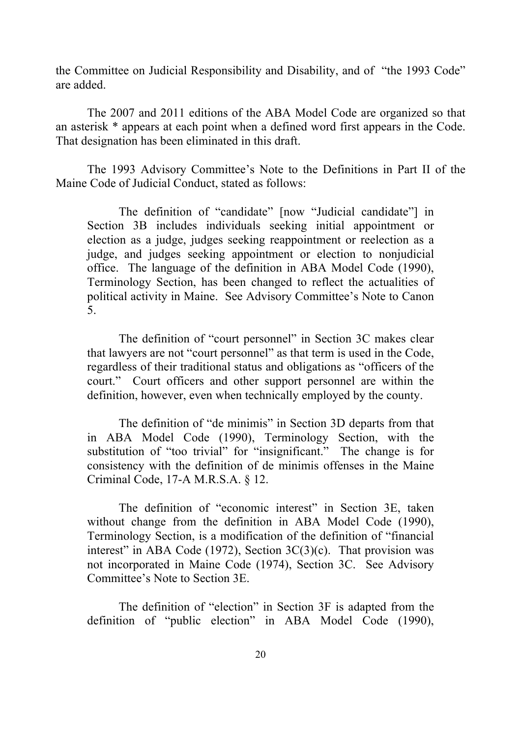the Committee on Judicial Responsibility and Disability, and of "the 1993 Code" are added.

The 2007 and 2011 editions of the ABA Model Code are organized so that an asterisk \* appears at each point when a defined word first appears in the Code. That designation has been eliminated in this draft.

The 1993 Advisory Committee's Note to the Definitions in Part II of the Maine Code of Judicial Conduct, stated as follows:

The definition of "candidate" [now "Judicial candidate"] in Section 3B includes individuals seeking initial appointment or election as a judge, judges seeking reappointment or reelection as a judge, and judges seeking appointment or election to nonjudicial office. The language of the definition in ABA Model Code (1990), Terminology Section, has been changed to reflect the actualities of political activity in Maine. See Advisory Committee's Note to Canon 5.

The definition of "court personnel" in Section 3C makes clear that lawyers are not "court personnel" as that term is used in the Code, regardless of their traditional status and obligations as "officers of the court." Court officers and other support personnel are within the definition, however, even when technically employed by the county.

The definition of "de minimis" in Section 3D departs from that in ABA Model Code (1990), Terminology Section, with the substitution of "too trivial" for "insignificant." The change is for consistency with the definition of de minimis offenses in the Maine Criminal Code, 17-A M.R.S.A. § 12.

The definition of "economic interest" in Section 3E, taken without change from the definition in ABA Model Code (1990), Terminology Section, is a modification of the definition of "financial interest" in ABA Code (1972), Section  $3C(3)(c)$ . That provision was not incorporated in Maine Code (1974), Section 3C. See Advisory Committee's Note to Section 3E.

The definition of "election" in Section 3F is adapted from the definition of "public election" in ABA Model Code (1990),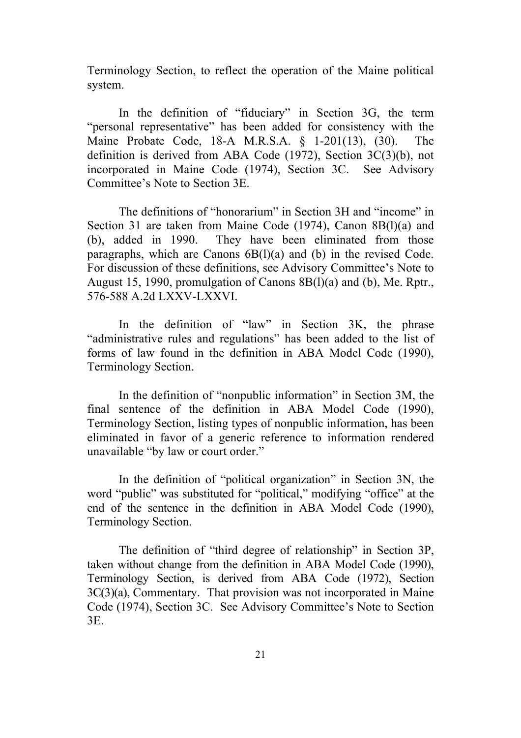Terminology Section, to reflect the operation of the Maine political system.

In the definition of "fiduciary" in Section 3G, the term "personal representative" has been added for consistency with the Maine Probate Code, 18-A M.R.S.A. § 1-201(13), (30). The definition is derived from ABA Code (1972), Section 3C(3)(b), not incorporated in Maine Code (1974), Section 3C. See Advisory Committee's Note to Section 3E.

The definitions of "honorarium" in Section 3H and "income" in Section 31 are taken from Maine Code (1974), Canon 8B(l)(a) and (b), added in 1990. They have been eliminated from those paragraphs, which are Canons 6B(l)(a) and (b) in the revised Code. For discussion of these definitions, see Advisory Committee's Note to August 15, 1990, promulgation of Canons 8B(l)(a) and (b), Me. Rptr., 576-588 A.2d LXXV-LXXVI.

In the definition of "law" in Section 3K, the phrase "administrative rules and regulations" has been added to the list of forms of law found in the definition in ABA Model Code (1990), Terminology Section.

In the definition of "nonpublic information" in Section 3M, the final sentence of the definition in ABA Model Code (1990), Terminology Section, listing types of nonpublic information, has been eliminated in favor of a generic reference to information rendered unavailable "by law or court order."

In the definition of "political organization" in Section 3N, the word "public" was substituted for "political," modifying "office" at the end of the sentence in the definition in ABA Model Code (1990), Terminology Section.

The definition of "third degree of relationship" in Section 3P, taken without change from the definition in ABA Model Code (1990), Terminology Section, is derived from ABA Code (1972), Section 3C(3)(a), Commentary. That provision was not incorporated in Maine Code (1974), Section 3C. See Advisory Committee's Note to Section 3E.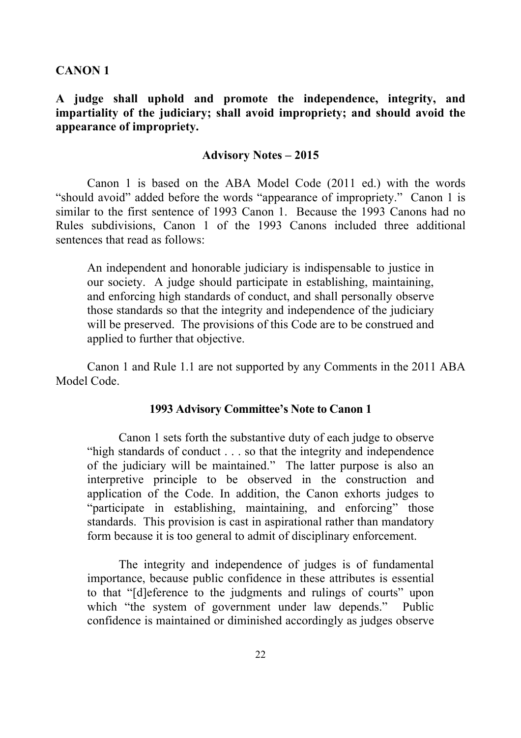#### **CANON 1**

**A judge shall uphold and promote the independence, integrity, and impartiality of the judiciary; shall avoid impropriety; and should avoid the appearance of impropriety.**

#### **Advisory Notes – 2015**

Canon 1 is based on the ABA Model Code (2011 ed.) with the words "should avoid" added before the words "appearance of impropriety." Canon 1 is similar to the first sentence of 1993 Canon 1. Because the 1993 Canons had no Rules subdivisions, Canon 1 of the 1993 Canons included three additional sentences that read as follows:

An independent and honorable judiciary is indispensable to justice in our society. A judge should participate in establishing, maintaining, and enforcing high standards of conduct, and shall personally observe those standards so that the integrity and independence of the judiciary will be preserved. The provisions of this Code are to be construed and applied to further that objective.

Canon 1 and Rule 1.1 are not supported by any Comments in the 2011 ABA Model Code.

### **1993 Advisory Committee's Note to Canon 1**

Canon 1 sets forth the substantive duty of each judge to observe "high standards of conduct . . . so that the integrity and independence of the judiciary will be maintained." The latter purpose is also an interpretive principle to be observed in the construction and application of the Code. In addition, the Canon exhorts judges to "participate in establishing, maintaining, and enforcing" those standards. This provision is cast in aspirational rather than mandatory form because it is too general to admit of disciplinary enforcement.

The integrity and independence of judges is of fundamental importance, because public confidence in these attributes is essential to that "[d]eference to the judgments and rulings of courts" upon which "the system of government under law depends." Public confidence is maintained or diminished accordingly as judges observe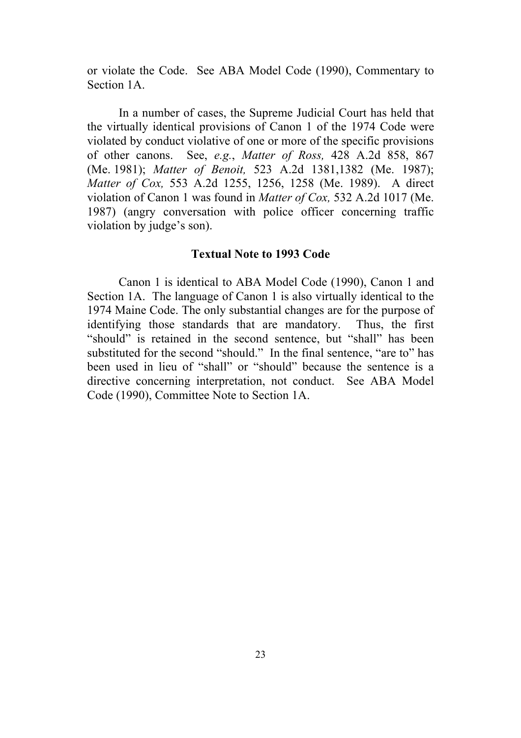or violate the Code. See ABA Model Code (1990), Commentary to Section 1A.

In a number of cases, the Supreme Judicial Court has held that the virtually identical provisions of Canon 1 of the 1974 Code were violated by conduct violative of one or more of the specific provisions of other canons. See, *e.g.*, *Matter of Ross,* 428 A.2d 858, 867 (Me. 1981); *Matter of Benoit,* 523 A.2d 1381,1382 (Me. 1987); *Matter of Cox,* 553 A.2d 1255, 1256, 1258 (Me. 1989). A direct violation of Canon 1 was found in *Matter of Cox,* 532 A.2d 1017 (Me. 1987) (angry conversation with police officer concerning traffic violation by judge's son).

#### **Textual Note to 1993 Code**

Canon 1 is identical to ABA Model Code (1990), Canon 1 and Section 1A. The language of Canon 1 is also virtually identical to the 1974 Maine Code. The only substantial changes are for the purpose of identifying those standards that are mandatory. Thus, the first "should" is retained in the second sentence, but "shall" has been substituted for the second "should." In the final sentence, "are to" has been used in lieu of "shall" or "should" because the sentence is a directive concerning interpretation, not conduct. See ABA Model Code (1990), Committee Note to Section 1A.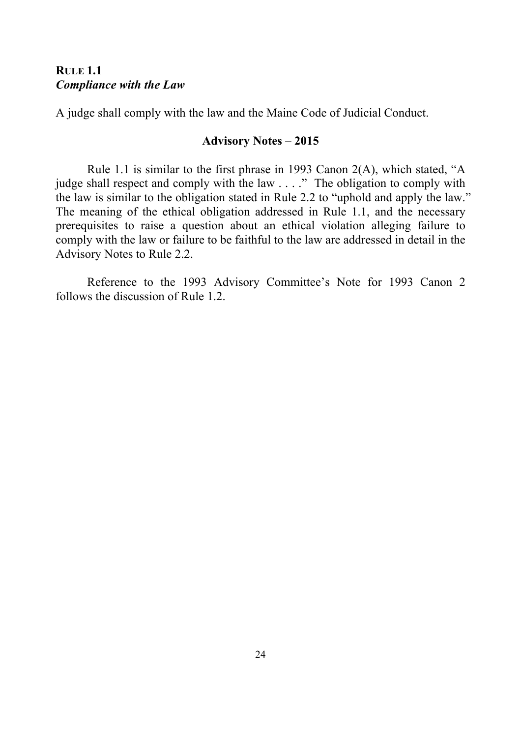## **RULE 1.1** *Compliance with the Law*

A judge shall comply with the law and the Maine Code of Judicial Conduct.

### **Advisory Notes – 2015**

Rule 1.1 is similar to the first phrase in 1993 Canon 2(A), which stated, "A judge shall respect and comply with the law . . . ." The obligation to comply with the law is similar to the obligation stated in Rule 2.2 to "uphold and apply the law." The meaning of the ethical obligation addressed in Rule 1.1, and the necessary prerequisites to raise a question about an ethical violation alleging failure to comply with the law or failure to be faithful to the law are addressed in detail in the Advisory Notes to Rule 2.2.

Reference to the 1993 Advisory Committee's Note for 1993 Canon 2 follows the discussion of Rule 1.2.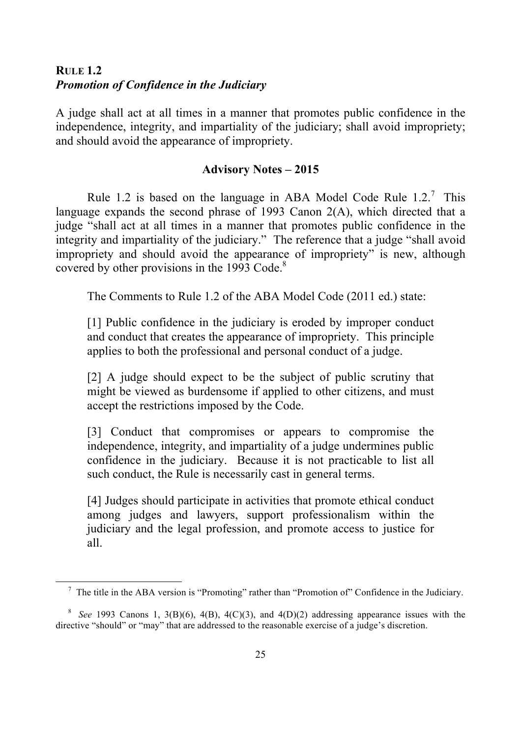# **RULE 1.2** *Promotion of Confidence in the Judiciary*

A judge shall act at all times in a manner that promotes public confidence in the independence, integrity, and impartiality of the judiciary; shall avoid impropriety; and should avoid the appearance of impropriety.

## **Advisory Notes – 2015**

Rule 1.2 is based on the language in ABA Model Code Rule  $1.2$ .<sup>7</sup> This language expands the second phrase of 1993 Canon 2(A), which directed that a judge "shall act at all times in a manner that promotes public confidence in the integrity and impartiality of the judiciary." The reference that a judge "shall avoid impropriety and should avoid the appearance of impropriety" is new, although covered by other provisions in the 1993 Code. $8$ 

The Comments to Rule 1.2 of the ABA Model Code (2011 ed.) state:

[1] Public confidence in the judiciary is eroded by improper conduct and conduct that creates the appearance of impropriety. This principle applies to both the professional and personal conduct of a judge.

[2] A judge should expect to be the subject of public scrutiny that might be viewed as burdensome if applied to other citizens, and must accept the restrictions imposed by the Code.

[3] Conduct that compromises or appears to compromise the independence, integrity, and impartiality of a judge undermines public confidence in the judiciary. Because it is not practicable to list all such conduct, the Rule is necessarily cast in general terms.

[4] Judges should participate in activities that promote ethical conduct among judges and lawyers, support professionalism within the judiciary and the legal profession, and promote access to justice for all.

<sup>&</sup>lt;sup>7</sup> The title in the ABA version is "Promoting" rather than "Promotion of" Confidence in the Judiciary.

<sup>&</sup>lt;sup>8</sup> See 1993 Canons 1, 3(B)(6), 4(B), 4(C)(3), and 4(D)(2) addressing appearance issues with the directive "should" or "may" that are addressed to the reasonable exercise of a judge's discretion.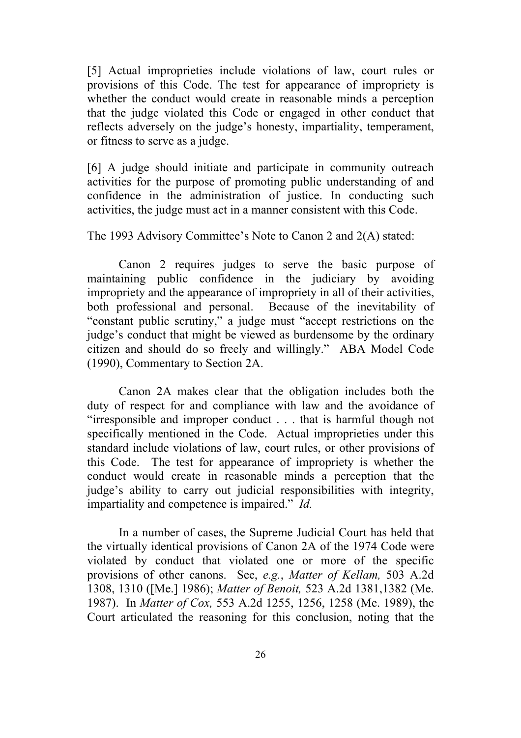[5] Actual improprieties include violations of law, court rules or provisions of this Code. The test for appearance of impropriety is whether the conduct would create in reasonable minds a perception that the judge violated this Code or engaged in other conduct that reflects adversely on the judge's honesty, impartiality, temperament, or fitness to serve as a judge.

[6] A judge should initiate and participate in community outreach activities for the purpose of promoting public understanding of and confidence in the administration of justice. In conducting such activities, the judge must act in a manner consistent with this Code.

### The 1993 Advisory Committee's Note to Canon 2 and 2(A) stated:

Canon 2 requires judges to serve the basic purpose of maintaining public confidence in the judiciary by avoiding impropriety and the appearance of impropriety in all of their activities, both professional and personal. Because of the inevitability of "constant public scrutiny," a judge must "accept restrictions on the judge's conduct that might be viewed as burdensome by the ordinary citizen and should do so freely and willingly." ABA Model Code (1990), Commentary to Section 2A.

Canon 2A makes clear that the obligation includes both the duty of respect for and compliance with law and the avoidance of "irresponsible and improper conduct . . . that is harmful though not specifically mentioned in the Code. Actual improprieties under this standard include violations of law, court rules, or other provisions of this Code. The test for appearance of impropriety is whether the conduct would create in reasonable minds a perception that the judge's ability to carry out judicial responsibilities with integrity, impartiality and competence is impaired." *Id.*

In a number of cases, the Supreme Judicial Court has held that the virtually identical provisions of Canon 2A of the 1974 Code were violated by conduct that violated one or more of the specific provisions of other canons. See, *e.g.*, *Matter of Kellam,* 503 A.2d 1308, 1310 ([Me.] 1986); *Matter of Benoit,* 523 A.2d 1381,1382 (Me. 1987). In *Matter of Cox,* 553 A.2d 1255, 1256, 1258 (Me. 1989), the Court articulated the reasoning for this conclusion, noting that the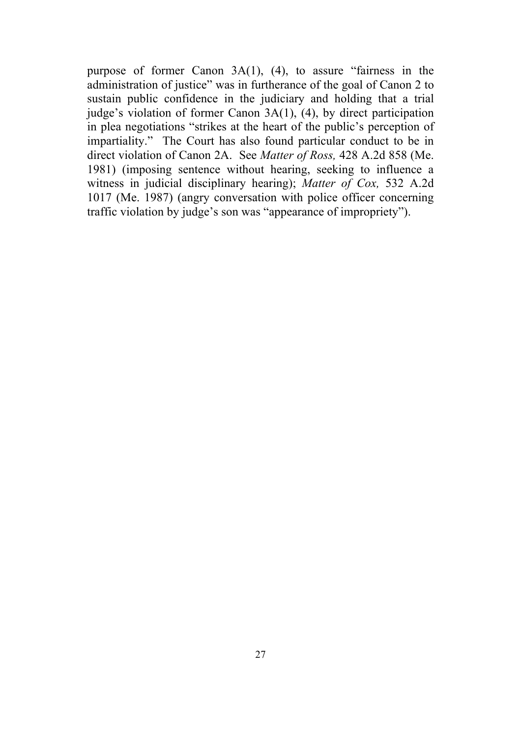purpose of former Canon  $3A(1)$ ,  $(4)$ , to assure "fairness in the administration of justice" was in furtherance of the goal of Canon 2 to sustain public confidence in the judiciary and holding that a trial judge's violation of former Canon 3A(1), (4), by direct participation in plea negotiations "strikes at the heart of the public's perception of impartiality." The Court has also found particular conduct to be in direct violation of Canon 2A. See *Matter of Ross,* 428 A.2d 858 (Me. 1981) (imposing sentence without hearing, seeking to influence a witness in judicial disciplinary hearing); *Matter of Cox,* 532 A.2d 1017 (Me. 1987) (angry conversation with police officer concerning traffic violation by judge's son was "appearance of impropriety").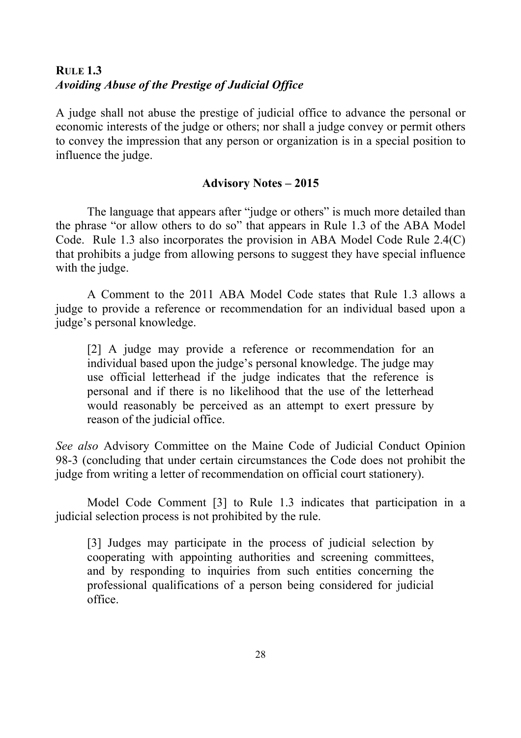# **RULE 1.3** *Avoiding Abuse of the Prestige of Judicial Office*

A judge shall not abuse the prestige of judicial office to advance the personal or economic interests of the judge or others; nor shall a judge convey or permit others to convey the impression that any person or organization is in a special position to influence the judge.

## **Advisory Notes – 2015**

The language that appears after "judge or others" is much more detailed than the phrase "or allow others to do so" that appears in Rule 1.3 of the ABA Model Code. Rule 1.3 also incorporates the provision in ABA Model Code Rule 2.4(C) that prohibits a judge from allowing persons to suggest they have special influence with the judge.

A Comment to the 2011 ABA Model Code states that Rule 1.3 allows a judge to provide a reference or recommendation for an individual based upon a judge's personal knowledge.

[2] A judge may provide a reference or recommendation for an individual based upon the judge's personal knowledge. The judge may use official letterhead if the judge indicates that the reference is personal and if there is no likelihood that the use of the letterhead would reasonably be perceived as an attempt to exert pressure by reason of the judicial office.

*See also* Advisory Committee on the Maine Code of Judicial Conduct Opinion 98-3 (concluding that under certain circumstances the Code does not prohibit the judge from writing a letter of recommendation on official court stationery).

Model Code Comment [3] to Rule 1.3 indicates that participation in a judicial selection process is not prohibited by the rule.

[3] Judges may participate in the process of judicial selection by cooperating with appointing authorities and screening committees, and by responding to inquiries from such entities concerning the professional qualifications of a person being considered for judicial office.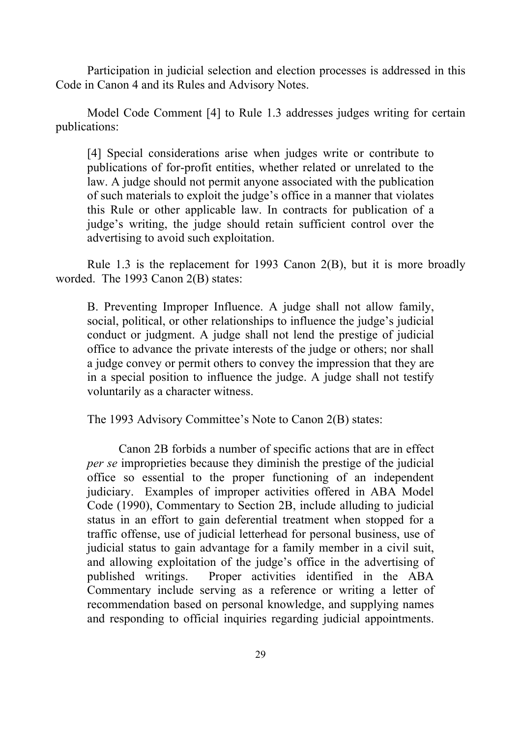Participation in judicial selection and election processes is addressed in this Code in Canon 4 and its Rules and Advisory Notes.

Model Code Comment [4] to Rule 1.3 addresses judges writing for certain publications:

[4] Special considerations arise when judges write or contribute to publications of for-profit entities, whether related or unrelated to the law. A judge should not permit anyone associated with the publication of such materials to exploit the judge's office in a manner that violates this Rule or other applicable law. In contracts for publication of a judge's writing, the judge should retain sufficient control over the advertising to avoid such exploitation.

Rule 1.3 is the replacement for 1993 Canon 2(B), but it is more broadly worded. The 1993 Canon 2(B) states:

 B. Preventing Improper Influence. A judge shall not allow family, social, political, or other relationships to influence the judge's judicial conduct or judgment. A judge shall not lend the prestige of judicial office to advance the private interests of the judge or others; nor shall a judge convey or permit others to convey the impression that they are in a special position to influence the judge. A judge shall not testify voluntarily as a character witness.

The 1993 Advisory Committee's Note to Canon 2(B) states:

Canon 2B forbids a number of specific actions that are in effect *per se* improprieties because they diminish the prestige of the judicial office so essential to the proper functioning of an independent judiciary. Examples of improper activities offered in ABA Model Code (1990), Commentary to Section 2B, include alluding to judicial status in an effort to gain deferential treatment when stopped for a traffic offense, use of judicial letterhead for personal business, use of judicial status to gain advantage for a family member in a civil suit, and allowing exploitation of the judge's office in the advertising of published writings. Proper activities identified in the ABA Commentary include serving as a reference or writing a letter of recommendation based on personal knowledge, and supplying names and responding to official inquiries regarding judicial appointments.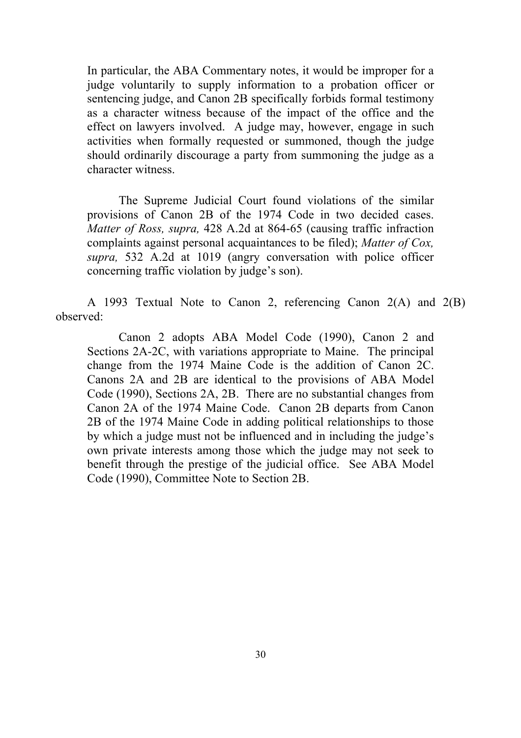In particular, the ABA Commentary notes, it would be improper for a judge voluntarily to supply information to a probation officer or sentencing judge, and Canon 2B specifically forbids formal testimony as a character witness because of the impact of the office and the effect on lawyers involved. A judge may, however, engage in such activities when formally requested or summoned, though the judge should ordinarily discourage a party from summoning the judge as a character witness.

The Supreme Judicial Court found violations of the similar provisions of Canon 2B of the 1974 Code in two decided cases. *Matter of Ross, supra,* 428 A.2d at 864-65 (causing traffic infraction complaints against personal acquaintances to be filed); *Matter of Cox, supra,* 532 A.2d at 1019 (angry conversation with police officer concerning traffic violation by judge's son).

A 1993 Textual Note to Canon 2, referencing Canon 2(A) and 2(B) observed:

Canon 2 adopts ABA Model Code (1990), Canon 2 and Sections 2A-2C, with variations appropriate to Maine. The principal change from the 1974 Maine Code is the addition of Canon 2C. Canons 2A and 2B are identical to the provisions of ABA Model Code (1990), Sections 2A, 2B. There are no substantial changes from Canon 2A of the 1974 Maine Code. Canon 2B departs from Canon 2B of the 1974 Maine Code in adding political relationships to those by which a judge must not be influenced and in including the judge's own private interests among those which the judge may not seek to benefit through the prestige of the judicial office. See ABA Model Code (1990), Committee Note to Section 2B.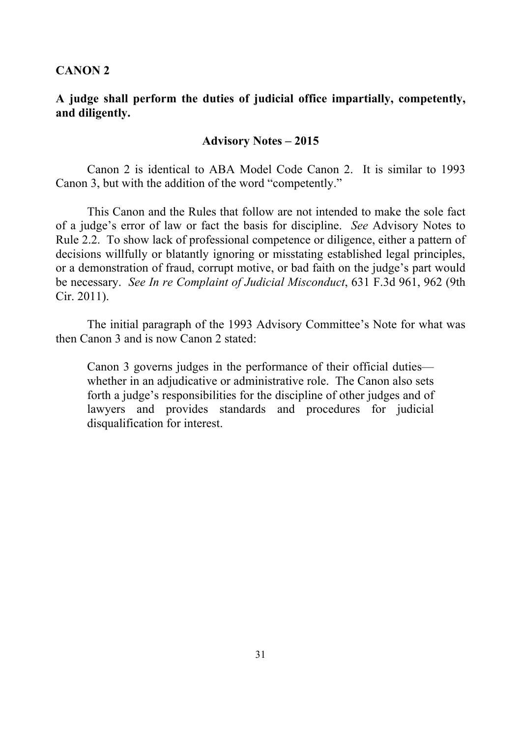### **CANON 2**

# **A judge shall perform the duties of judicial office impartially, competently, and diligently.**

### **Advisory Notes – 2015**

Canon 2 is identical to ABA Model Code Canon 2. It is similar to 1993 Canon 3, but with the addition of the word "competently."

This Canon and the Rules that follow are not intended to make the sole fact of a judge's error of law or fact the basis for discipline. *See* Advisory Notes to Rule 2.2. To show lack of professional competence or diligence, either a pattern of decisions willfully or blatantly ignoring or misstating established legal principles, or a demonstration of fraud, corrupt motive, or bad faith on the judge's part would be necessary. *See In re Complaint of Judicial Misconduct*, 631 F.3d 961, 962 (9th Cir. 2011).

The initial paragraph of the 1993 Advisory Committee's Note for what was then Canon 3 and is now Canon 2 stated:

Canon 3 governs judges in the performance of their official duties whether in an adjudicative or administrative role. The Canon also sets forth a judge's responsibilities for the discipline of other judges and of lawyers and provides standards and procedures for judicial disqualification for interest.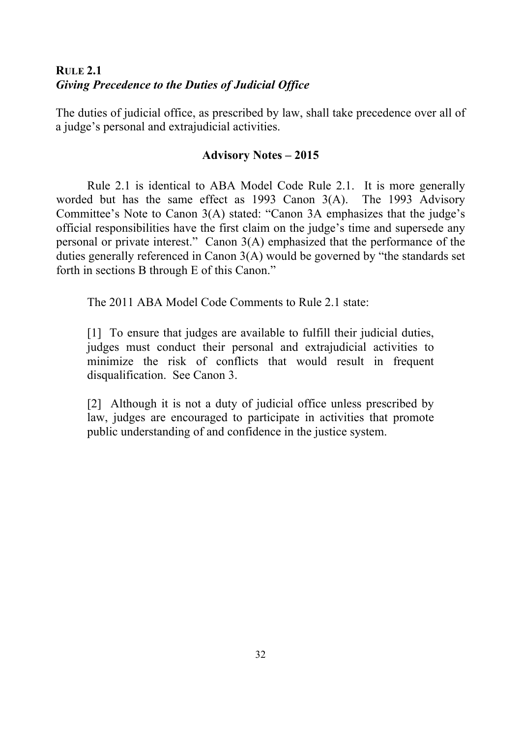# **RULE 2.1** *Giving Precedence to the Duties of Judicial Office*

The duties of judicial office, as prescribed by law, shall take precedence over all of a judge's personal and extrajudicial activities.

# **Advisory Notes – 2015**

Rule 2.1 is identical to ABA Model Code Rule 2.1. It is more generally worded but has the same effect as 1993 Canon 3(A). The 1993 Advisory Committee's Note to Canon 3(A) stated: "Canon 3A emphasizes that the judge's official responsibilities have the first claim on the judge's time and supersede any personal or private interest." Canon 3(A) emphasized that the performance of the duties generally referenced in Canon 3(A) would be governed by "the standards set forth in sections B through E of this Canon."

The 2011 ABA Model Code Comments to Rule 2.1 state:

[1] To ensure that judges are available to fulfill their judicial duties, judges must conduct their personal and extrajudicial activities to minimize the risk of conflicts that would result in frequent disqualification. See Canon 3.

[2] Although it is not a duty of judicial office unless prescribed by law, judges are encouraged to participate in activities that promote public understanding of and confidence in the justice system.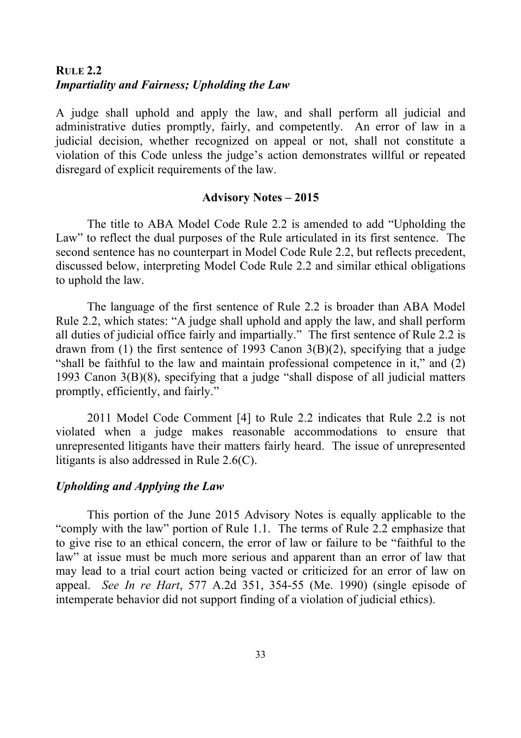## **RULE 2.2** *Impartiality and Fairness; Upholding the Law*

A judge shall uphold and apply the law, and shall perform all judicial and administrative duties promptly, fairly, and competently. An error of law in a judicial decision, whether recognized on appeal or not, shall not constitute a violation of this Code unless the judge's action demonstrates willful or repeated disregard of explicit requirements of the law.

### **Advisory Notes – 2015**

The title to ABA Model Code Rule 2.2 is amended to add "Upholding the Law" to reflect the dual purposes of the Rule articulated in its first sentence. The second sentence has no counterpart in Model Code Rule 2.2, but reflects precedent, discussed below, interpreting Model Code Rule 2.2 and similar ethical obligations to uphold the law.

The language of the first sentence of Rule 2.2 is broader than ABA Model Rule 2.2, which states: "A judge shall uphold and apply the law, and shall perform all duties of judicial office fairly and impartially." The first sentence of Rule 2.2 is drawn from (1) the first sentence of 1993 Canon  $3(B)(2)$ , specifying that a judge "shall be faithful to the law and maintain professional competence in it," and (2) 1993 Canon 3(B)(8), specifying that a judge "shall dispose of all judicial matters promptly, efficiently, and fairly."

2011 Model Code Comment [4] to Rule 2.2 indicates that Rule 2.2 is not violated when a judge makes reasonable accommodations to ensure that unrepresented litigants have their matters fairly heard. The issue of unrepresented litigants is also addressed in Rule 2.6(C).

### *Upholding and Applying the Law*

This portion of the June 2015 Advisory Notes is equally applicable to the "comply with the law" portion of Rule 1.1. The terms of Rule 2.2 emphasize that to give rise to an ethical concern, the error of law or failure to be "faithful to the law" at issue must be much more serious and apparent than an error of law that may lead to a trial court action being vacted or criticized for an error of law on appeal. *See In re Hart*, 577 A.2d 351, 354-55 (Me. 1990) (single episode of intemperate behavior did not support finding of a violation of judicial ethics).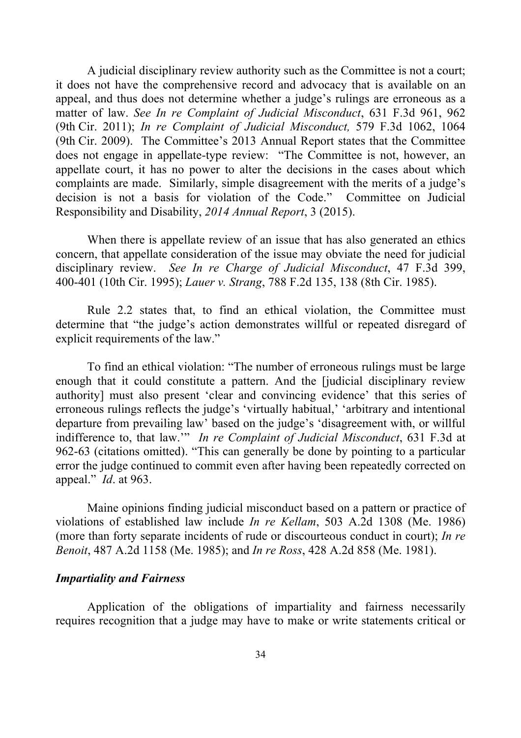A judicial disciplinary review authority such as the Committee is not a court; it does not have the comprehensive record and advocacy that is available on an appeal, and thus does not determine whether a judge's rulings are erroneous as a matter of law. *See In re Complaint of Judicial Misconduct*, 631 F.3d 961, 962 (9th Cir. 2011); *In re Complaint of Judicial Misconduct,* 579 F.3d 1062, 1064 (9th Cir. 2009). The Committee's 2013 Annual Report states that the Committee does not engage in appellate-type review: "The Committee is not, however, an appellate court, it has no power to alter the decisions in the cases about which complaints are made. Similarly, simple disagreement with the merits of a judge's decision is not a basis for violation of the Code." Committee on Judicial Responsibility and Disability, *2014 Annual Report*, 3 (2015).

When there is appellate review of an issue that has also generated an ethics concern, that appellate consideration of the issue may obviate the need for judicial disciplinary review. *See In re Charge of Judicial Misconduct*, 47 F.3d 399, 400-401 (10th Cir. 1995); *Lauer v. Strang*, 788 F.2d 135, 138 (8th Cir. 1985).

Rule 2.2 states that, to find an ethical violation, the Committee must determine that "the judge's action demonstrates willful or repeated disregard of explicit requirements of the law."

To find an ethical violation: "The number of erroneous rulings must be large enough that it could constitute a pattern. And the [judicial disciplinary review authority] must also present 'clear and convincing evidence' that this series of erroneous rulings reflects the judge's 'virtually habitual,' 'arbitrary and intentional departure from prevailing law' based on the judge's 'disagreement with, or willful indifference to, that law.'" *In re Complaint of Judicial Misconduct*, 631 F.3d at 962-63 (citations omitted). "This can generally be done by pointing to a particular error the judge continued to commit even after having been repeatedly corrected on appeal." *Id*. at 963.

Maine opinions finding judicial misconduct based on a pattern or practice of violations of established law include *In re Kellam*, 503 A.2d 1308 (Me. 1986) (more than forty separate incidents of rude or discourteous conduct in court); *In re Benoit*, 487 A.2d 1158 (Me. 1985); and *In re Ross*, 428 A.2d 858 (Me. 1981).

#### *Impartiality and Fairness*

Application of the obligations of impartiality and fairness necessarily requires recognition that a judge may have to make or write statements critical or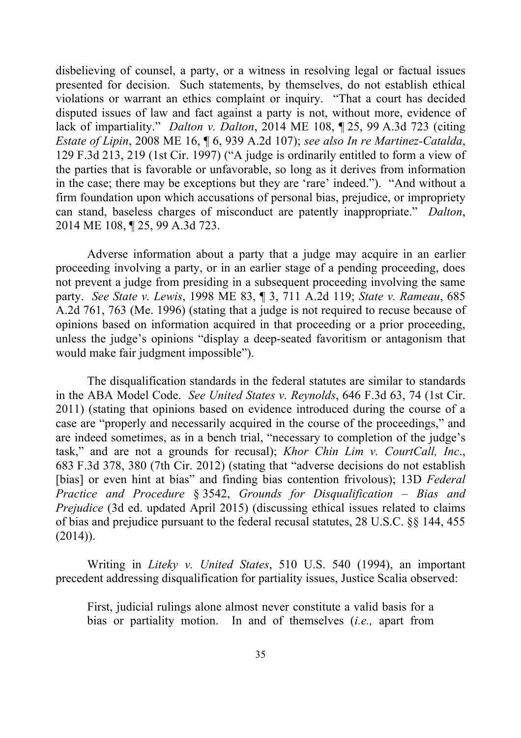disbelieving of counsel, a party, or a witness in resolving legal or factual issues presented for decision. Such statements, by themselves, do not establish ethical violations or warrant an ethics complaint or inquiry. "That a court has decided disputed issues of law and fact against a party is not, without more, evidence of lack of impartiality." *Dalton v. Dalton*, 2014 ME 108, ¶ 25, 99 A.3d 723 (citing *Estate of Lipin*, 2008 ME 16, ¶ 6, 939 A.2d 107); *see also In re Martinez-Catalda*, 129 F.3d 213, 219 (1st Cir. 1997) ("A judge is ordinarily entitled to form a view of the parties that is favorable or unfavorable, so long as it derives from information in the case; there may be exceptions but they are 'rare' indeed."). "And without a firm foundation upon which accusations of personal bias, prejudice, or impropriety can stand, baseless charges of misconduct are patently inappropriate." *Dalton*, 2014 ME 108, ¶ 25, 99 A.3d 723.

Adverse information about a party that a judge may acquire in an earlier proceeding involving a party, or in an earlier stage of a pending proceeding, does not prevent a judge from presiding in a subsequent proceeding involving the same party. *See State v. Lewis*, 1998 ME 83, ¶ 3, 711 A.2d 119; *State v. Rameau*, 685 A.2d 761, 763 (Me. 1996) (stating that a judge is not required to recuse because of opinions based on information acquired in that proceeding or a prior proceeding, unless the judge's opinions "display a deep-seated favoritism or antagonism that would make fair judgment impossible").

The disqualification standards in the federal statutes are similar to standards in the ABA Model Code. *See United States v. Reynolds*, 646 F.3d 63, 74 (1st Cir. 2011) (stating that opinions based on evidence introduced during the course of a case are "properly and necessarily acquired in the course of the proceedings," and are indeed sometimes, as in a bench trial, "necessary to completion of the judge's task," and are not a grounds for recusal); *Khor Chin Lim v. CourtCall, Inc*., 683 F.3d 378, 380 (7th Cir. 2012) (stating that "adverse decisions do not establish [bias] or even hint at bias" and finding bias contention frivolous); 13D *Federal Practice and Procedure* § 3542, *Grounds for Disqualification – Bias and Prejudice* (3d ed. updated April 2015) (discussing ethical issues related to claims of bias and prejudice pursuant to the federal recusal statutes, 28 U.S.C. §§ 144, 455  $(2014)$ ).

Writing in *Liteky v. United States*, 510 U.S. 540 (1994), an important precedent addressing disqualification for partiality issues, Justice Scalia observed:

First, judicial rulings alone almost never constitute a valid basis for a bias or partiality motion. In and of themselves (*i.e.,* apart from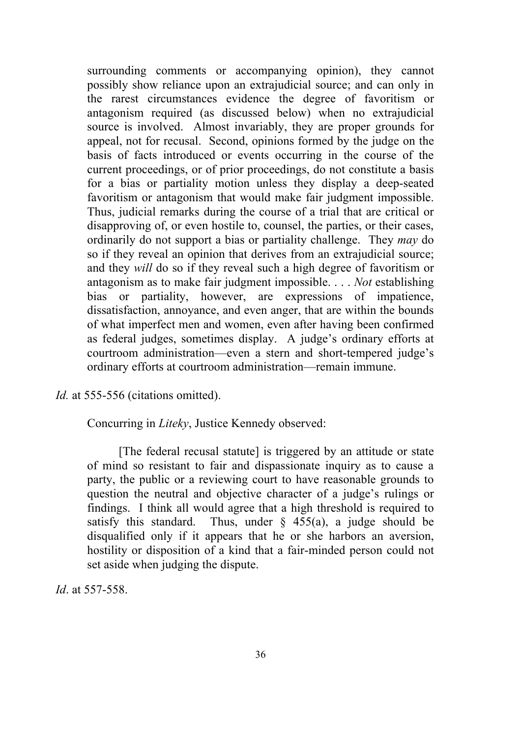surrounding comments or accompanying opinion), they cannot possibly show reliance upon an extrajudicial source; and can only in the rarest circumstances evidence the degree of favoritism or antagonism required (as discussed below) when no extrajudicial source is involved. Almost invariably, they are proper grounds for appeal, not for recusal. Second, opinions formed by the judge on the basis of facts introduced or events occurring in the course of the current proceedings, or of prior proceedings, do not constitute a basis for a bias or partiality motion unless they display a deep-seated favoritism or antagonism that would make fair judgment impossible. Thus, judicial remarks during the course of a trial that are critical or disapproving of, or even hostile to, counsel, the parties, or their cases, ordinarily do not support a bias or partiality challenge. They *may* do so if they reveal an opinion that derives from an extrajudicial source; and they *will* do so if they reveal such a high degree of favoritism or antagonism as to make fair judgment impossible. . . . *Not* establishing bias or partiality, however, are expressions of impatience, dissatisfaction, annoyance, and even anger, that are within the bounds of what imperfect men and women, even after having been confirmed as federal judges, sometimes display. A judge's ordinary efforts at courtroom administration—even a stern and short-tempered judge's ordinary efforts at courtroom administration—remain immune.

*Id.* at 555-556 (citations omitted).

Concurring in *Liteky*, Justice Kennedy observed:

[The federal recusal statute] is triggered by an attitude or state of mind so resistant to fair and dispassionate inquiry as to cause a party, the public or a reviewing court to have reasonable grounds to question the neutral and objective character of a judge's rulings or findings. I think all would agree that a high threshold is required to satisfy this standard. Thus, under  $\S$  455(a), a judge should be disqualified only if it appears that he or she harbors an aversion, hostility or disposition of a kind that a fair-minded person could not set aside when judging the dispute.

*Id*. at 557-558.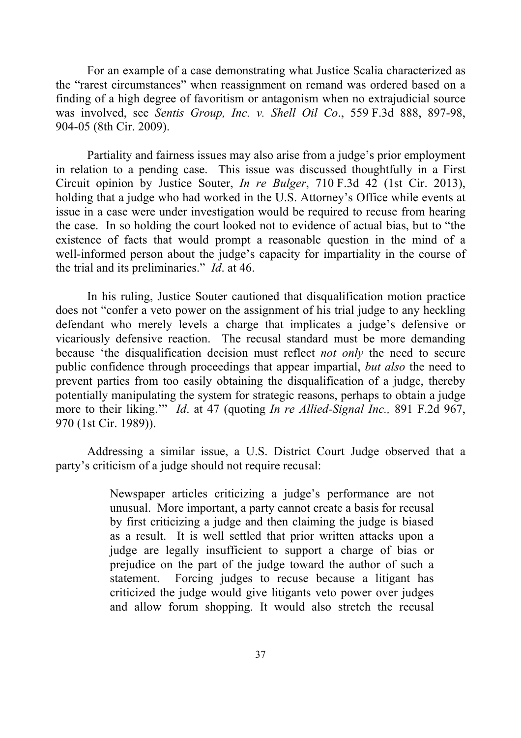For an example of a case demonstrating what Justice Scalia characterized as the "rarest circumstances" when reassignment on remand was ordered based on a finding of a high degree of favoritism or antagonism when no extrajudicial source was involved, see *Sentis Group, Inc. v. Shell Oil Co*., 559 F.3d 888, 897-98, 904-05 (8th Cir. 2009).

Partiality and fairness issues may also arise from a judge's prior employment in relation to a pending case. This issue was discussed thoughtfully in a First Circuit opinion by Justice Souter, *In re Bulger*, 710 F.3d 42 (1st Cir. 2013), holding that a judge who had worked in the U.S. Attorney's Office while events at issue in a case were under investigation would be required to recuse from hearing the case. In so holding the court looked not to evidence of actual bias, but to "the existence of facts that would prompt a reasonable question in the mind of a well-informed person about the judge's capacity for impartiality in the course of the trial and its preliminaries." *Id*. at 46.

In his ruling, Justice Souter cautioned that disqualification motion practice does not "confer a veto power on the assignment of his trial judge to any heckling defendant who merely levels a charge that implicates a judge's defensive or vicariously defensive reaction. The recusal standard must be more demanding because 'the disqualification decision must reflect *not only* the need to secure public confidence through proceedings that appear impartial, *but also* the need to prevent parties from too easily obtaining the disqualification of a judge, thereby potentially manipulating the system for strategic reasons, perhaps to obtain a judge more to their liking.'" *Id*. at 47 (quoting *In re Allied-Signal Inc.,* 891 F.2d 967, 970 (1st Cir. 1989)).

Addressing a similar issue, a U.S. District Court Judge observed that a party's criticism of a judge should not require recusal:

> Newspaper articles criticizing a judge's performance are not unusual. More important, a party cannot create a basis for recusal by first criticizing a judge and then claiming the judge is biased as a result. It is well settled that prior written attacks upon a judge are legally insufficient to support a charge of bias or prejudice on the part of the judge toward the author of such a statement. Forcing judges to recuse because a litigant has criticized the judge would give litigants veto power over judges and allow forum shopping. It would also stretch the recusal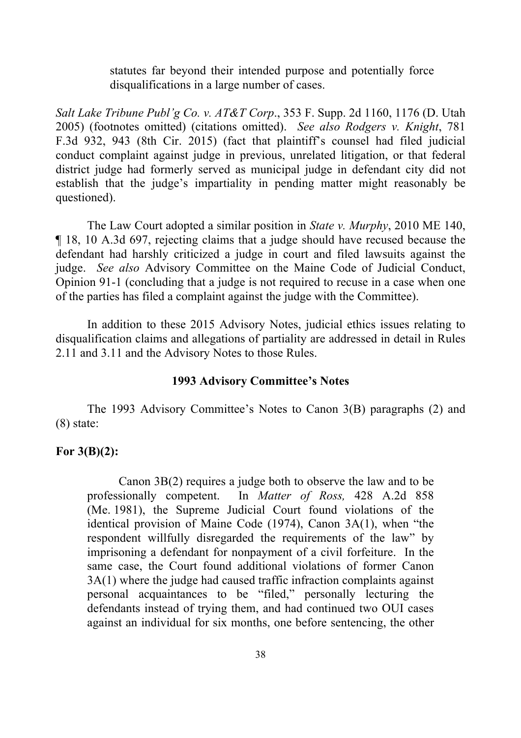statutes far beyond their intended purpose and potentially force disqualifications in a large number of cases.

*Salt Lake Tribune Publ'g Co. v. AT&T Corp*., 353 F. Supp. 2d 1160, 1176 (D. Utah 2005) (footnotes omitted) (citations omitted). *See also Rodgers v. Knight*, 781 F.3d 932, 943 (8th Cir. 2015) (fact that plaintiff's counsel had filed judicial conduct complaint against judge in previous, unrelated litigation, or that federal district judge had formerly served as municipal judge in defendant city did not establish that the judge's impartiality in pending matter might reasonably be questioned).

The Law Court adopted a similar position in *State v. Murphy*, 2010 ME 140, ¶ 18, 10 A.3d 697, rejecting claims that a judge should have recused because the defendant had harshly criticized a judge in court and filed lawsuits against the judge. *See also* Advisory Committee on the Maine Code of Judicial Conduct, Opinion 91-1 (concluding that a judge is not required to recuse in a case when one of the parties has filed a complaint against the judge with the Committee).

In addition to these 2015 Advisory Notes, judicial ethics issues relating to disqualification claims and allegations of partiality are addressed in detail in Rules 2.11 and 3.11 and the Advisory Notes to those Rules.

## **1993 Advisory Committee's Notes**

The 1993 Advisory Committee's Notes to Canon 3(B) paragraphs (2) and (8) state:

#### **For 3(B)(2):**

Canon 3B(2) requires a judge both to observe the law and to be professionally competent. In *Matter of Ross,* 428 A.2d 858 (Me. 1981), the Supreme Judicial Court found violations of the identical provision of Maine Code (1974), Canon 3A(1), when "the respondent willfully disregarded the requirements of the law" by imprisoning a defendant for nonpayment of a civil forfeiture. In the same case, the Court found additional violations of former Canon 3A(1) where the judge had caused traffic infraction complaints against personal acquaintances to be "filed," personally lecturing the defendants instead of trying them, and had continued two OUI cases against an individual for six months, one before sentencing, the other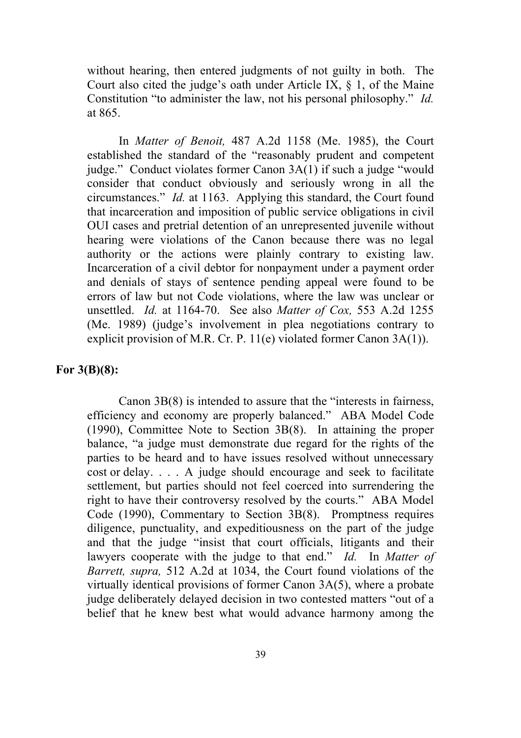without hearing, then entered judgments of not guilty in both. The Court also cited the judge's oath under Article IX, § 1, of the Maine Constitution "to administer the law, not his personal philosophy." *Id.*  at 865.

In *Matter of Benoit,* 487 A.2d 1158 (Me. 1985), the Court established the standard of the "reasonably prudent and competent judge." Conduct violates former Canon 3A(1) if such a judge "would consider that conduct obviously and seriously wrong in all the circumstances." *Id.* at 1163. Applying this standard, the Court found that incarceration and imposition of public service obligations in civil OUI cases and pretrial detention of an unrepresented juvenile without hearing were violations of the Canon because there was no legal authority or the actions were plainly contrary to existing law. Incarceration of a civil debtor for nonpayment under a payment order and denials of stays of sentence pending appeal were found to be errors of law but not Code violations, where the law was unclear or unsettled. *Id.* at 1164-70. See also *Matter of Cox,* 553 A.2d 1255 (Me. 1989) (judge's involvement in plea negotiations contrary to explicit provision of M.R. Cr. P. 11(e) violated former Canon 3A(1)).

#### **For 3(B)(8):**

Canon 3B(8) is intended to assure that the "interests in fairness, efficiency and economy are properly balanced." ABA Model Code (1990), Committee Note to Section 3B(8). In attaining the proper balance, "a judge must demonstrate due regard for the rights of the parties to be heard and to have issues resolved without unnecessary cost or delay. . . . A judge should encourage and seek to facilitate settlement, but parties should not feel coerced into surrendering the right to have their controversy resolved by the courts." ABA Model Code (1990), Commentary to Section 3B(8). Promptness requires diligence, punctuality, and expeditiousness on the part of the judge and that the judge "insist that court officials, litigants and their lawyers cooperate with the judge to that end." *Id.* In *Matter of Barrett, supra,* 512 A.2d at 1034, the Court found violations of the virtually identical provisions of former Canon 3A(5), where a probate judge deliberately delayed decision in two contested matters "out of a belief that he knew best what would advance harmony among the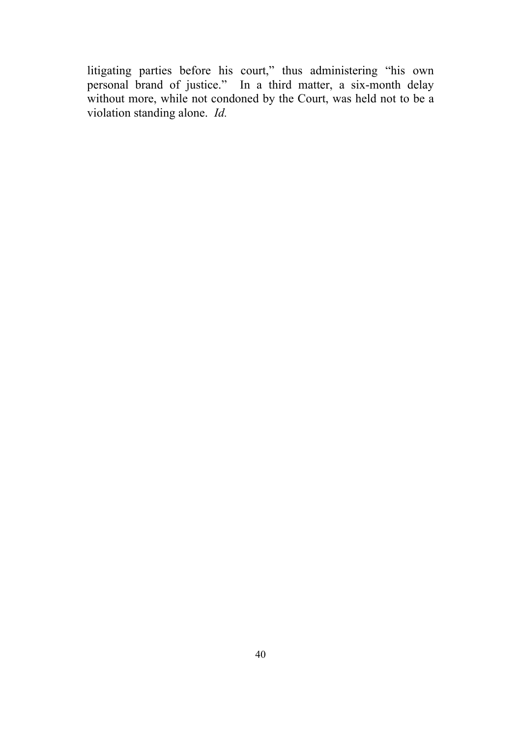litigating parties before his court," thus administering "his own personal brand of justice." In a third matter, a six-month delay without more, while not condoned by the Court, was held not to be a violation standing alone. *Id.*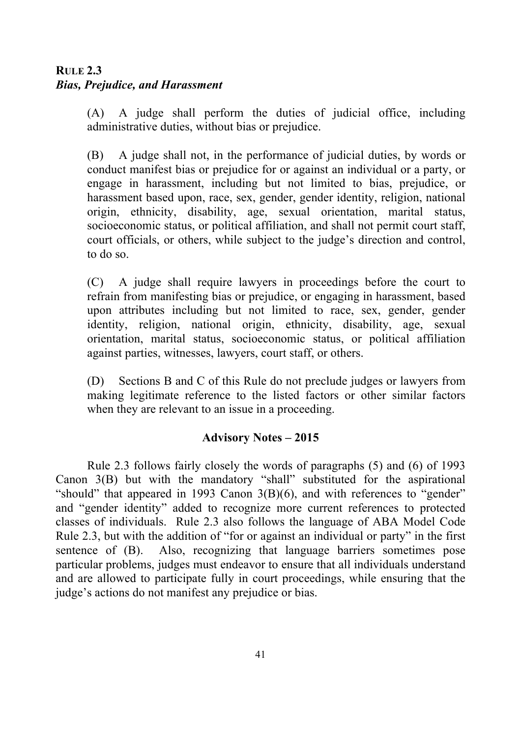## **RULE 2.3** *Bias, Prejudice, and Harassment*

(A) A judge shall perform the duties of judicial office, including administrative duties, without bias or prejudice.

(B) A judge shall not, in the performance of judicial duties, by words or conduct manifest bias or prejudice for or against an individual or a party, or engage in harassment, including but not limited to bias, prejudice, or harassment based upon, race, sex, gender, gender identity, religion, national origin, ethnicity, disability, age, sexual orientation, marital status, socioeconomic status, or political affiliation, and shall not permit court staff, court officials, or others, while subject to the judge's direction and control, to do so.

(C) A judge shall require lawyers in proceedings before the court to refrain from manifesting bias or prejudice, or engaging in harassment, based upon attributes including but not limited to race, sex, gender, gender identity, religion, national origin, ethnicity, disability, age, sexual orientation, marital status, socioeconomic status, or political affiliation against parties, witnesses, lawyers, court staff, or others.

(D) Sections B and C of this Rule do not preclude judges or lawyers from making legitimate reference to the listed factors or other similar factors when they are relevant to an issue in a proceeding.

## **Advisory Notes – 2015**

Rule 2.3 follows fairly closely the words of paragraphs (5) and (6) of 1993 Canon 3(B) but with the mandatory "shall" substituted for the aspirational "should" that appeared in 1993 Canon 3(B)(6), and with references to "gender" and "gender identity" added to recognize more current references to protected classes of individuals. Rule 2.3 also follows the language of ABA Model Code Rule 2.3, but with the addition of "for or against an individual or party" in the first sentence of (B). Also, recognizing that language barriers sometimes pose particular problems, judges must endeavor to ensure that all individuals understand and are allowed to participate fully in court proceedings, while ensuring that the judge's actions do not manifest any prejudice or bias.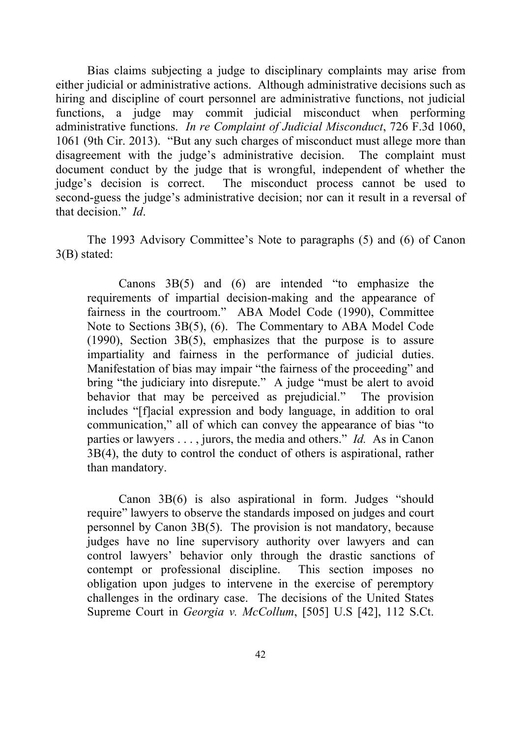Bias claims subjecting a judge to disciplinary complaints may arise from either judicial or administrative actions. Although administrative decisions such as hiring and discipline of court personnel are administrative functions, not judicial functions, a judge may commit judicial misconduct when performing administrative functions. *In re Complaint of Judicial Misconduct*, 726 F.3d 1060, 1061 (9th Cir. 2013). "But any such charges of misconduct must allege more than disagreement with the judge's administrative decision. The complaint must document conduct by the judge that is wrongful, independent of whether the judge's decision is correct. The misconduct process cannot be used to second-guess the judge's administrative decision; nor can it result in a reversal of that decision." *Id*.

The 1993 Advisory Committee's Note to paragraphs (5) and (6) of Canon 3(B) stated:

Canons 3B(5) and (6) are intended "to emphasize the requirements of impartial decision-making and the appearance of fairness in the courtroom." ABA Model Code (1990), Committee Note to Sections 3B(5), (6). The Commentary to ABA Model Code (1990), Section 3B(5), emphasizes that the purpose is to assure impartiality and fairness in the performance of judicial duties. Manifestation of bias may impair "the fairness of the proceeding" and bring "the judiciary into disrepute." A judge "must be alert to avoid behavior that may be perceived as prejudicial." The provision includes "[f]acial expression and body language, in addition to oral communication," all of which can convey the appearance of bias "to parties or lawyers . . . , jurors, the media and others." *Id.* As in Canon 3B(4), the duty to control the conduct of others is aspirational, rather than mandatory.

Canon 3B(6) is also aspirational in form. Judges "should require" lawyers to observe the standards imposed on judges and court personnel by Canon 3B(5). The provision is not mandatory, because judges have no line supervisory authority over lawyers and can control lawyers' behavior only through the drastic sanctions of contempt or professional discipline. This section imposes no obligation upon judges to intervene in the exercise of peremptory challenges in the ordinary case. The decisions of the United States Supreme Court in *Georgia v. McCollum*, [505] U.S [42], 112 S.Ct.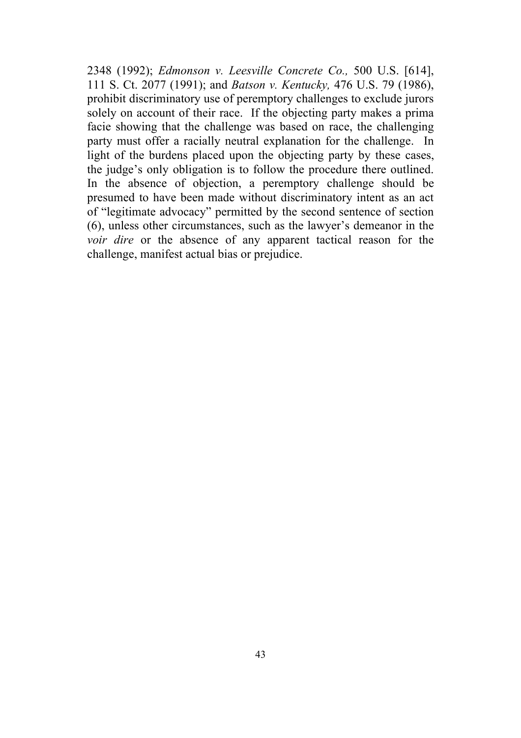2348 (1992); *Edmonson v. Leesville Concrete Co.,* 500 U.S. [614], 111 S. Ct. 2077 (1991); and *Batson v. Kentucky,* 476 U.S. 79 (1986), prohibit discriminatory use of peremptory challenges to exclude jurors solely on account of their race. If the objecting party makes a prima facie showing that the challenge was based on race, the challenging party must offer a racially neutral explanation for the challenge. In light of the burdens placed upon the objecting party by these cases, the judge's only obligation is to follow the procedure there outlined. In the absence of objection, a peremptory challenge should be presumed to have been made without discriminatory intent as an act of "legitimate advocacy" permitted by the second sentence of section (6), unless other circumstances, such as the lawyer's demeanor in the *voir dire* or the absence of any apparent tactical reason for the challenge, manifest actual bias or prejudice.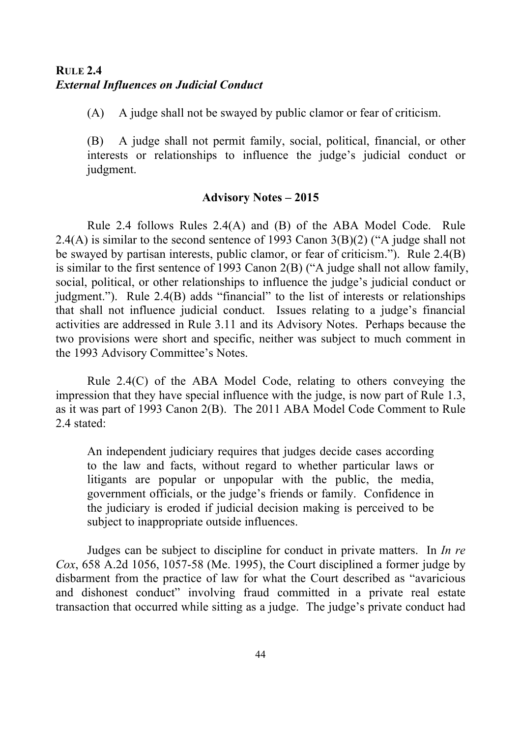## **RULE 2.4** *External Influences on Judicial Conduct*

(A) A judge shall not be swayed by public clamor or fear of criticism.

(B) A judge shall not permit family, social, political, financial, or other interests or relationships to influence the judge's judicial conduct or judgment.

#### **Advisory Notes – 2015**

Rule 2.4 follows Rules 2.4(A) and (B) of the ABA Model Code. Rule 2.4(A) is similar to the second sentence of 1993 Canon  $3(B)(2)$  ("A judge shall not be swayed by partisan interests, public clamor, or fear of criticism."). Rule 2.4(B) is similar to the first sentence of 1993 Canon 2(B) ("A judge shall not allow family, social, political, or other relationships to influence the judge's judicial conduct or judgment."). Rule 2.4(B) adds "financial" to the list of interests or relationships that shall not influence judicial conduct. Issues relating to a judge's financial activities are addressed in Rule 3.11 and its Advisory Notes. Perhaps because the two provisions were short and specific, neither was subject to much comment in the 1993 Advisory Committee's Notes.

Rule 2.4(C) of the ABA Model Code, relating to others conveying the impression that they have special influence with the judge, is now part of Rule 1.3, as it was part of 1993 Canon 2(B). The 2011 ABA Model Code Comment to Rule 2.4 stated:

An independent judiciary requires that judges decide cases according to the law and facts, without regard to whether particular laws or litigants are popular or unpopular with the public, the media, government officials, or the judge's friends or family. Confidence in the judiciary is eroded if judicial decision making is perceived to be subject to inappropriate outside influences.

Judges can be subject to discipline for conduct in private matters. In *In re Cox*, 658 A.2d 1056, 1057-58 (Me. 1995), the Court disciplined a former judge by disbarment from the practice of law for what the Court described as "avaricious and dishonest conduct" involving fraud committed in a private real estate transaction that occurred while sitting as a judge. The judge's private conduct had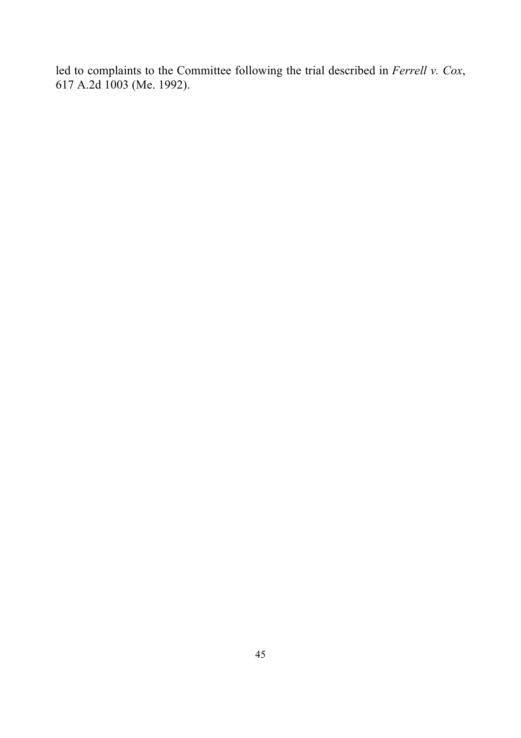led to complaints to the Committee following the trial described in *Ferrell v. Cox*, 617 A.2d 1003 (Me. 1992).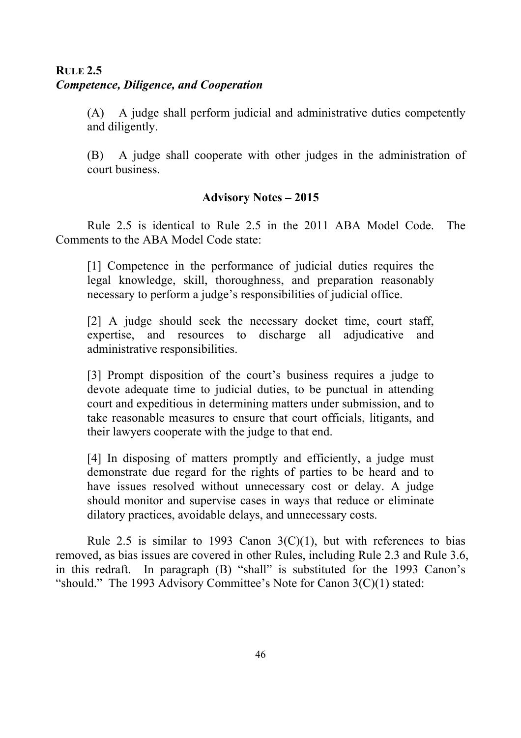## **RULE 2.5** *Competence, Diligence, and Cooperation*

(A) A judge shall perform judicial and administrative duties competently and diligently.

(B) A judge shall cooperate with other judges in the administration of court business.

## **Advisory Notes – 2015**

Rule 2.5 is identical to Rule 2.5 in the 2011 ABA Model Code. The Comments to the ABA Model Code state:

[1] Competence in the performance of judicial duties requires the legal knowledge, skill, thoroughness, and preparation reasonably necessary to perform a judge's responsibilities of judicial office.

[2] A judge should seek the necessary docket time, court staff, expertise, and resources to discharge all adjudicative and administrative responsibilities.

[3] Prompt disposition of the court's business requires a judge to devote adequate time to judicial duties, to be punctual in attending court and expeditious in determining matters under submission, and to take reasonable measures to ensure that court officials, litigants, and their lawyers cooperate with the judge to that end.

[4] In disposing of matters promptly and efficiently, a judge must demonstrate due regard for the rights of parties to be heard and to have issues resolved without unnecessary cost or delay. A judge should monitor and supervise cases in ways that reduce or eliminate dilatory practices, avoidable delays, and unnecessary costs.

Rule 2.5 is similar to 1993 Canon  $3(C)(1)$ , but with references to bias removed, as bias issues are covered in other Rules, including Rule 2.3 and Rule 3.6, in this redraft. In paragraph (B) "shall" is substituted for the 1993 Canon's "should." The 1993 Advisory Committee's Note for Canon  $3(C)(1)$  stated: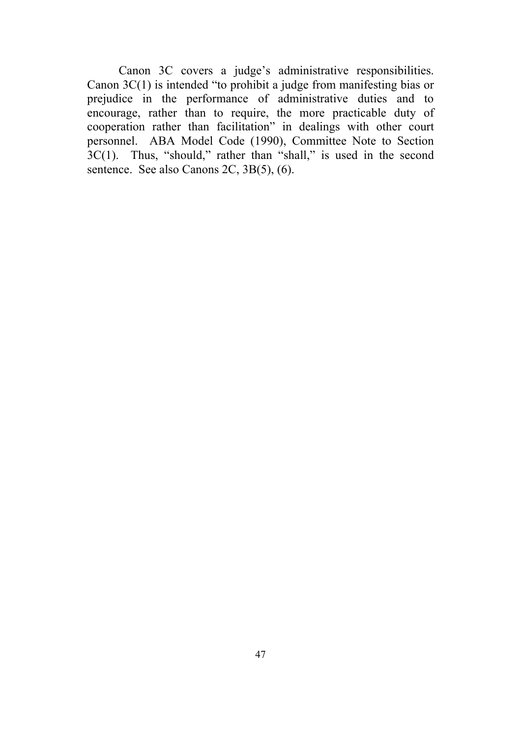Canon 3C covers a judge's administrative responsibilities. Canon 3C(1) is intended "to prohibit a judge from manifesting bias or prejudice in the performance of administrative duties and to encourage, rather than to require, the more practicable duty of cooperation rather than facilitation" in dealings with other court personnel. ABA Model Code (1990), Committee Note to Section  $3C(1)$ . Thus, "should," rather than "shall," is used in the second sentence. See also Canons 2C, 3B(5), (6).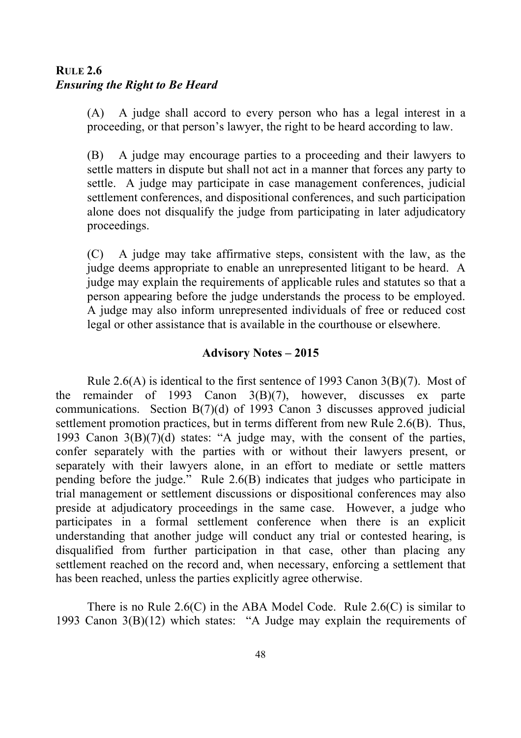### **RULE 2.6** *Ensuring the Right to Be Heard*

(A) A judge shall accord to every person who has a legal interest in a proceeding, or that person's lawyer, the right to be heard according to law.

(B) A judge may encourage parties to a proceeding and their lawyers to settle matters in dispute but shall not act in a manner that forces any party to settle. A judge may participate in case management conferences, judicial settlement conferences, and dispositional conferences, and such participation alone does not disqualify the judge from participating in later adjudicatory proceedings.

(C) A judge may take affirmative steps, consistent with the law, as the judge deems appropriate to enable an unrepresented litigant to be heard. A judge may explain the requirements of applicable rules and statutes so that a person appearing before the judge understands the process to be employed. A judge may also inform unrepresented individuals of free or reduced cost legal or other assistance that is available in the courthouse or elsewhere.

### **Advisory Notes – 2015**

Rule 2.6(A) is identical to the first sentence of 1993 Canon 3(B)(7). Most of the remainder of 1993 Canon 3(B)(7), however, discusses ex parte communications. Section B(7)(d) of 1993 Canon 3 discusses approved judicial settlement promotion practices, but in terms different from new Rule 2.6(B). Thus, 1993 Canon 3(B)(7)(d) states: "A judge may, with the consent of the parties, confer separately with the parties with or without their lawyers present, or separately with their lawyers alone, in an effort to mediate or settle matters pending before the judge." Rule 2.6(B) indicates that judges who participate in trial management or settlement discussions or dispositional conferences may also preside at adjudicatory proceedings in the same case. However, a judge who participates in a formal settlement conference when there is an explicit understanding that another judge will conduct any trial or contested hearing, is disqualified from further participation in that case, other than placing any settlement reached on the record and, when necessary, enforcing a settlement that has been reached, unless the parties explicitly agree otherwise.

There is no Rule  $2.6(C)$  in the ABA Model Code. Rule  $2.6(C)$  is similar to 1993 Canon 3(B)(12) which states: "A Judge may explain the requirements of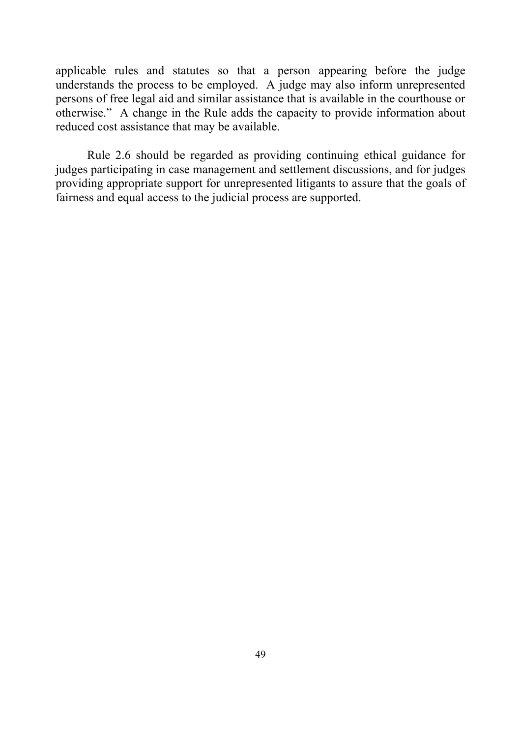applicable rules and statutes so that a person appearing before the judge understands the process to be employed. A judge may also inform unrepresented persons of free legal aid and similar assistance that is available in the courthouse or otherwise." A change in the Rule adds the capacity to provide information about reduced cost assistance that may be available.

Rule 2.6 should be regarded as providing continuing ethical guidance for judges participating in case management and settlement discussions, and for judges providing appropriate support for unrepresented litigants to assure that the goals of fairness and equal access to the judicial process are supported.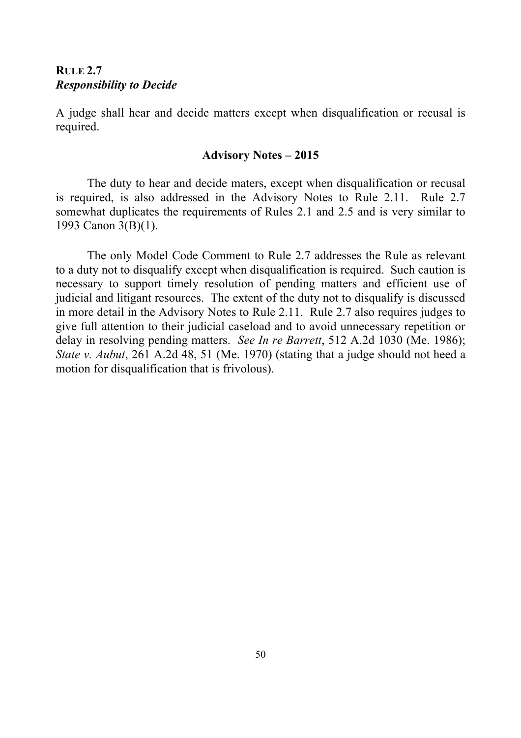### **RULE 2.7** *Responsibility to Decide*

A judge shall hear and decide matters except when disqualification or recusal is required.

#### **Advisory Notes – 2015**

The duty to hear and decide maters, except when disqualification or recusal is required, is also addressed in the Advisory Notes to Rule 2.11. Rule 2.7 somewhat duplicates the requirements of Rules 2.1 and 2.5 and is very similar to 1993 Canon 3(B)(1).

The only Model Code Comment to Rule 2.7 addresses the Rule as relevant to a duty not to disqualify except when disqualification is required. Such caution is necessary to support timely resolution of pending matters and efficient use of judicial and litigant resources. The extent of the duty not to disqualify is discussed in more detail in the Advisory Notes to Rule 2.11. Rule 2.7 also requires judges to give full attention to their judicial caseload and to avoid unnecessary repetition or delay in resolving pending matters. *See In re Barrett*, 512 A.2d 1030 (Me. 1986); *State v. Aubut*, 261 A.2d 48, 51 (Me. 1970) (stating that a judge should not heed a motion for disqualification that is frivolous).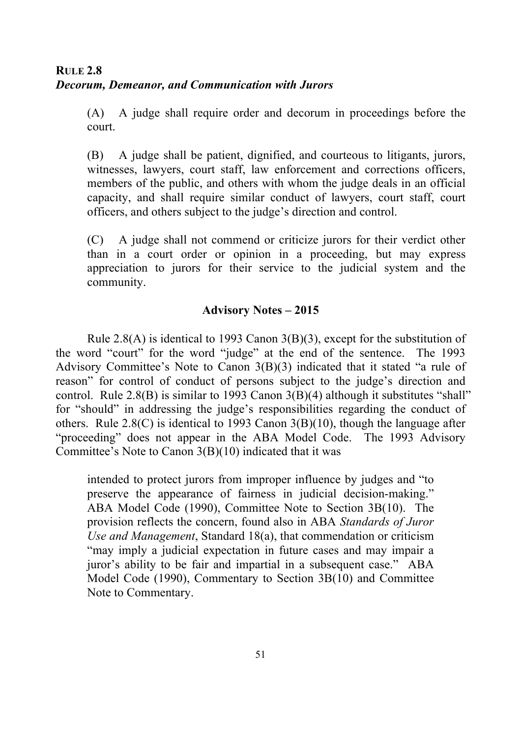## **RULE 2.8** *Decorum, Demeanor, and Communication with Jurors*

(A) A judge shall require order and decorum in proceedings before the court.

(B) A judge shall be patient, dignified, and courteous to litigants, jurors, witnesses, lawyers, court staff, law enforcement and corrections officers, members of the public, and others with whom the judge deals in an official capacity, and shall require similar conduct of lawyers, court staff, court officers, and others subject to the judge's direction and control.

(C) A judge shall not commend or criticize jurors for their verdict other than in a court order or opinion in a proceeding, but may express appreciation to jurors for their service to the judicial system and the community.

## **Advisory Notes – 2015**

Rule 2.8(A) is identical to 1993 Canon 3(B)(3), except for the substitution of the word "court" for the word "judge" at the end of the sentence. The 1993 Advisory Committee's Note to Canon 3(B)(3) indicated that it stated "a rule of reason" for control of conduct of persons subject to the judge's direction and control. Rule 2.8(B) is similar to 1993 Canon 3(B)(4) although it substitutes "shall" for "should" in addressing the judge's responsibilities regarding the conduct of others. Rule 2.8(C) is identical to 1993 Canon 3(B)(10), though the language after "proceeding" does not appear in the ABA Model Code. The 1993 Advisory Committee's Note to Canon 3(B)(10) indicated that it was

intended to protect jurors from improper influence by judges and "to preserve the appearance of fairness in judicial decision-making." ABA Model Code (1990), Committee Note to Section 3B(10). The provision reflects the concern, found also in ABA *Standards of Juror Use and Management*, Standard 18(a), that commendation or criticism "may imply a judicial expectation in future cases and may impair a juror's ability to be fair and impartial in a subsequent case." ABA Model Code (1990), Commentary to Section 3B(10) and Committee Note to Commentary.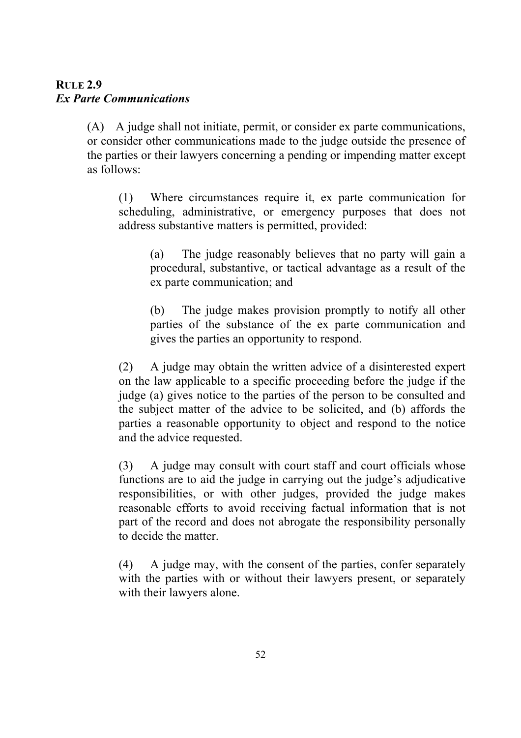## **RULE 2.9** *Ex Parte Communications*

(A) A judge shall not initiate, permit, or consider ex parte communications, or consider other communications made to the judge outside the presence of the parties or their lawyers concerning a pending or impending matter except as follows:

(1) Where circumstances require it, ex parte communication for scheduling, administrative, or emergency purposes that does not address substantive matters is permitted, provided:

(a) The judge reasonably believes that no party will gain a procedural, substantive, or tactical advantage as a result of the ex parte communication; and

(b) The judge makes provision promptly to notify all other parties of the substance of the ex parte communication and gives the parties an opportunity to respond.

(2) A judge may obtain the written advice of a disinterested expert on the law applicable to a specific proceeding before the judge if the judge (a) gives notice to the parties of the person to be consulted and the subject matter of the advice to be solicited, and (b) affords the parties a reasonable opportunity to object and respond to the notice and the advice requested.

(3) A judge may consult with court staff and court officials whose functions are to aid the judge in carrying out the judge's adjudicative responsibilities, or with other judges, provided the judge makes reasonable efforts to avoid receiving factual information that is not part of the record and does not abrogate the responsibility personally to decide the matter.

(4) A judge may, with the consent of the parties, confer separately with the parties with or without their lawyers present, or separately with their lawyers alone.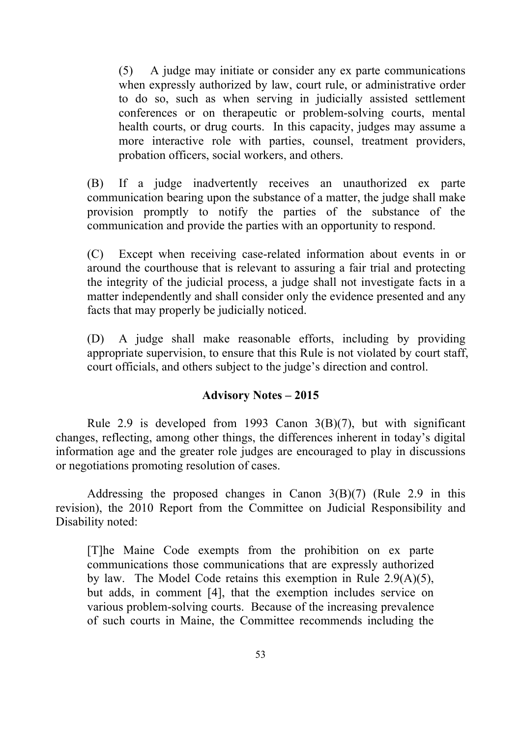(5) A judge may initiate or consider any ex parte communications when expressly authorized by law, court rule, or administrative order to do so, such as when serving in judicially assisted settlement conferences or on therapeutic or problem-solving courts, mental health courts, or drug courts. In this capacity, judges may assume a more interactive role with parties, counsel, treatment providers, probation officers, social workers, and others.

(B) If a judge inadvertently receives an unauthorized ex parte communication bearing upon the substance of a matter, the judge shall make provision promptly to notify the parties of the substance of the communication and provide the parties with an opportunity to respond.

(C) Except when receiving case-related information about events in or around the courthouse that is relevant to assuring a fair trial and protecting the integrity of the judicial process, a judge shall not investigate facts in a matter independently and shall consider only the evidence presented and any facts that may properly be judicially noticed.

(D) A judge shall make reasonable efforts, including by providing appropriate supervision, to ensure that this Rule is not violated by court staff, court officials, and others subject to the judge's direction and control.

### **Advisory Notes – 2015**

Rule 2.9 is developed from 1993 Canon 3(B)(7), but with significant changes, reflecting, among other things, the differences inherent in today's digital information age and the greater role judges are encouraged to play in discussions or negotiations promoting resolution of cases.

Addressing the proposed changes in Canon 3(B)(7) (Rule 2.9 in this revision), the 2010 Report from the Committee on Judicial Responsibility and Disability noted:

[T]he Maine Code exempts from the prohibition on ex parte communications those communications that are expressly authorized by law. The Model Code retains this exemption in Rule 2.9(A)(5), but adds, in comment [4], that the exemption includes service on various problem-solving courts. Because of the increasing prevalence of such courts in Maine, the Committee recommends including the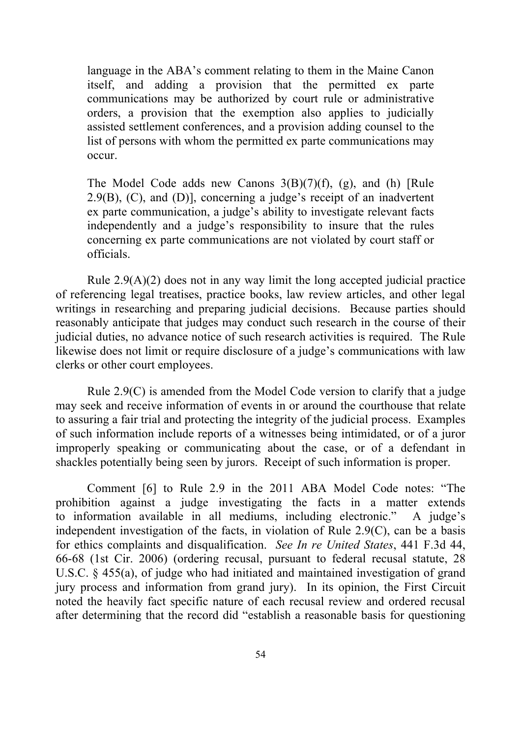language in the ABA's comment relating to them in the Maine Canon itself, and adding a provision that the permitted ex parte communications may be authorized by court rule or administrative orders, a provision that the exemption also applies to judicially assisted settlement conferences, and a provision adding counsel to the list of persons with whom the permitted ex parte communications may occur.

The Model Code adds new Canons 3(B)(7)(f), (g), and (h) [Rule 2.9(B), (C), and (D)], concerning a judge's receipt of an inadvertent ex parte communication, a judge's ability to investigate relevant facts independently and a judge's responsibility to insure that the rules concerning ex parte communications are not violated by court staff or officials.

Rule 2.9(A)(2) does not in any way limit the long accepted judicial practice of referencing legal treatises, practice books, law review articles, and other legal writings in researching and preparing judicial decisions. Because parties should reasonably anticipate that judges may conduct such research in the course of their judicial duties, no advance notice of such research activities is required. The Rule likewise does not limit or require disclosure of a judge's communications with law clerks or other court employees.

Rule 2.9(C) is amended from the Model Code version to clarify that a judge may seek and receive information of events in or around the courthouse that relate to assuring a fair trial and protecting the integrity of the judicial process. Examples of such information include reports of a witnesses being intimidated, or of a juror improperly speaking or communicating about the case, or of a defendant in shackles potentially being seen by jurors. Receipt of such information is proper.

Comment [6] to Rule 2.9 in the 2011 ABA Model Code notes: "The prohibition against a judge investigating the facts in a matter extends to information available in all mediums, including electronic." A judge's independent investigation of the facts, in violation of Rule 2.9(C), can be a basis for ethics complaints and disqualification. *See In re United States*, 441 F.3d 44, 66-68 (1st Cir. 2006) (ordering recusal, pursuant to federal recusal statute, 28 U.S.C. § 455(a), of judge who had initiated and maintained investigation of grand jury process and information from grand jury). In its opinion, the First Circuit noted the heavily fact specific nature of each recusal review and ordered recusal after determining that the record did "establish a reasonable basis for questioning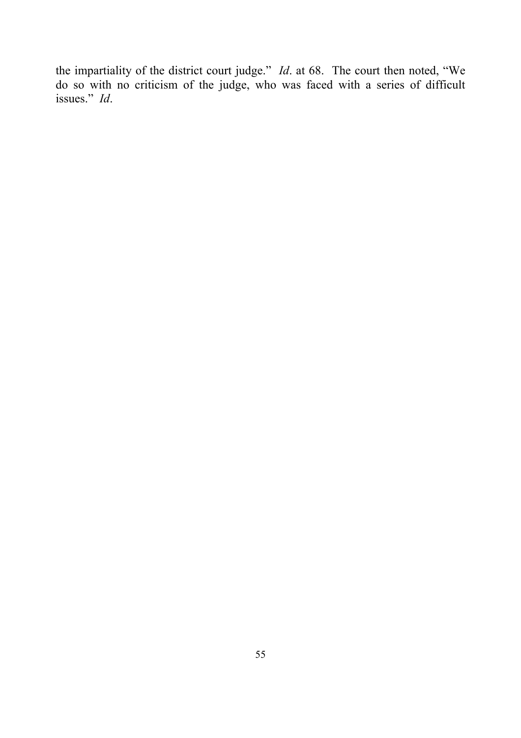the impartiality of the district court judge." *Id*. at 68. The court then noted, "We do so with no criticism of the judge, who was faced with a series of difficult issues." *Id*.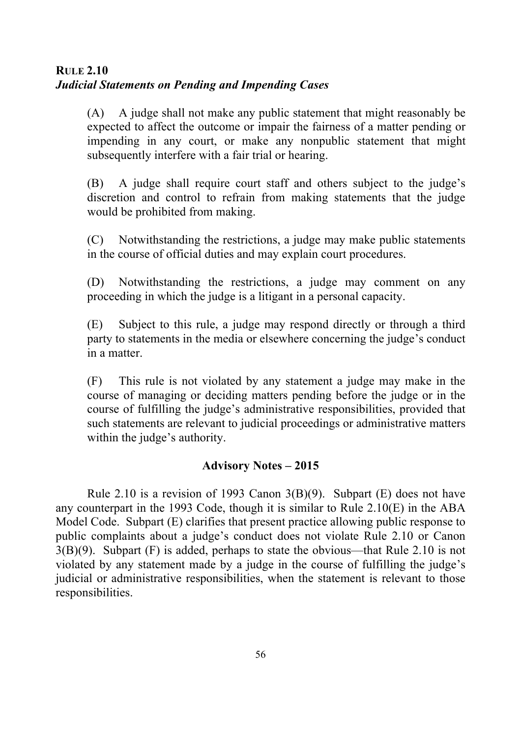## **RULE 2.10** *Judicial Statements on Pending and Impending Cases*

(A) A judge shall not make any public statement that might reasonably be expected to affect the outcome or impair the fairness of a matter pending or impending in any court, or make any nonpublic statement that might subsequently interfere with a fair trial or hearing.

(B) A judge shall require court staff and others subject to the judge's discretion and control to refrain from making statements that the judge would be prohibited from making.

(C) Notwithstanding the restrictions, a judge may make public statements in the course of official duties and may explain court procedures.

(D) Notwithstanding the restrictions, a judge may comment on any proceeding in which the judge is a litigant in a personal capacity.

(E) Subject to this rule, a judge may respond directly or through a third party to statements in the media or elsewhere concerning the judge's conduct in a matter.

(F) This rule is not violated by any statement a judge may make in the course of managing or deciding matters pending before the judge or in the course of fulfilling the judge's administrative responsibilities, provided that such statements are relevant to judicial proceedings or administrative matters within the judge's authority.

# **Advisory Notes – 2015**

Rule 2.10 is a revision of 1993 Canon 3(B)(9). Subpart (E) does not have any counterpart in the 1993 Code, though it is similar to Rule 2.10(E) in the ABA Model Code. Subpart (E) clarifies that present practice allowing public response to public complaints about a judge's conduct does not violate Rule 2.10 or Canon 3(B)(9). Subpart (F) is added, perhaps to state the obvious—that Rule 2.10 is not violated by any statement made by a judge in the course of fulfilling the judge's judicial or administrative responsibilities, when the statement is relevant to those responsibilities.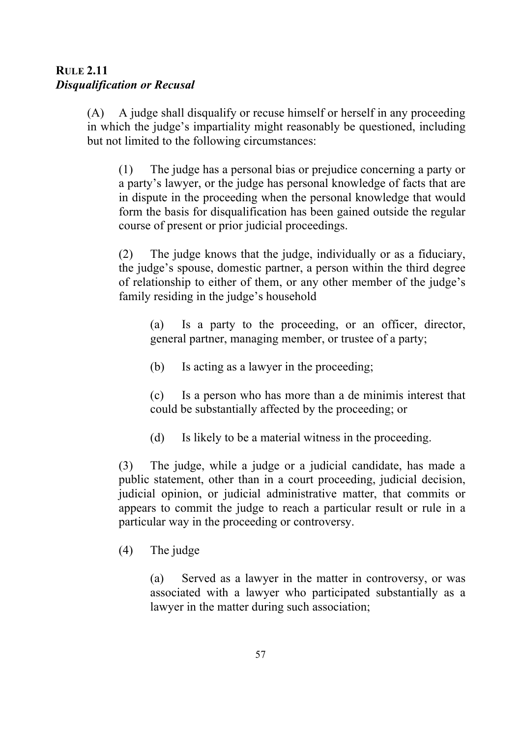### **RULE 2.11** *Disqualification or Recusal*

(A) A judge shall disqualify or recuse himself or herself in any proceeding in which the judge's impartiality might reasonably be questioned, including but not limited to the following circumstances:

(1) The judge has a personal bias or prejudice concerning a party or a party's lawyer, or the judge has personal knowledge of facts that are in dispute in the proceeding when the personal knowledge that would form the basis for disqualification has been gained outside the regular course of present or prior judicial proceedings.

(2) The judge knows that the judge, individually or as a fiduciary, the judge's spouse, domestic partner, a person within the third degree of relationship to either of them, or any other member of the judge's family residing in the judge's household

(a) Is a party to the proceeding, or an officer, director, general partner, managing member, or trustee of a party;

(b) Is acting as a lawyer in the proceeding;

(c) Is a person who has more than a de minimis interest that could be substantially affected by the proceeding; or

(d) Is likely to be a material witness in the proceeding.

(3) The judge, while a judge or a judicial candidate, has made a public statement, other than in a court proceeding, judicial decision, judicial opinion, or judicial administrative matter, that commits or appears to commit the judge to reach a particular result or rule in a particular way in the proceeding or controversy.

(4) The judge

(a) Served as a lawyer in the matter in controversy, or was associated with a lawyer who participated substantially as a lawyer in the matter during such association;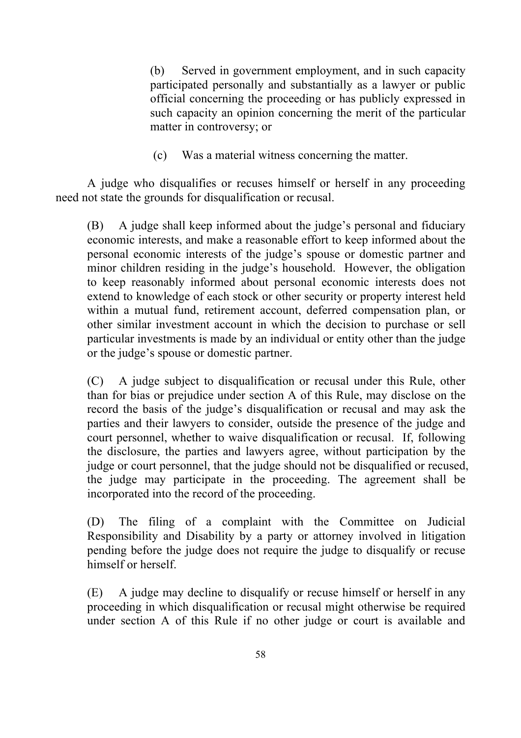(b) Served in government employment, and in such capacity participated personally and substantially as a lawyer or public official concerning the proceeding or has publicly expressed in such capacity an opinion concerning the merit of the particular matter in controversy; or

(c) Was a material witness concerning the matter.

A judge who disqualifies or recuses himself or herself in any proceeding need not state the grounds for disqualification or recusal.

(B) A judge shall keep informed about the judge's personal and fiduciary economic interests, and make a reasonable effort to keep informed about the personal economic interests of the judge's spouse or domestic partner and minor children residing in the judge's household. However, the obligation to keep reasonably informed about personal economic interests does not extend to knowledge of each stock or other security or property interest held within a mutual fund, retirement account, deferred compensation plan, or other similar investment account in which the decision to purchase or sell particular investments is made by an individual or entity other than the judge or the judge's spouse or domestic partner.

(C) A judge subject to disqualification or recusal under this Rule, other than for bias or prejudice under section A of this Rule, may disclose on the record the basis of the judge's disqualification or recusal and may ask the parties and their lawyers to consider, outside the presence of the judge and court personnel, whether to waive disqualification or recusal. If, following the disclosure, the parties and lawyers agree, without participation by the judge or court personnel, that the judge should not be disqualified or recused, the judge may participate in the proceeding. The agreement shall be incorporated into the record of the proceeding.

(D) The filing of a complaint with the Committee on Judicial Responsibility and Disability by a party or attorney involved in litigation pending before the judge does not require the judge to disqualify or recuse himself or herself.

(E) A judge may decline to disqualify or recuse himself or herself in any proceeding in which disqualification or recusal might otherwise be required under section A of this Rule if no other judge or court is available and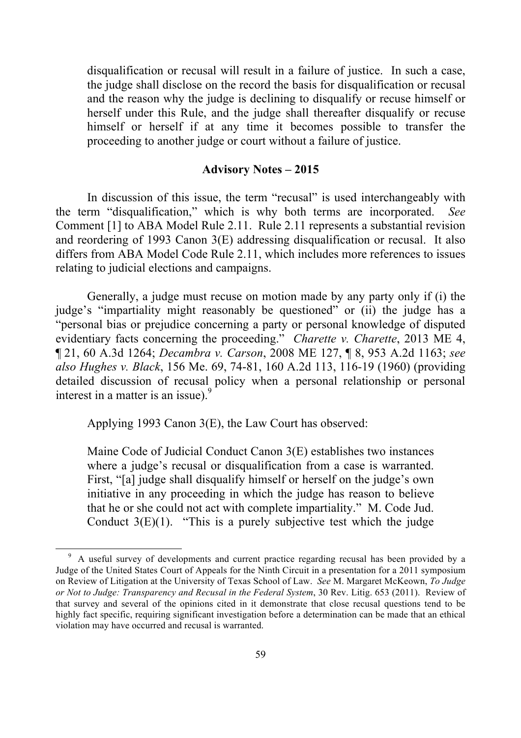disqualification or recusal will result in a failure of justice. In such a case, the judge shall disclose on the record the basis for disqualification or recusal and the reason why the judge is declining to disqualify or recuse himself or herself under this Rule, and the judge shall thereafter disqualify or recuse himself or herself if at any time it becomes possible to transfer the proceeding to another judge or court without a failure of justice.

#### **Advisory Notes – 2015**

In discussion of this issue, the term "recusal" is used interchangeably with the term "disqualification," which is why both terms are incorporated. *See* Comment [1] to ABA Model Rule 2.11. Rule 2.11 represents a substantial revision and reordering of 1993 Canon 3(E) addressing disqualification or recusal. It also differs from ABA Model Code Rule 2.11, which includes more references to issues relating to judicial elections and campaigns.

Generally, a judge must recuse on motion made by any party only if (i) the judge's "impartiality might reasonably be questioned" or (ii) the judge has a "personal bias or prejudice concerning a party or personal knowledge of disputed evidentiary facts concerning the proceeding." *Charette v. Charette*, 2013 ME 4, ¶ 21, 60 A.3d 1264; *Decambra v. Carson*, 2008 ME 127, ¶ 8, 953 A.2d 1163; *see also Hughes v. Black*, 156 Me. 69, 74-81, 160 A.2d 113, 116-19 (1960) (providing detailed discussion of recusal policy when a personal relationship or personal interest in a matter is an issue). $9^{\circ}$ 

Applying 1993 Canon 3(E), the Law Court has observed:

Maine Code of Judicial Conduct Canon 3(E) establishes two instances where a judge's recusal or disqualification from a case is warranted. First, "[a] judge shall disqualify himself or herself on the judge's own initiative in any proceeding in which the judge has reason to believe that he or she could not act with complete impartiality." M. Code Jud. Conduct  $3(E)(1)$ . "This is a purely subjective test which the judge

 $\frac{1}{9}$ <sup>9</sup> A useful survey of developments and current practice regarding recusal has been provided by a Judge of the United States Court of Appeals for the Ninth Circuit in a presentation for a 2011 symposium on Review of Litigation at the University of Texas School of Law. *See* M. Margaret McKeown, *To Judge or Not to Judge: Transparency and Recusal in the Federal System*, 30 Rev. Litig. 653 (2011). Review of that survey and several of the opinions cited in it demonstrate that close recusal questions tend to be highly fact specific, requiring significant investigation before a determination can be made that an ethical violation may have occurred and recusal is warranted.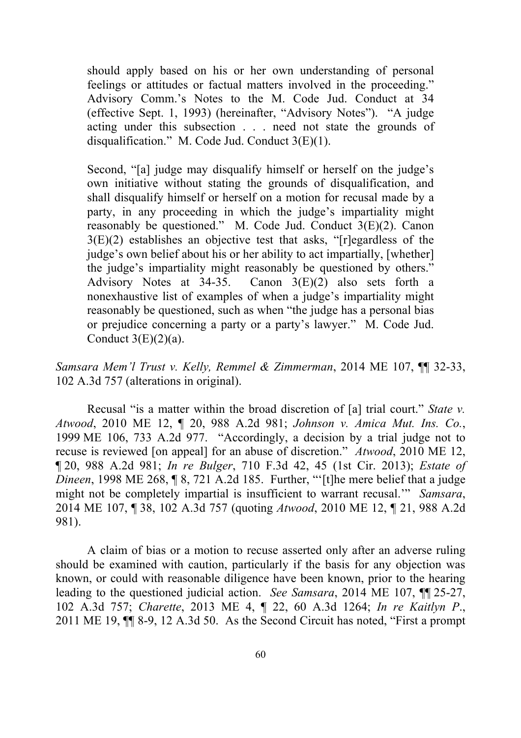should apply based on his or her own understanding of personal feelings or attitudes or factual matters involved in the proceeding." Advisory Comm.'s Notes to the M. Code Jud. Conduct at 34 (effective Sept. 1, 1993) (hereinafter, "Advisory Notes"). "A judge acting under this subsection . . . need not state the grounds of disqualification." M. Code Jud. Conduct 3(E)(1).

Second, "[a] judge may disqualify himself or herself on the judge's own initiative without stating the grounds of disqualification, and shall disqualify himself or herself on a motion for recusal made by a party, in any proceeding in which the judge's impartiality might reasonably be questioned." M. Code Jud. Conduct  $3(E)(2)$ . Canon 3(E)(2) establishes an objective test that asks, "[r]egardless of the judge's own belief about his or her ability to act impartially, [whether] the judge's impartiality might reasonably be questioned by others." Advisory Notes at 34-35. Canon 3(E)(2) also sets forth a nonexhaustive list of examples of when a judge's impartiality might reasonably be questioned, such as when "the judge has a personal bias or prejudice concerning a party or a party's lawyer." M. Code Jud. Conduct  $3(E)(2)(a)$ .

*Samsara Mem'l Trust v. Kelly, Remmel & Zimmerman*, 2014 ME 107, ¶¶ 32-33, 102 A.3d 757 (alterations in original).

Recusal "is a matter within the broad discretion of [a] trial court." *State v. Atwood*, 2010 ME 12, ¶ 20, 988 A.2d 981; *Johnson v. Amica Mut. Ins. Co.*, 1999 ME 106, 733 A.2d 977. "Accordingly, a decision by a trial judge not to recuse is reviewed [on appeal] for an abuse of discretion." *Atwood*, 2010 ME 12, ¶ 20, 988 A.2d 981; *In re Bulger*, 710 F.3d 42, 45 (1st Cir. 2013); *Estate of Dineen*, 1998 ME 268, ¶ 8, 721 A.2d 185. Further, "'[t]he mere belief that a judge might not be completely impartial is insufficient to warrant recusal.'" *Samsara*, 2014 ME 107, ¶ 38, 102 A.3d 757 (quoting *Atwood*, 2010 ME 12, ¶ 21, 988 A.2d 981).

A claim of bias or a motion to recuse asserted only after an adverse ruling should be examined with caution, particularly if the basis for any objection was known, or could with reasonable diligence have been known, prior to the hearing leading to the questioned judicial action. *See Samsara*, 2014 ME 107, ¶¶ 25-27, 102 A.3d 757; *Charette*, 2013 ME 4, ¶ 22, 60 A.3d 1264; *In re Kaitlyn P*., 2011 ME 19, ¶¶ 8-9, 12 A.3d 50. As the Second Circuit has noted, "First a prompt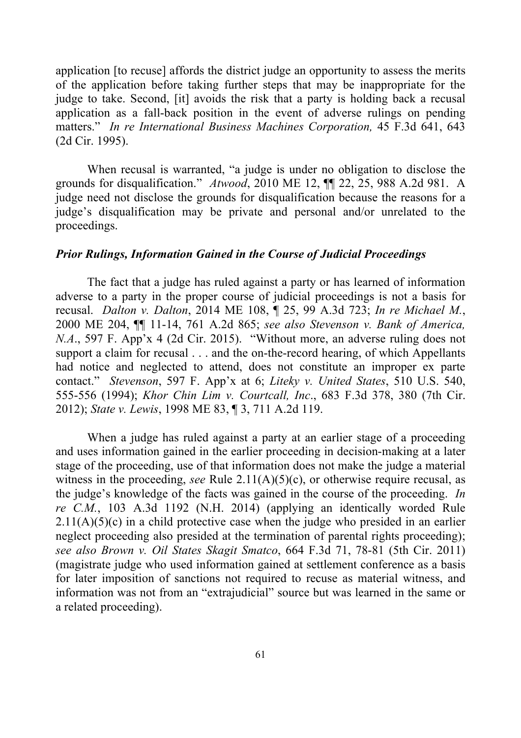application [to recuse] affords the district judge an opportunity to assess the merits of the application before taking further steps that may be inappropriate for the judge to take. Second, [it] avoids the risk that a party is holding back a recusal application as a fall-back position in the event of adverse rulings on pending matters." *In re International Business Machines Corporation,* 45 F.3d 641, 643 (2d Cir. 1995).

When recusal is warranted, "a judge is under no obligation to disclose the grounds for disqualification." *Atwood*, 2010 ME 12, ¶¶ 22, 25, 988 A.2d 981. A judge need not disclose the grounds for disqualification because the reasons for a judge's disqualification may be private and personal and/or unrelated to the proceedings.

# *Prior Rulings, Information Gained in the Course of Judicial Proceedings*

The fact that a judge has ruled against a party or has learned of information adverse to a party in the proper course of judicial proceedings is not a basis for recusal. *Dalton v. Dalton*, 2014 ME 108, ¶ 25, 99 A.3d 723; *In re Michael M.*, 2000 ME 204, ¶¶ 11-14, 761 A.2d 865; *see also Stevenson v. Bank of America, N.A*., 597 F. App'x 4 (2d Cir. 2015). "Without more, an adverse ruling does not support a claim for recusal . . . and the on-the-record hearing, of which Appellants had notice and neglected to attend, does not constitute an improper ex parte contact." *Stevenson*, 597 F. App'x at 6; *Liteky v. United States*, 510 U.S. 540, 555-556 (1994); *Khor Chin Lim v. Courtcall, Inc*., 683 F.3d 378, 380 (7th Cir. 2012); *State v. Lewis*, 1998 ME 83, ¶ 3, 711 A.2d 119.

When a judge has ruled against a party at an earlier stage of a proceeding and uses information gained in the earlier proceeding in decision-making at a later stage of the proceeding, use of that information does not make the judge a material witness in the proceeding, *see* Rule 2.11(A)(5)(c), or otherwise require recusal, as the judge's knowledge of the facts was gained in the course of the proceeding. *In re C.M.*, 103 A.3d 1192 (N.H. 2014) (applying an identically worded Rule  $2.11(A)(5)(c)$  in a child protective case when the judge who presided in an earlier neglect proceeding also presided at the termination of parental rights proceeding); *see also Brown v. Oil States Skagit Smatco*, 664 F.3d 71, 78-81 (5th Cir. 2011) (magistrate judge who used information gained at settlement conference as a basis for later imposition of sanctions not required to recuse as material witness, and information was not from an "extrajudicial" source but was learned in the same or a related proceeding).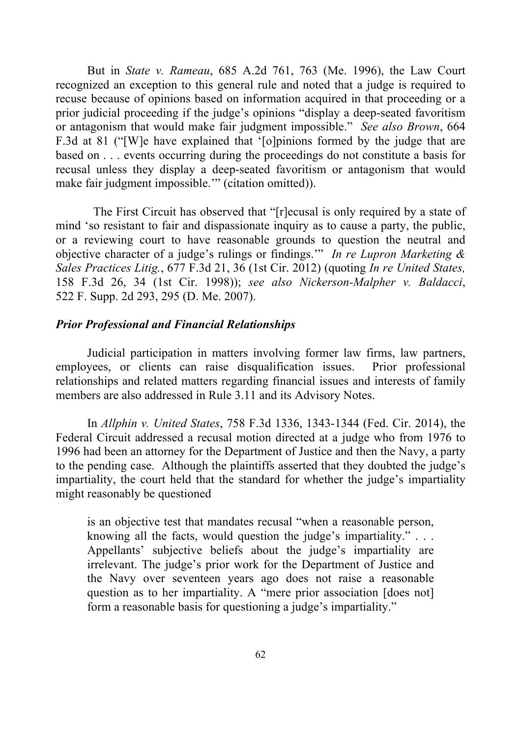But in *State v. Rameau*, 685 A.2d 761, 763 (Me. 1996), the Law Court recognized an exception to this general rule and noted that a judge is required to recuse because of opinions based on information acquired in that proceeding or a prior judicial proceeding if the judge's opinions "display a deep-seated favoritism or antagonism that would make fair judgment impossible." *See also Brown*, 664 F.3d at 81 ("[W]e have explained that '[o]pinions formed by the judge that are based on . . . events occurring during the proceedings do not constitute a basis for recusal unless they display a deep-seated favoritism or antagonism that would make fair judgment impossible.'" (citation omitted)).

 The First Circuit has observed that "[r]ecusal is only required by a state of mind 'so resistant to fair and dispassionate inquiry as to cause a party, the public, or a reviewing court to have reasonable grounds to question the neutral and objective character of a judge's rulings or findings.'" *In re Lupron Marketing & Sales Practices Litig.*, 677 F.3d 21, 36 (1st Cir. 2012) (quoting *In re United States,* 158 F.3d 26, 34 (1st Cir. 1998)); *see also Nickerson-Malpher v. Baldacci*, 522 F. Supp. 2d 293, 295 (D. Me. 2007).

#### *Prior Professional and Financial Relationships*

Judicial participation in matters involving former law firms, law partners, employees, or clients can raise disqualification issues. Prior professional relationships and related matters regarding financial issues and interests of family members are also addressed in Rule 3.11 and its Advisory Notes.

In *Allphin v. United States*, 758 F.3d 1336, 1343-1344 (Fed. Cir. 2014), the Federal Circuit addressed a recusal motion directed at a judge who from 1976 to 1996 had been an attorney for the Department of Justice and then the Navy, a party to the pending case. Although the plaintiffs asserted that they doubted the judge's impartiality, the court held that the standard for whether the judge's impartiality might reasonably be questioned

is an objective test that mandates recusal "when a reasonable person, knowing all the facts, would question the judge's impartiality." . . . Appellants' subjective beliefs about the judge's impartiality are irrelevant. The judge's prior work for the Department of Justice and the Navy over seventeen years ago does not raise a reasonable question as to her impartiality. A "mere prior association [does not] form a reasonable basis for questioning a judge's impartiality."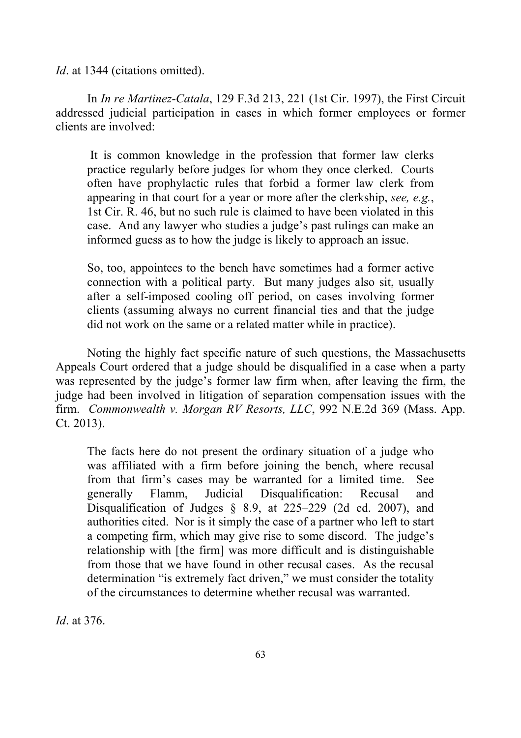*Id.* at 1344 (citations omitted).

In *In re Martinez-Catala*, 129 F.3d 213, 221 (1st Cir. 1997), the First Circuit addressed judicial participation in cases in which former employees or former clients are involved:

It is common knowledge in the profession that former law clerks practice regularly before judges for whom they once clerked. Courts often have prophylactic rules that forbid a former law clerk from appearing in that court for a year or more after the clerkship, *see, e.g.*, 1st Cir. R. 46, but no such rule is claimed to have been violated in this case. And any lawyer who studies a judge's past rulings can make an informed guess as to how the judge is likely to approach an issue.

So, too, appointees to the bench have sometimes had a former active connection with a political party. But many judges also sit, usually after a self-imposed cooling off period, on cases involving former clients (assuming always no current financial ties and that the judge did not work on the same or a related matter while in practice).

Noting the highly fact specific nature of such questions, the Massachusetts Appeals Court ordered that a judge should be disqualified in a case when a party was represented by the judge's former law firm when, after leaving the firm, the judge had been involved in litigation of separation compensation issues with the firm. *Commonwealth v. Morgan RV Resorts, LLC*, 992 N.E.2d 369 (Mass. App. Ct. 2013).

The facts here do not present the ordinary situation of a judge who was affiliated with a firm before joining the bench, where recusal from that firm's cases may be warranted for a limited time. See generally Flamm, Judicial Disqualification: Recusal and Disqualification of Judges § 8.9, at 225–229 (2d ed. 2007), and authorities cited. Nor is it simply the case of a partner who left to start a competing firm, which may give rise to some discord. The judge's relationship with [the firm] was more difficult and is distinguishable from those that we have found in other recusal cases. As the recusal determination "is extremely fact driven," we must consider the totality of the circumstances to determine whether recusal was warranted.

*Id*. at 376.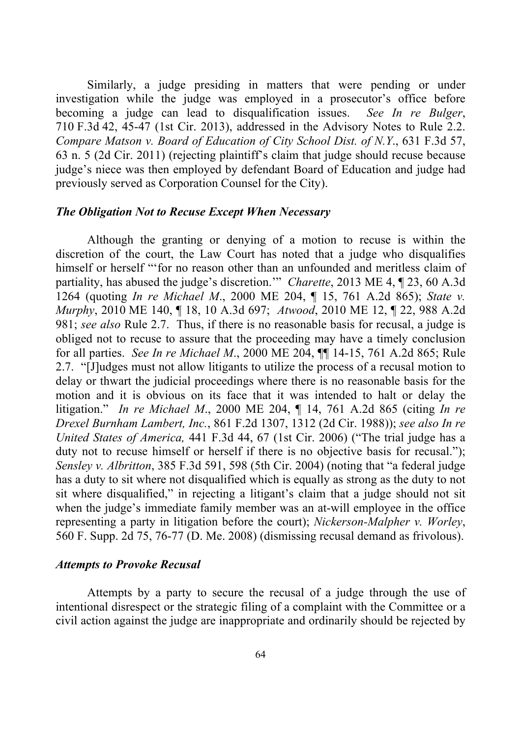Similarly, a judge presiding in matters that were pending or under investigation while the judge was employed in a prosecutor's office before becoming a judge can lead to disqualification issues. *See In re Bulger*, 710 F.3d 42, 45-47 (1st Cir. 2013), addressed in the Advisory Notes to Rule 2.2. *Compare Matson v. Board of Education of City School Dist. of N.Y*., 631 F.3d 57, 63 n. 5 (2d Cir. 2011) (rejecting plaintiff's claim that judge should recuse because judge's niece was then employed by defendant Board of Education and judge had previously served as Corporation Counsel for the City).

#### *The Obligation Not to Recuse Except When Necessary*

Although the granting or denying of a motion to recuse is within the discretion of the court, the Law Court has noted that a judge who disqualifies himself or herself "'for no reason other than an unfounded and meritless claim of partiality, has abused the judge's discretion.'" *Charette*, 2013 ME 4, ¶ 23, 60 A.3d 1264 (quoting *In re Michael M*., 2000 ME 204, ¶ 15, 761 A.2d 865); *State v. Murphy*, 2010 ME 140, ¶ 18, 10 A.3d 697; *Atwood*, 2010 ME 12, ¶ 22, 988 A.2d 981; *see also* Rule 2.7. Thus, if there is no reasonable basis for recusal, a judge is obliged not to recuse to assure that the proceeding may have a timely conclusion for all parties. *See In re Michael M*., 2000 ME 204, ¶¶ 14-15, 761 A.2d 865; Rule 2.7. "[J]udges must not allow litigants to utilize the process of a recusal motion to delay or thwart the judicial proceedings where there is no reasonable basis for the motion and it is obvious on its face that it was intended to halt or delay the litigation." *In re Michael M*., 2000 ME 204, ¶ 14, 761 A.2d 865 (citing *In re Drexel Burnham Lambert, Inc.*, 861 F.2d 1307, 1312 (2d Cir. 1988)); *see also In re United States of America,* 441 F.3d 44, 67 (1st Cir. 2006) ("The trial judge has a duty not to recuse himself or herself if there is no objective basis for recusal."); *Sensley v. Albritton*, 385 F.3d 591, 598 (5th Cir. 2004) (noting that "a federal judge has a duty to sit where not disqualified which is equally as strong as the duty to not sit where disqualified," in rejecting a litigant's claim that a judge should not sit when the judge's immediate family member was an at-will employee in the office representing a party in litigation before the court); *Nickerson-Malpher v. Worley*, 560 F. Supp. 2d 75, 76-77 (D. Me. 2008) (dismissing recusal demand as frivolous).

#### *Attempts to Provoke Recusal*

Attempts by a party to secure the recusal of a judge through the use of intentional disrespect or the strategic filing of a complaint with the Committee or a civil action against the judge are inappropriate and ordinarily should be rejected by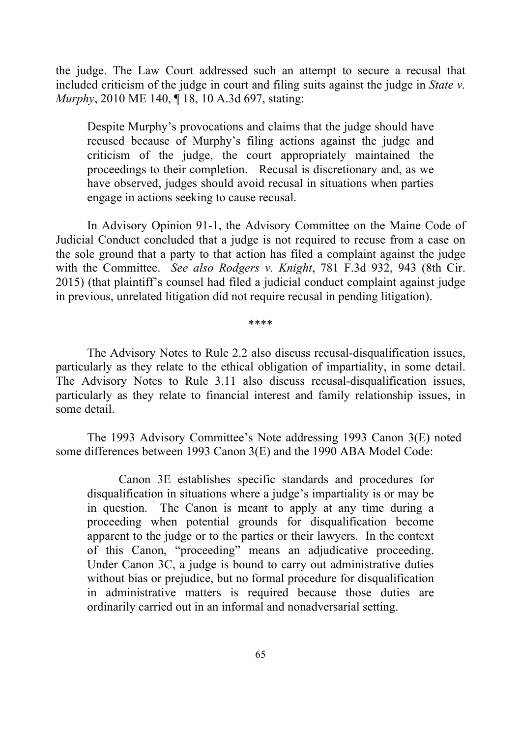the judge. The Law Court addressed such an attempt to secure a recusal that included criticism of the judge in court and filing suits against the judge in *State v. Murphy*, 2010 ME 140, ¶ 18, 10 A.3d 697, stating:

Despite Murphy's provocations and claims that the judge should have recused because of Murphy's filing actions against the judge and criticism of the judge, the court appropriately maintained the proceedings to their completion. Recusal is discretionary and, as we have observed, judges should avoid recusal in situations when parties engage in actions seeking to cause recusal.

In Advisory Opinion 91-1, the Advisory Committee on the Maine Code of Judicial Conduct concluded that a judge is not required to recuse from a case on the sole ground that a party to that action has filed a complaint against the judge with the Committee. *See also Rodgers v. Knight*, 781 F.3d 932, 943 (8th Cir. 2015) (that plaintiff's counsel had filed a judicial conduct complaint against judge in previous, unrelated litigation did not require recusal in pending litigation).

\*\*\*\*

The Advisory Notes to Rule 2.2 also discuss recusal-disqualification issues, particularly as they relate to the ethical obligation of impartiality, in some detail. The Advisory Notes to Rule 3.11 also discuss recusal-disqualification issues, particularly as they relate to financial interest and family relationship issues, in some detail.

The 1993 Advisory Committee's Note addressing 1993 Canon 3(E) noted some differences between 1993 Canon 3(E) and the 1990 ABA Model Code:

Canon 3E establishes specific standards and procedures for disqualification in situations where a judge's impartiality is or may be in question. The Canon is meant to apply at any time during a proceeding when potential grounds for disqualification become apparent to the judge or to the parties or their lawyers. In the context of this Canon, "proceeding" means an adjudicative proceeding. Under Canon 3C, a judge is bound to carry out administrative duties without bias or prejudice, but no formal procedure for disqualification in administrative matters is required because those duties are ordinarily carried out in an informal and nonadversarial setting.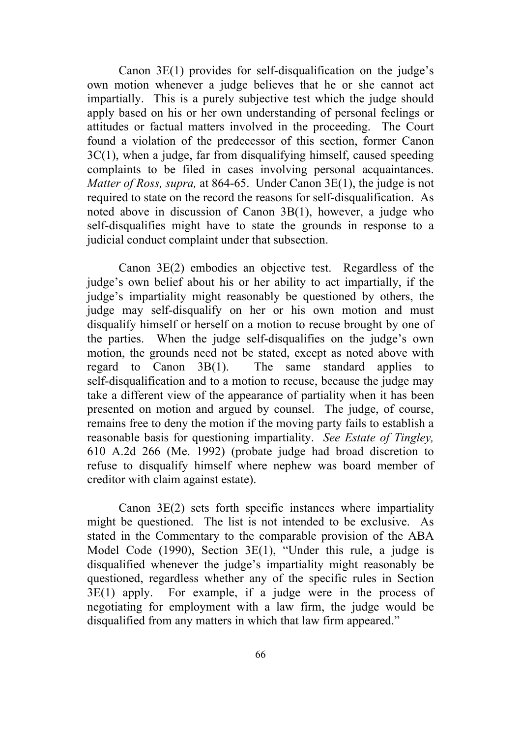Canon 3E(1) provides for self-disqualification on the judge's own motion whenever a judge believes that he or she cannot act impartially. This is a purely subjective test which the judge should apply based on his or her own understanding of personal feelings or attitudes or factual matters involved in the proceeding. The Court found a violation of the predecessor of this section, former Canon  $3C(1)$ , when a judge, far from disqualifying himself, caused speeding complaints to be filed in cases involving personal acquaintances. *Matter of Ross, supra,* at 864-65. Under Canon 3E(1), the judge is not required to state on the record the reasons for self-disqualification. As noted above in discussion of Canon 3B(1), however, a judge who self-disqualifies might have to state the grounds in response to a judicial conduct complaint under that subsection.

Canon 3E(2) embodies an objective test. Regardless of the judge's own belief about his or her ability to act impartially, if the judge's impartiality might reasonably be questioned by others, the judge may self-disqualify on her or his own motion and must disqualify himself or herself on a motion to recuse brought by one of the parties. When the judge self-disqualifies on the judge's own motion, the grounds need not be stated, except as noted above with regard to Canon  $3B(1)$ . The same standard applies self-disqualification and to a motion to recuse, because the judge may take a different view of the appearance of partiality when it has been presented on motion and argued by counsel. The judge, of course, remains free to deny the motion if the moving party fails to establish a reasonable basis for questioning impartiality. *See Estate of Tingley,*  610 A.2d 266 (Me. 1992) (probate judge had broad discretion to refuse to disqualify himself where nephew was board member of creditor with claim against estate).

Canon 3E(2) sets forth specific instances where impartiality might be questioned. The list is not intended to be exclusive. As stated in the Commentary to the comparable provision of the ABA Model Code (1990), Section 3E(1), "Under this rule, a judge is disqualified whenever the judge's impartiality might reasonably be questioned, regardless whether any of the specific rules in Section 3E(1) apply. For example, if a judge were in the process of negotiating for employment with a law firm, the judge would be disqualified from any matters in which that law firm appeared."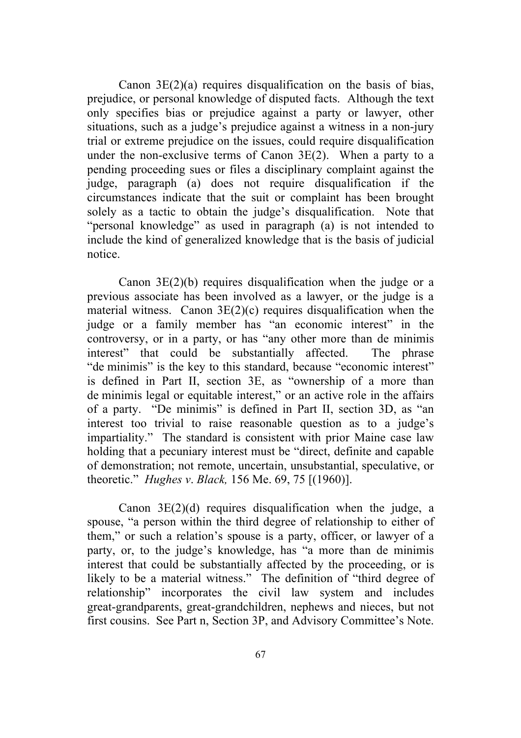Canon  $3E(2)(a)$  requires disqualification on the basis of bias, prejudice, or personal knowledge of disputed facts. Although the text only specifies bias or prejudice against a party or lawyer, other situations, such as a judge's prejudice against a witness in a non-jury trial or extreme prejudice on the issues, could require disqualification under the non-exclusive terms of Canon 3E(2). When a party to a pending proceeding sues or files a disciplinary complaint against the judge, paragraph (a) does not require disqualification if the circumstances indicate that the suit or complaint has been brought solely as a tactic to obtain the judge's disqualification. Note that "personal knowledge" as used in paragraph (a) is not intended to include the kind of generalized knowledge that is the basis of judicial notice.

Canon 3E(2)(b) requires disqualification when the judge or a previous associate has been involved as a lawyer, or the judge is a material witness. Canon  $3E(2)(c)$  requires disqualification when the judge or a family member has "an economic interest" in the controversy, or in a party, or has "any other more than de minimis interest" that could be substantially affected. The phrase "de minimis" is the key to this standard, because "economic interest" is defined in Part II, section 3E, as "ownership of a more than de minimis legal or equitable interest," or an active role in the affairs of a party. "De minimis" is defined in Part II, section 3D, as "an interest too trivial to raise reasonable question as to a judge's impartiality." The standard is consistent with prior Maine case law holding that a pecuniary interest must be "direct, definite and capable of demonstration; not remote, uncertain, unsubstantial, speculative, or theoretic." *Hughes v*. *Black,* 156 Me. 69, 75 [(1960)].

Canon 3E(2)(d) requires disqualification when the judge, a spouse, "a person within the third degree of relationship to either of them," or such a relation's spouse is a party, officer, or lawyer of a party, or, to the judge's knowledge, has "a more than de minimis interest that could be substantially affected by the proceeding, or is likely to be a material witness." The definition of "third degree of relationship" incorporates the civil law system and includes great-grandparents, great-grandchildren, nephews and nieces, but not first cousins. See Part n, Section 3P, and Advisory Committee's Note.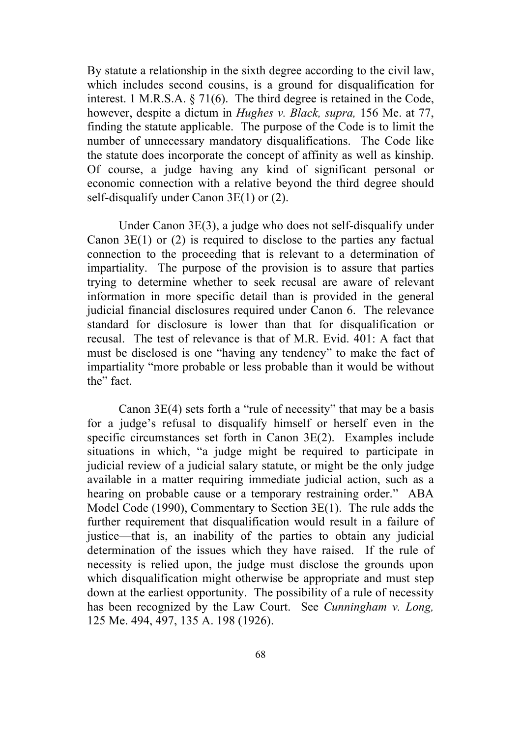By statute a relationship in the sixth degree according to the civil law, which includes second cousins, is a ground for disqualification for interest. 1 M.R.S.A. § 71(6). The third degree is retained in the Code, however, despite a dictum in *Hughes v. Black, supra,* 156 Me. at 77, finding the statute applicable. The purpose of the Code is to limit the number of unnecessary mandatory disqualifications. The Code like the statute does incorporate the concept of affinity as well as kinship. Of course, a judge having any kind of significant personal or economic connection with a relative beyond the third degree should self-disqualify under Canon 3E(1) or (2).

Under Canon 3E(3), a judge who does not self-disqualify under Canon  $3E(1)$  or (2) is required to disclose to the parties any factual connection to the proceeding that is relevant to a determination of impartiality. The purpose of the provision is to assure that parties trying to determine whether to seek recusal are aware of relevant information in more specific detail than is provided in the general judicial financial disclosures required under Canon 6. The relevance standard for disclosure is lower than that for disqualification or recusal. The test of relevance is that of M.R. Evid. 401: A fact that must be disclosed is one "having any tendency" to make the fact of impartiality "more probable or less probable than it would be without the" fact.

Canon 3E(4) sets forth a "rule of necessity" that may be a basis for a judge's refusal to disqualify himself or herself even in the specific circumstances set forth in Canon 3E(2). Examples include situations in which, "a judge might be required to participate in judicial review of a judicial salary statute, or might be the only judge available in a matter requiring immediate judicial action, such as a hearing on probable cause or a temporary restraining order." ABA Model Code (1990), Commentary to Section 3E(1). The rule adds the further requirement that disqualification would result in a failure of justice—that is, an inability of the parties to obtain any judicial determination of the issues which they have raised. If the rule of necessity is relied upon, the judge must disclose the grounds upon which disqualification might otherwise be appropriate and must step down at the earliest opportunity. The possibility of a rule of necessity has been recognized by the Law Court. See *Cunningham v. Long,*  125 Me. 494, 497, 135 A. 198 (1926).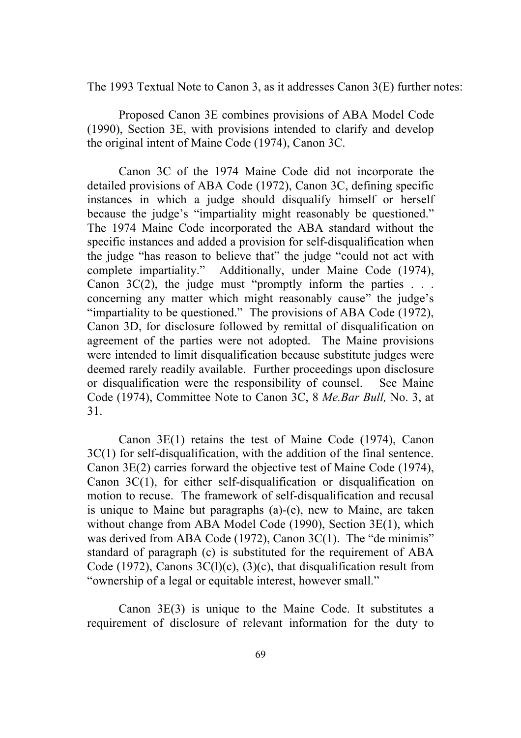The 1993 Textual Note to Canon 3, as it addresses Canon 3(E) further notes:

Proposed Canon 3E combines provisions of ABA Model Code (1990), Section 3E, with provisions intended to clarify and develop the original intent of Maine Code (1974), Canon 3C.

Canon 3C of the 1974 Maine Code did not incorporate the detailed provisions of ABA Code (1972), Canon 3C, defining specific instances in which a judge should disqualify himself or herself because the judge's "impartiality might reasonably be questioned." The 1974 Maine Code incorporated the ABA standard without the specific instances and added a provision for self-disqualification when the judge "has reason to believe that" the judge "could not act with complete impartiality." Additionally, under Maine Code (1974), Canon  $3C(2)$ , the judge must "promptly inform the parties . . . concerning any matter which might reasonably cause" the judge's "impartiality to be questioned." The provisions of ABA Code (1972), Canon 3D, for disclosure followed by remittal of disqualification on agreement of the parties were not adopted. The Maine provisions were intended to limit disqualification because substitute judges were deemed rarely readily available. Further proceedings upon disclosure or disqualification were the responsibility of counsel. See Maine Code (1974), Committee Note to Canon 3C, 8 *Me.Bar Bull,* No. 3, at 31.

Canon 3E(1) retains the test of Maine Code (1974), Canon 3C(1) for self-disqualification, with the addition of the final sentence. Canon 3E(2) carries forward the objective test of Maine Code (1974), Canon 3C(1), for either self-disqualification or disqualification on motion to recuse. The framework of self-disqualification and recusal is unique to Maine but paragraphs (a)-(e), new to Maine, are taken without change from ABA Model Code (1990), Section 3E(1), which was derived from ABA Code (1972), Canon 3C(1). The "de minimis" standard of paragraph (c) is substituted for the requirement of ABA Code (1972), Canons  $3C(1)(c)$ ,  $(3)(c)$ , that disqualification result from "ownership of a legal or equitable interest, however small."

Canon 3E(3) is unique to the Maine Code. It substitutes a requirement of disclosure of relevant information for the duty to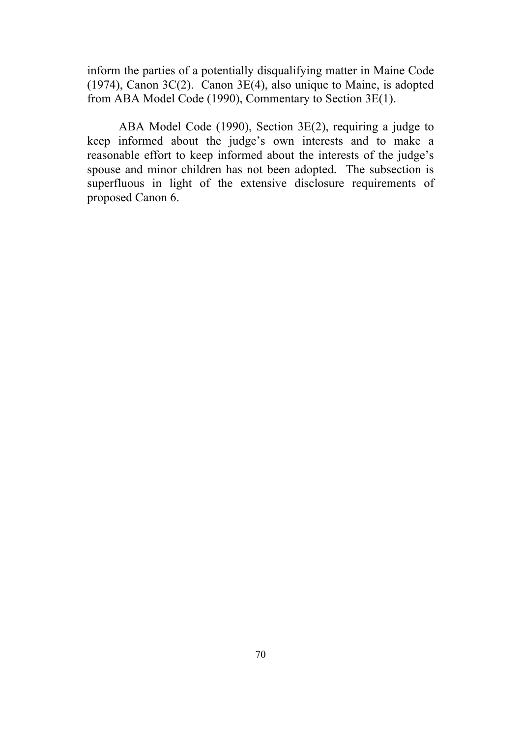inform the parties of a potentially disqualifying matter in Maine Code (1974), Canon 3C(2). Canon 3E(4), also unique to Maine, is adopted from ABA Model Code (1990), Commentary to Section 3E(1).

ABA Model Code (1990), Section 3E(2), requiring a judge to keep informed about the judge's own interests and to make a reasonable effort to keep informed about the interests of the judge's spouse and minor children has not been adopted. The subsection is superfluous in light of the extensive disclosure requirements of proposed Canon 6.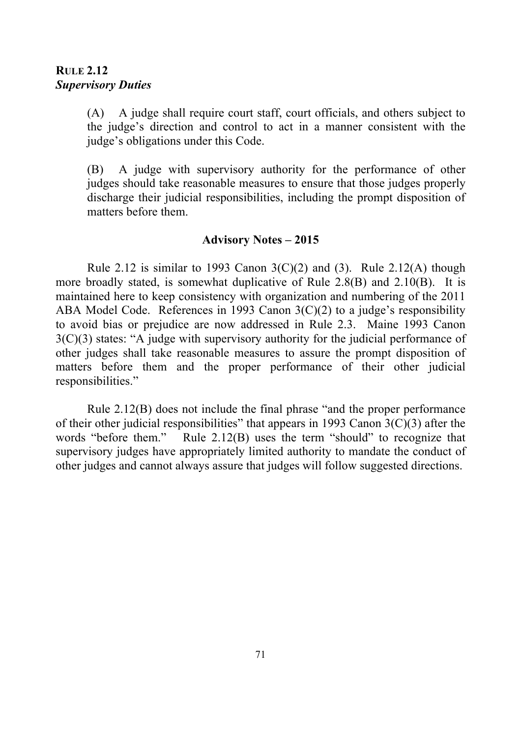### **RULE 2.12** *Supervisory Duties*

(A) A judge shall require court staff, court officials, and others subject to the judge's direction and control to act in a manner consistent with the judge's obligations under this Code.

(B) A judge with supervisory authority for the performance of other judges should take reasonable measures to ensure that those judges properly discharge their judicial responsibilities, including the prompt disposition of matters before them.

### **Advisory Notes – 2015**

Rule 2.12 is similar to 1993 Canon  $3(C)(2)$  and (3). Rule 2.12(A) though more broadly stated, is somewhat duplicative of Rule 2.8(B) and 2.10(B). It is maintained here to keep consistency with organization and numbering of the 2011 ABA Model Code. References in 1993 Canon 3(C)(2) to a judge's responsibility to avoid bias or prejudice are now addressed in Rule 2.3.Maine 1993 Canon 3(C)(3) states: "A judge with supervisory authority for the judicial performance of other judges shall take reasonable measures to assure the prompt disposition of matters before them and the proper performance of their other judicial responsibilities."

Rule 2.12(B) does not include the final phrase "and the proper performance of their other judicial responsibilities" that appears in 1993 Canon  $3(C)(3)$  after the words "before them." Rule 2.12(B) uses the term "should" to recognize that supervisory judges have appropriately limited authority to mandate the conduct of other judges and cannot always assure that judges will follow suggested directions.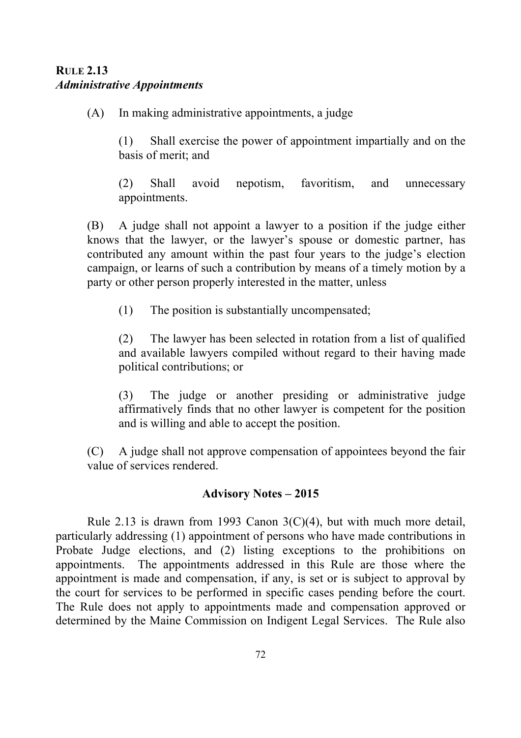### **RULE 2.13** *Administrative Appointments*

(A) In making administrative appointments, a judge

(1) Shall exercise the power of appointment impartially and on the basis of merit; and

(2) Shall avoid nepotism, favoritism, and unnecessary appointments.

(B) A judge shall not appoint a lawyer to a position if the judge either knows that the lawyer, or the lawyer's spouse or domestic partner, has contributed any amount within the past four years to the judge's election campaign, or learns of such a contribution by means of a timely motion by a party or other person properly interested in the matter, unless

(1) The position is substantially uncompensated;

(2) The lawyer has been selected in rotation from a list of qualified and available lawyers compiled without regard to their having made political contributions; or

(3) The judge or another presiding or administrative judge affirmatively finds that no other lawyer is competent for the position and is willing and able to accept the position.

(C) A judge shall not approve compensation of appointees beyond the fair value of services rendered.

### **Advisory Notes – 2015**

Rule 2.13 is drawn from 1993 Canon  $3(C)(4)$ , but with much more detail, particularly addressing (1) appointment of persons who have made contributions in Probate Judge elections, and (2) listing exceptions to the prohibitions on appointments. The appointments addressed in this Rule are those where the appointment is made and compensation, if any, is set or is subject to approval by the court for services to be performed in specific cases pending before the court. The Rule does not apply to appointments made and compensation approved or determined by the Maine Commission on Indigent Legal Services. The Rule also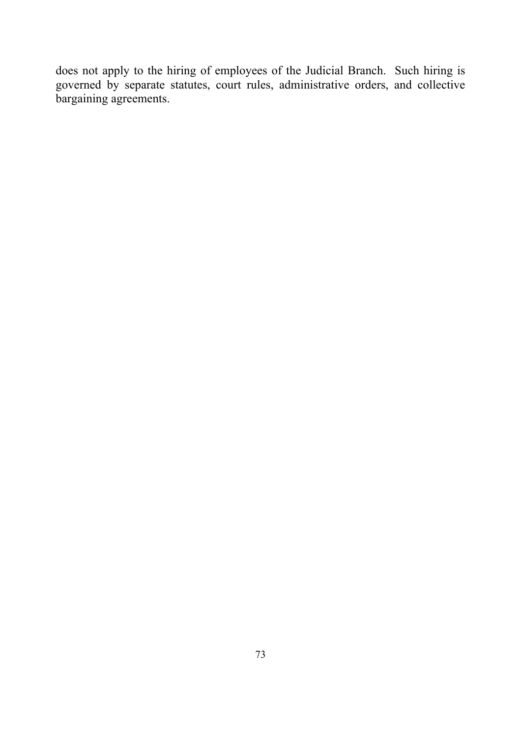does not apply to the hiring of employees of the Judicial Branch. Such hiring is governed by separate statutes, court rules, administrative orders, and collective bargaining agreements.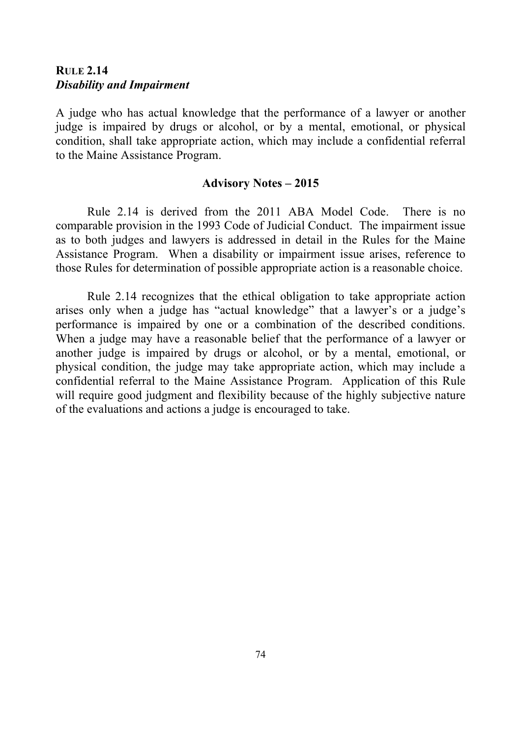### **RULE 2.14** *Disability and Impairment*

A judge who has actual knowledge that the performance of a lawyer or another judge is impaired by drugs or alcohol, or by a mental, emotional, or physical condition, shall take appropriate action, which may include a confidential referral to the Maine Assistance Program.

### **Advisory Notes – 2015**

Rule 2.14 is derived from the 2011 ABA Model Code. There is no comparable provision in the 1993 Code of Judicial Conduct. The impairment issue as to both judges and lawyers is addressed in detail in the Rules for the Maine Assistance Program. When a disability or impairment issue arises, reference to those Rules for determination of possible appropriate action is a reasonable choice.

Rule 2.14 recognizes that the ethical obligation to take appropriate action arises only when a judge has "actual knowledge" that a lawyer's or a judge's performance is impaired by one or a combination of the described conditions. When a judge may have a reasonable belief that the performance of a lawyer or another judge is impaired by drugs or alcohol, or by a mental, emotional, or physical condition, the judge may take appropriate action, which may include a confidential referral to the Maine Assistance Program. Application of this Rule will require good judgment and flexibility because of the highly subjective nature of the evaluations and actions a judge is encouraged to take.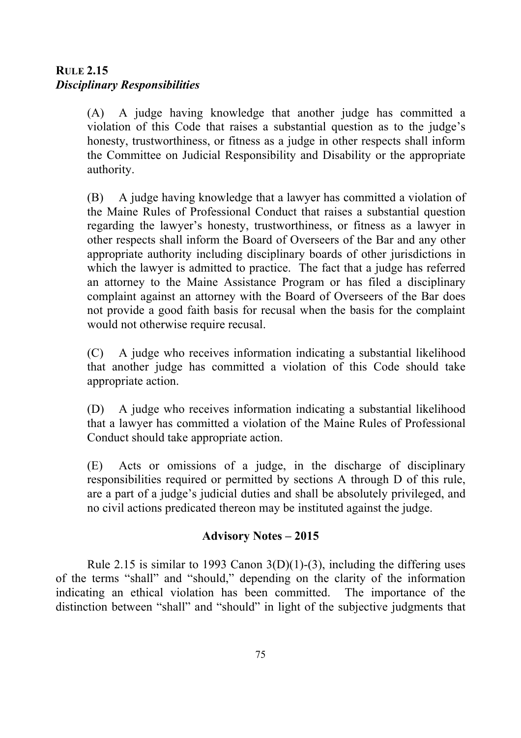## **RULE 2.15** *Disciplinary Responsibilities*

(A) A judge having knowledge that another judge has committed a violation of this Code that raises a substantial question as to the judge's honesty, trustworthiness, or fitness as a judge in other respects shall inform the Committee on Judicial Responsibility and Disability or the appropriate authority.

(B) A judge having knowledge that a lawyer has committed a violation of the Maine Rules of Professional Conduct that raises a substantial question regarding the lawyer's honesty, trustworthiness, or fitness as a lawyer in other respects shall inform the Board of Overseers of the Bar and any other appropriate authority including disciplinary boards of other jurisdictions in which the lawyer is admitted to practice. The fact that a judge has referred an attorney to the Maine Assistance Program or has filed a disciplinary complaint against an attorney with the Board of Overseers of the Bar does not provide a good faith basis for recusal when the basis for the complaint would not otherwise require recusal.

(C) A judge who receives information indicating a substantial likelihood that another judge has committed a violation of this Code should take appropriate action.

(D) A judge who receives information indicating a substantial likelihood that a lawyer has committed a violation of the Maine Rules of Professional Conduct should take appropriate action.

(E) Acts or omissions of a judge, in the discharge of disciplinary responsibilities required or permitted by sections A through D of this rule, are a part of a judge's judicial duties and shall be absolutely privileged, and no civil actions predicated thereon may be instituted against the judge.

# **Advisory Notes – 2015**

Rule 2.15 is similar to 1993 Canon  $3(D)(1)-(3)$ , including the differing uses of the terms "shall" and "should," depending on the clarity of the information indicating an ethical violation has been committed. The importance of the distinction between "shall" and "should" in light of the subjective judgments that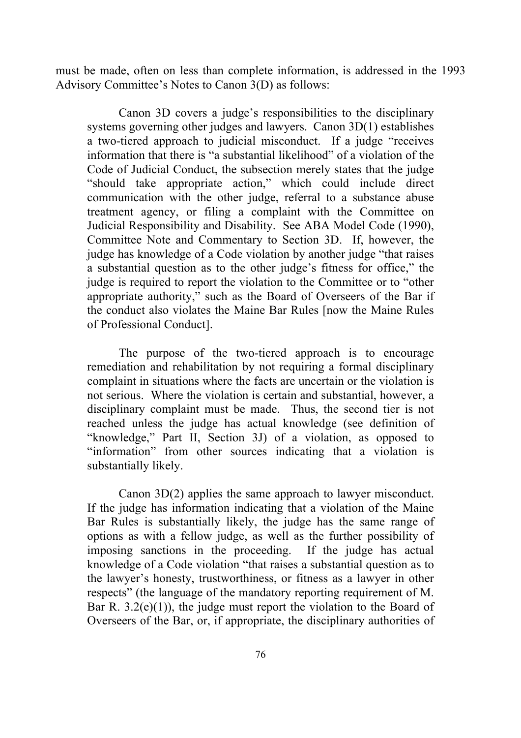must be made, often on less than complete information, is addressed in the 1993 Advisory Committee's Notes to Canon 3(D) as follows:

Canon 3D covers a judge's responsibilities to the disciplinary systems governing other judges and lawyers. Canon 3D(1) establishes a two-tiered approach to judicial misconduct. If a judge "receives information that there is "a substantial likelihood" of a violation of the Code of Judicial Conduct, the subsection merely states that the judge "should take appropriate action," which could include direct communication with the other judge, referral to a substance abuse treatment agency, or filing a complaint with the Committee on Judicial Responsibility and Disability. See ABA Model Code (1990), Committee Note and Commentary to Section 3D. If, however, the judge has knowledge of a Code violation by another judge "that raises a substantial question as to the other judge's fitness for office," the judge is required to report the violation to the Committee or to "other appropriate authority," such as the Board of Overseers of the Bar if the conduct also violates the Maine Bar Rules [now the Maine Rules of Professional Conduct].

The purpose of the two-tiered approach is to encourage remediation and rehabilitation by not requiring a formal disciplinary complaint in situations where the facts are uncertain or the violation is not serious. Where the violation is certain and substantial, however, a disciplinary complaint must be made. Thus, the second tier is not reached unless the judge has actual knowledge (see definition of "knowledge," Part II, Section 3J) of a violation, as opposed to "information" from other sources indicating that a violation is substantially likely.

Canon 3D(2) applies the same approach to lawyer misconduct. If the judge has information indicating that a violation of the Maine Bar Rules is substantially likely, the judge has the same range of options as with a fellow judge, as well as the further possibility of imposing sanctions in the proceeding. If the judge has actual knowledge of a Code violation "that raises a substantial question as to the lawyer's honesty, trustworthiness, or fitness as a lawyer in other respects" (the language of the mandatory reporting requirement of M. Bar R.  $3.2(e)(1)$ , the judge must report the violation to the Board of Overseers of the Bar, or, if appropriate, the disciplinary authorities of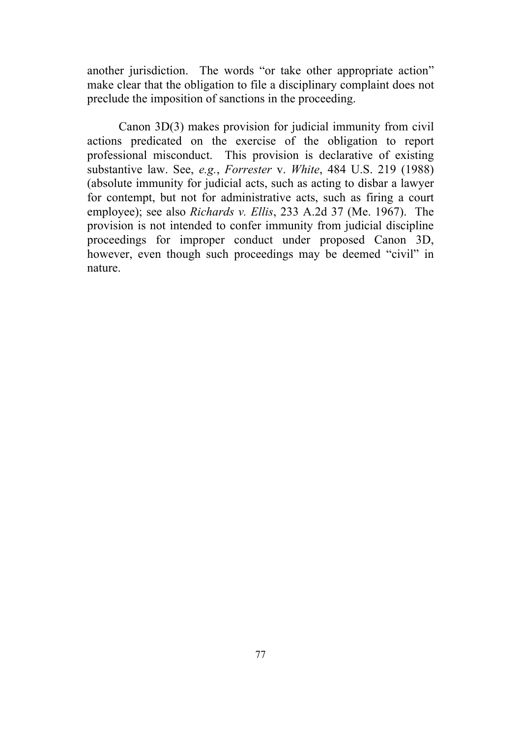another jurisdiction. The words "or take other appropriate action" make clear that the obligation to file a disciplinary complaint does not preclude the imposition of sanctions in the proceeding.

Canon 3D(3) makes provision for judicial immunity from civil actions predicated on the exercise of the obligation to report professional misconduct. This provision is declarative of existing substantive law. See, *e.g.*, *Forrester* v. *White*, 484 U.S. 219 (1988) (absolute immunity for judicial acts, such as acting to disbar a lawyer for contempt, but not for administrative acts, such as firing a court employee); see also *Richards v. Ellis*, 233 A.2d 37 (Me. 1967). The provision is not intended to confer immunity from judicial discipline proceedings for improper conduct under proposed Canon 3D, however, even though such proceedings may be deemed "civil" in nature.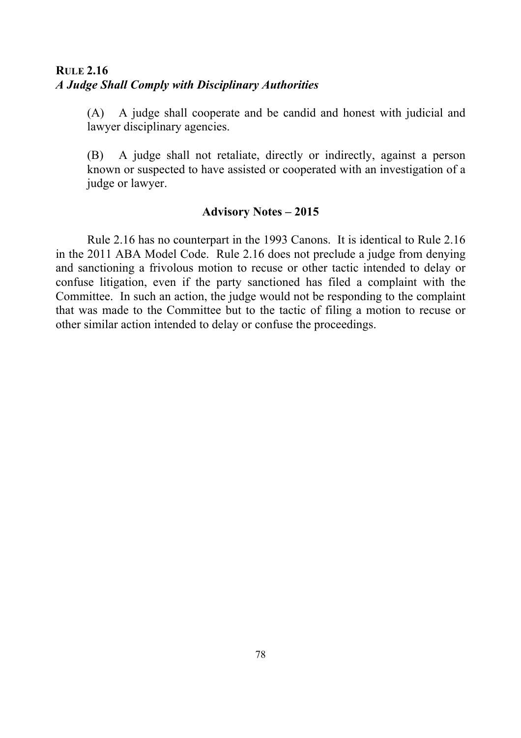# **RULE 2.16** *A Judge Shall Comply with Disciplinary Authorities*

(A) A judge shall cooperate and be candid and honest with judicial and lawyer disciplinary agencies.

(B) A judge shall not retaliate, directly or indirectly, against a person known or suspected to have assisted or cooperated with an investigation of a judge or lawyer.

### **Advisory Notes – 2015**

Rule 2.16 has no counterpart in the 1993 Canons. It is identical to Rule 2.16 in the 2011 ABA Model Code. Rule 2.16 does not preclude a judge from denying and sanctioning a frivolous motion to recuse or other tactic intended to delay or confuse litigation, even if the party sanctioned has filed a complaint with the Committee. In such an action, the judge would not be responding to the complaint that was made to the Committee but to the tactic of filing a motion to recuse or other similar action intended to delay or confuse the proceedings.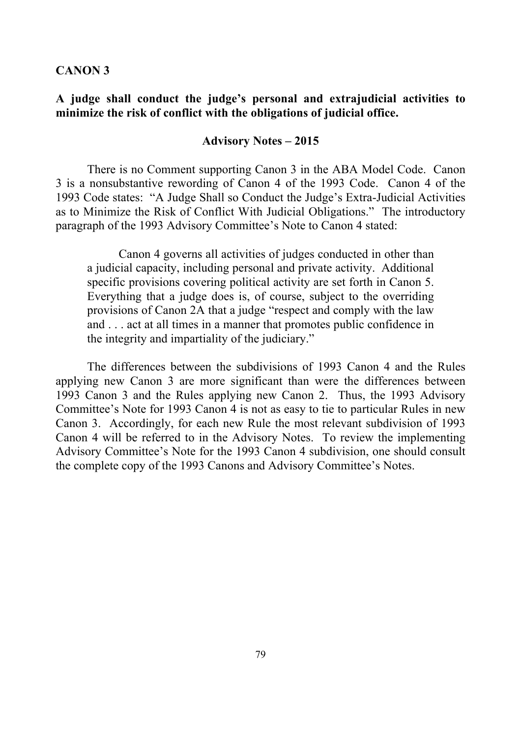#### **CANON 3**

### **A judge shall conduct the judge's personal and extrajudicial activities to minimize the risk of conflict with the obligations of judicial office.**

#### **Advisory Notes – 2015**

There is no Comment supporting Canon 3 in the ABA Model Code. Canon 3 is a nonsubstantive rewording of Canon 4 of the 1993 Code. Canon 4 of the 1993 Code states: "A Judge Shall so Conduct the Judge's Extra-Judicial Activities as to Minimize the Risk of Conflict With Judicial Obligations." The introductory paragraph of the 1993 Advisory Committee's Note to Canon 4 stated:

Canon 4 governs all activities of judges conducted in other than a judicial capacity, including personal and private activity. Additional specific provisions covering political activity are set forth in Canon 5. Everything that a judge does is, of course, subject to the overriding provisions of Canon 2A that a judge "respect and comply with the law and . . . act at all times in a manner that promotes public confidence in the integrity and impartiality of the judiciary."

The differences between the subdivisions of 1993 Canon 4 and the Rules applying new Canon 3 are more significant than were the differences between 1993 Canon 3 and the Rules applying new Canon 2. Thus, the 1993 Advisory Committee's Note for 1993 Canon 4 is not as easy to tie to particular Rules in new Canon 3. Accordingly, for each new Rule the most relevant subdivision of 1993 Canon 4 will be referred to in the Advisory Notes. To review the implementing Advisory Committee's Note for the 1993 Canon 4 subdivision, one should consult the complete copy of the 1993 Canons and Advisory Committee's Notes.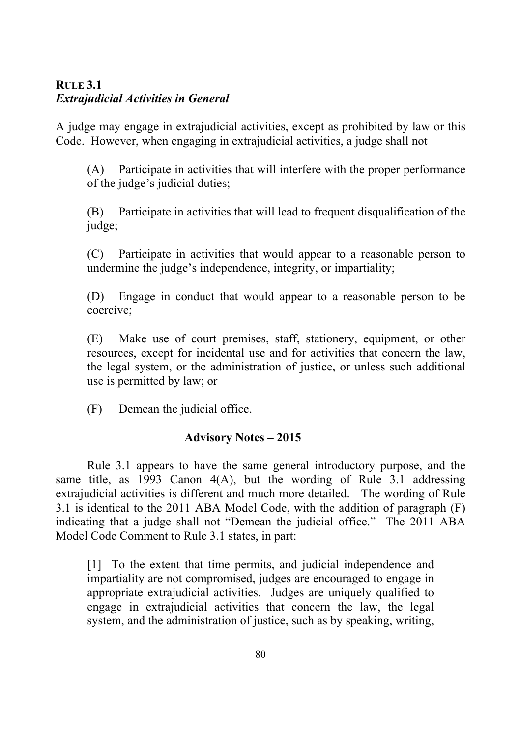# **RULE 3.1** *Extrajudicial Activities in General*

A judge may engage in extrajudicial activities, except as prohibited by law or this Code. However, when engaging in extrajudicial activities, a judge shall not

(A) Participate in activities that will interfere with the proper performance of the judge's judicial duties;

(B) Participate in activities that will lead to frequent disqualification of the judge;

(C) Participate in activities that would appear to a reasonable person to undermine the judge's independence, integrity, or impartiality;

(D) Engage in conduct that would appear to a reasonable person to be coercive;

(E) Make use of court premises, staff, stationery, equipment, or other resources, except for incidental use and for activities that concern the law, the legal system, or the administration of justice, or unless such additional use is permitted by law; or

(F) Demean the judicial office.

# **Advisory Notes – 2015**

Rule 3.1 appears to have the same general introductory purpose, and the same title, as 1993 Canon 4(A), but the wording of Rule 3.1 addressing extrajudicial activities is different and much more detailed. The wording of Rule 3.1 is identical to the 2011 ABA Model Code, with the addition of paragraph (F) indicating that a judge shall not "Demean the judicial office." The 2011 ABA Model Code Comment to Rule 3.1 states, in part:

[1] To the extent that time permits, and judicial independence and impartiality are not compromised, judges are encouraged to engage in appropriate extrajudicial activities. Judges are uniquely qualified to engage in extrajudicial activities that concern the law, the legal system, and the administration of justice, such as by speaking, writing,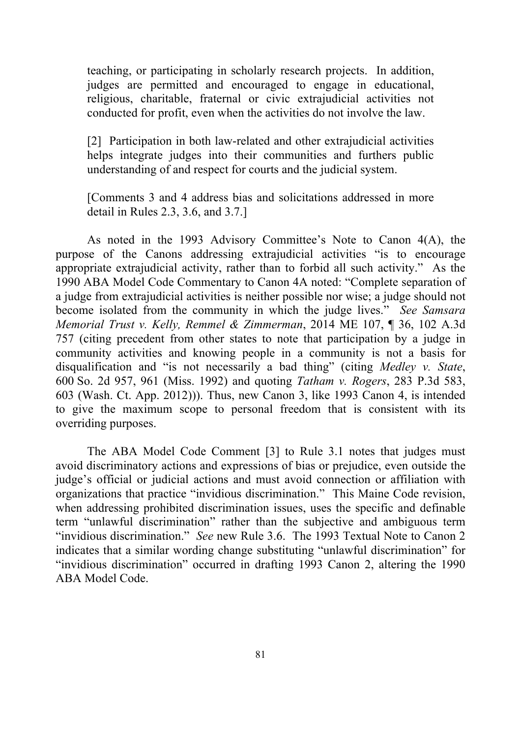teaching, or participating in scholarly research projects. In addition, judges are permitted and encouraged to engage in educational, religious, charitable, fraternal or civic extrajudicial activities not conducted for profit, even when the activities do not involve the law.

[2] Participation in both law-related and other extrajudicial activities helps integrate judges into their communities and furthers public understanding of and respect for courts and the judicial system.

[Comments 3 and 4 address bias and solicitations addressed in more detail in Rules 2.3, 3.6, and 3.7.]

As noted in the 1993 Advisory Committee's Note to Canon 4(A), the purpose of the Canons addressing extrajudicial activities "is to encourage appropriate extrajudicial activity, rather than to forbid all such activity." As the 1990 ABA Model Code Commentary to Canon 4A noted: "Complete separation of a judge from extrajudicial activities is neither possible nor wise; a judge should not become isolated from the community in which the judge lives." *See Samsara Memorial Trust v. Kelly, Remmel & Zimmerman*, 2014 ME 107, ¶ 36, 102 A.3d 757 (citing precedent from other states to note that participation by a judge in community activities and knowing people in a community is not a basis for disqualification and "is not necessarily a bad thing" (citing *Medley v. State*, 600 So. 2d 957, 961 (Miss. 1992) and quoting *Tatham v. Rogers*, 283 P.3d 583, 603 (Wash. Ct. App. 2012))). Thus, new Canon 3, like 1993 Canon 4, is intended to give the maximum scope to personal freedom that is consistent with its overriding purposes.

The ABA Model Code Comment [3] to Rule 3.1 notes that judges must avoid discriminatory actions and expressions of bias or prejudice, even outside the judge's official or judicial actions and must avoid connection or affiliation with organizations that practice "invidious discrimination." This Maine Code revision, when addressing prohibited discrimination issues, uses the specific and definable term "unlawful discrimination" rather than the subjective and ambiguous term "invidious discrimination." *See* new Rule 3.6. The 1993 Textual Note to Canon 2 indicates that a similar wording change substituting "unlawful discrimination" for "invidious discrimination" occurred in drafting 1993 Canon 2, altering the 1990 ABA Model Code.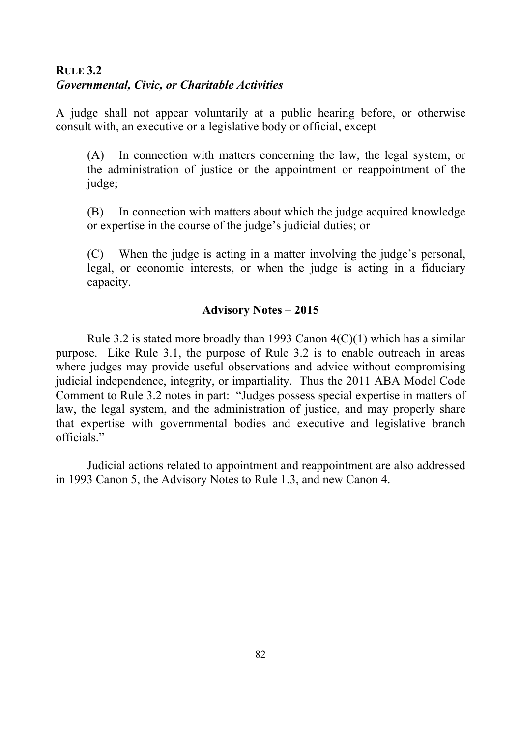# **RULE 3.2** *Governmental, Civic, or Charitable Activities*

A judge shall not appear voluntarily at a public hearing before, or otherwise consult with, an executive or a legislative body or official, except

(A) In connection with matters concerning the law, the legal system, or the administration of justice or the appointment or reappointment of the judge;

(B) In connection with matters about which the judge acquired knowledge or expertise in the course of the judge's judicial duties; or

(C) When the judge is acting in a matter involving the judge's personal, legal, or economic interests, or when the judge is acting in a fiduciary capacity.

# **Advisory Notes – 2015**

Rule 3.2 is stated more broadly than 1993 Canon  $4(C)(1)$  which has a similar purpose. Like Rule 3.1, the purpose of Rule 3.2 is to enable outreach in areas where judges may provide useful observations and advice without compromising judicial independence, integrity, or impartiality. Thus the 2011 ABA Model Code Comment to Rule 3.2 notes in part: "Judges possess special expertise in matters of law, the legal system, and the administration of justice, and may properly share that expertise with governmental bodies and executive and legislative branch officials."

Judicial actions related to appointment and reappointment are also addressed in 1993 Canon 5, the Advisory Notes to Rule 1.3, and new Canon 4.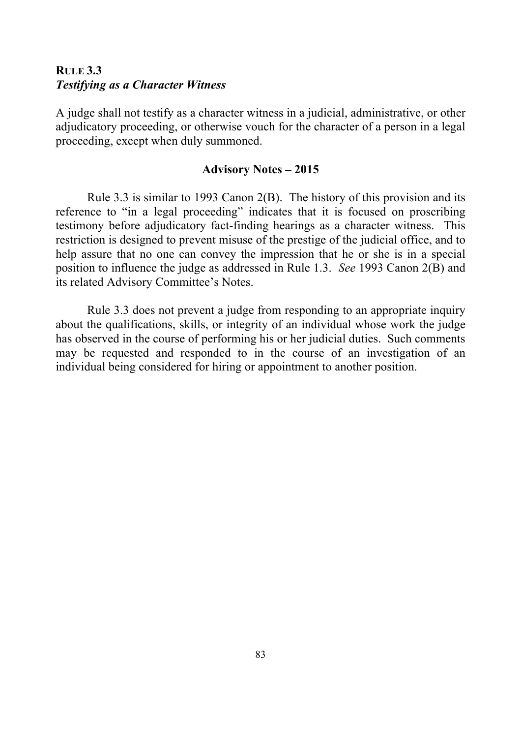## **RULE 3.3** *Testifying as a Character Witness*

A judge shall not testify as a character witness in a judicial, administrative, or other adjudicatory proceeding, or otherwise vouch for the character of a person in a legal proceeding, except when duly summoned.

### **Advisory Notes – 2015**

Rule 3.3 is similar to 1993 Canon 2(B). The history of this provision and its reference to "in a legal proceeding" indicates that it is focused on proscribing testimony before adjudicatory fact-finding hearings as a character witness. This restriction is designed to prevent misuse of the prestige of the judicial office, and to help assure that no one can convey the impression that he or she is in a special position to influence the judge as addressed in Rule 1.3. *See* 1993 Canon 2(B) and its related Advisory Committee's Notes.

Rule 3.3 does not prevent a judge from responding to an appropriate inquiry about the qualifications, skills, or integrity of an individual whose work the judge has observed in the course of performing his or her judicial duties. Such comments may be requested and responded to in the course of an investigation of an individual being considered for hiring or appointment to another position.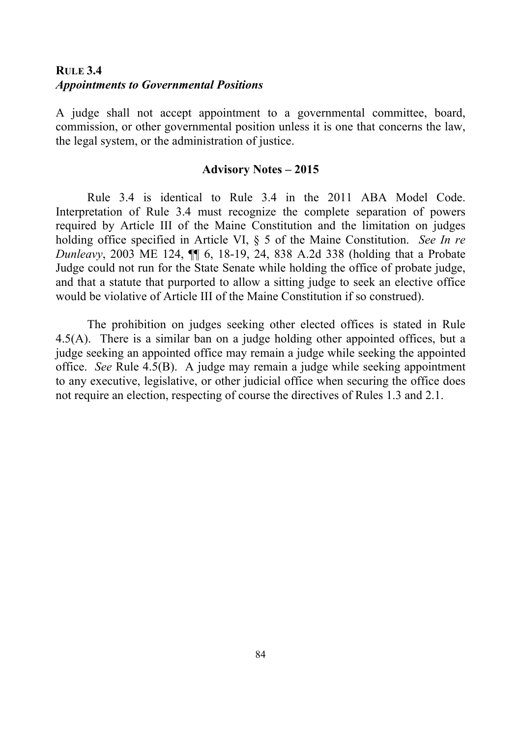# **RULE 3.4** *Appointments to Governmental Positions*

A judge shall not accept appointment to a governmental committee, board, commission, or other governmental position unless it is one that concerns the law, the legal system, or the administration of justice.

### **Advisory Notes – 2015**

Rule 3.4 is identical to Rule 3.4 in the 2011 ABA Model Code. Interpretation of Rule 3.4 must recognize the complete separation of powers required by Article III of the Maine Constitution and the limitation on judges holding office specified in Article VI, § 5 of the Maine Constitution. *See In re Dunleavy*, 2003 ME 124, ¶¶ 6, 18-19, 24, 838 A.2d 338 (holding that a Probate Judge could not run for the State Senate while holding the office of probate judge, and that a statute that purported to allow a sitting judge to seek an elective office would be violative of Article III of the Maine Constitution if so construed).

The prohibition on judges seeking other elected offices is stated in Rule 4.5(A). There is a similar ban on a judge holding other appointed offices, but a judge seeking an appointed office may remain a judge while seeking the appointed office. *See* Rule 4.5(B). A judge may remain a judge while seeking appointment to any executive, legislative, or other judicial office when securing the office does not require an election, respecting of course the directives of Rules 1.3 and 2.1.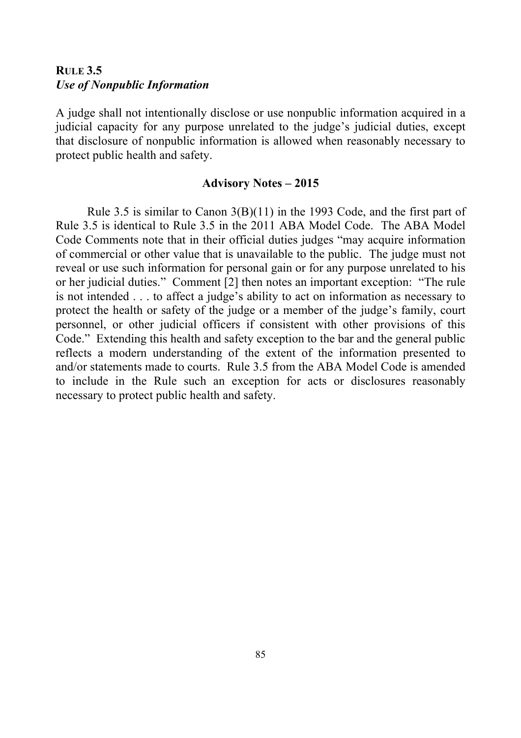### **RULE 3.5** *Use of Nonpublic Information*

A judge shall not intentionally disclose or use nonpublic information acquired in a judicial capacity for any purpose unrelated to the judge's judicial duties, except that disclosure of nonpublic information is allowed when reasonably necessary to protect public health and safety.

#### **Advisory Notes – 2015**

Rule 3.5 is similar to Canon 3(B)(11) in the 1993 Code, and the first part of Rule 3.5 is identical to Rule 3.5 in the 2011 ABA Model Code. The ABA Model Code Comments note that in their official duties judges "may acquire information of commercial or other value that is unavailable to the public. The judge must not reveal or use such information for personal gain or for any purpose unrelated to his or her judicial duties." Comment [2] then notes an important exception: "The rule is not intended . . . to affect a judge's ability to act on information as necessary to protect the health or safety of the judge or a member of the judge's family, court personnel, or other judicial officers if consistent with other provisions of this Code." Extending this health and safety exception to the bar and the general public reflects a modern understanding of the extent of the information presented to and/or statements made to courts. Rule 3.5 from the ABA Model Code is amended to include in the Rule such an exception for acts or disclosures reasonably necessary to protect public health and safety.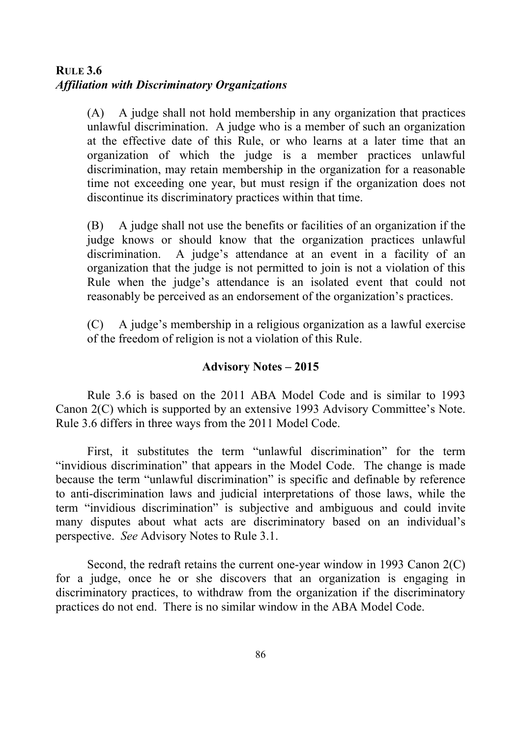# **RULE 3.6** *Affiliation with Discriminatory Organizations*

(A) A judge shall not hold membership in any organization that practices unlawful discrimination. A judge who is a member of such an organization at the effective date of this Rule, or who learns at a later time that an organization of which the judge is a member practices unlawful discrimination, may retain membership in the organization for a reasonable time not exceeding one year, but must resign if the organization does not discontinue its discriminatory practices within that time.

(B) A judge shall not use the benefits or facilities of an organization if the judge knows or should know that the organization practices unlawful discrimination. A judge's attendance at an event in a facility of an organization that the judge is not permitted to join is not a violation of this Rule when the judge's attendance is an isolated event that could not reasonably be perceived as an endorsement of the organization's practices.

(C) A judge's membership in a religious organization as a lawful exercise of the freedom of religion is not a violation of this Rule.

# **Advisory Notes – 2015**

Rule 3.6 is based on the 2011 ABA Model Code and is similar to 1993 Canon 2(C) which is supported by an extensive 1993 Advisory Committee's Note. Rule 3.6 differs in three ways from the 2011 Model Code.

First, it substitutes the term "unlawful discrimination" for the term "invidious discrimination" that appears in the Model Code. The change is made because the term "unlawful discrimination" is specific and definable by reference to anti-discrimination laws and judicial interpretations of those laws, while the term "invidious discrimination" is subjective and ambiguous and could invite many disputes about what acts are discriminatory based on an individual's perspective. *See* Advisory Notes to Rule 3.1.

Second, the redraft retains the current one-year window in 1993 Canon 2(C) for a judge, once he or she discovers that an organization is engaging in discriminatory practices, to withdraw from the organization if the discriminatory practices do not end. There is no similar window in the ABA Model Code.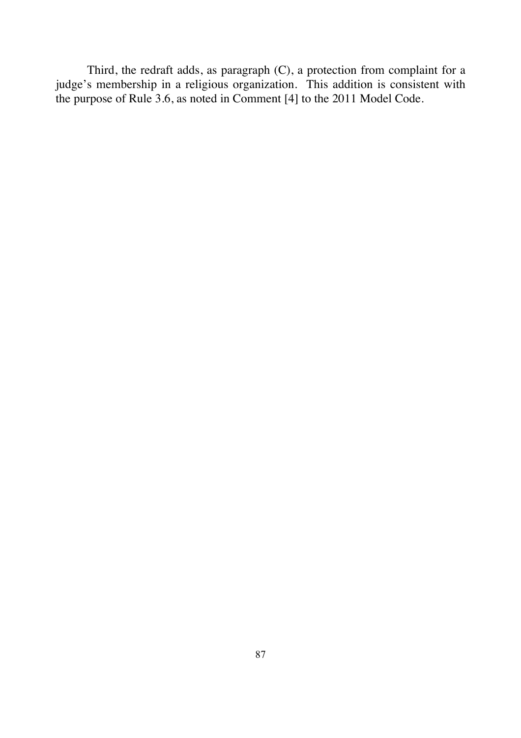Third, the redraft adds, as paragraph (C), a protection from complaint for a judge's membership in a religious organization. This addition is consistent with the purpose of Rule 3.6, as noted in Comment [4] to the 2011 Model Code.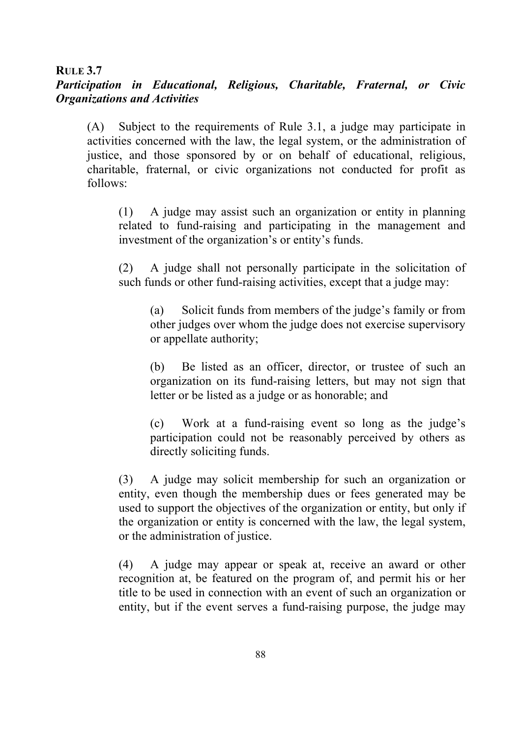### **RULE 3.7**

# *Participation in Educational, Religious, Charitable, Fraternal, or Civic Organizations and Activities*

(A) Subject to the requirements of Rule 3.1, a judge may participate in activities concerned with the law, the legal system, or the administration of justice, and those sponsored by or on behalf of educational, religious, charitable, fraternal, or civic organizations not conducted for profit as follows:

(1) A judge may assist such an organization or entity in planning related to fund-raising and participating in the management and investment of the organization's or entity's funds.

(2) A judge shall not personally participate in the solicitation of such funds or other fund-raising activities, except that a judge may:

(a) Solicit funds from members of the judge's family or from other judges over whom the judge does not exercise supervisory or appellate authority;

(b) Be listed as an officer, director, or trustee of such an organization on its fund-raising letters, but may not sign that letter or be listed as a judge or as honorable; and

(c) Work at a fund-raising event so long as the judge's participation could not be reasonably perceived by others as directly soliciting funds.

(3) A judge may solicit membership for such an organization or entity, even though the membership dues or fees generated may be used to support the objectives of the organization or entity, but only if the organization or entity is concerned with the law, the legal system, or the administration of justice.

(4) A judge may appear or speak at, receive an award or other recognition at, be featured on the program of, and permit his or her title to be used in connection with an event of such an organization or entity, but if the event serves a fund-raising purpose, the judge may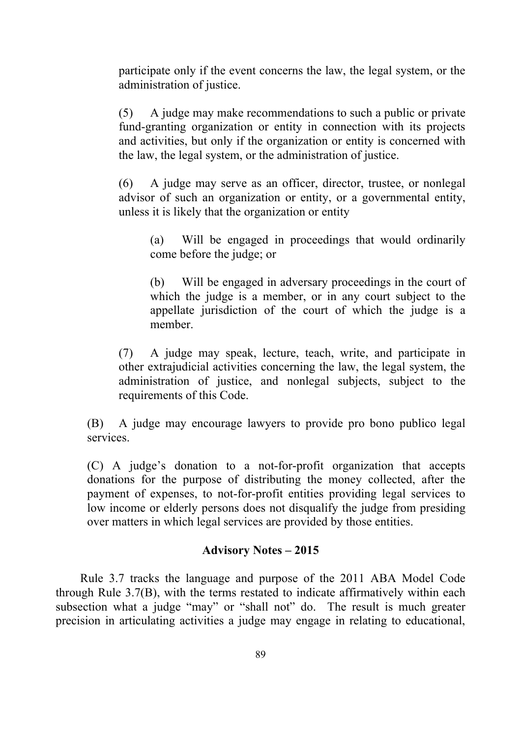participate only if the event concerns the law, the legal system, or the administration of justice.

(5) A judge may make recommendations to such a public or private fund-granting organization or entity in connection with its projects and activities, but only if the organization or entity is concerned with the law, the legal system, or the administration of justice.

(6) A judge may serve as an officer, director, trustee, or nonlegal advisor of such an organization or entity, or a governmental entity, unless it is likely that the organization or entity

(a) Will be engaged in proceedings that would ordinarily come before the judge; or

(b) Will be engaged in adversary proceedings in the court of which the judge is a member, or in any court subject to the appellate jurisdiction of the court of which the judge is a member.

(7) A judge may speak, lecture, teach, write, and participate in other extrajudicial activities concerning the law, the legal system, the administration of justice, and nonlegal subjects, subject to the requirements of this Code.

(B) A judge may encourage lawyers to provide pro bono publico legal services.

(C) A judge's donation to a not-for-profit organization that accepts donations for the purpose of distributing the money collected, after the payment of expenses, to not-for-profit entities providing legal services to low income or elderly persons does not disqualify the judge from presiding over matters in which legal services are provided by those entities.

### **Advisory Notes – 2015**

Rule 3.7 tracks the language and purpose of the 2011 ABA Model Code through Rule 3.7(B), with the terms restated to indicate affirmatively within each subsection what a judge "may" or "shall not" do. The result is much greater precision in articulating activities a judge may engage in relating to educational,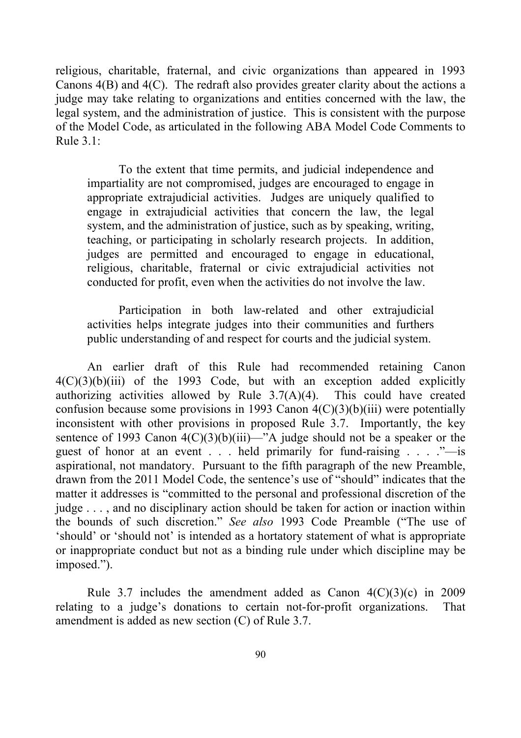religious, charitable, fraternal, and civic organizations than appeared in 1993 Canons 4(B) and 4(C). The redraft also provides greater clarity about the actions a judge may take relating to organizations and entities concerned with the law, the legal system, and the administration of justice. This is consistent with the purpose of the Model Code, as articulated in the following ABA Model Code Comments to Rule 3.1:

To the extent that time permits, and judicial independence and impartiality are not compromised, judges are encouraged to engage in appropriate extrajudicial activities. Judges are uniquely qualified to engage in extrajudicial activities that concern the law, the legal system, and the administration of justice, such as by speaking, writing, teaching, or participating in scholarly research projects. In addition, judges are permitted and encouraged to engage in educational, religious, charitable, fraternal or civic extrajudicial activities not conducted for profit, even when the activities do not involve the law.

Participation in both law-related and other extrajudicial activities helps integrate judges into their communities and furthers public understanding of and respect for courts and the judicial system.

An earlier draft of this Rule had recommended retaining Canon  $4(C)(3)(b)(iii)$  of the 1993 Code, but with an exception added explicitly authorizing activities allowed by Rule  $3.7(A)(4)$ . This could have created confusion because some provisions in 1993 Canon  $4(C)(3)(b)(iii)$  were potentially inconsistent with other provisions in proposed Rule 3.7. Importantly, the key sentence of 1993 Canon  $4(C)(3)(b)(iii)$ —"A judge should not be a speaker or the guest of honor at an event . . . held primarily for fund-raising . . . . " $\rightarrow$  is aspirational, not mandatory. Pursuant to the fifth paragraph of the new Preamble, drawn from the 2011 Model Code, the sentence's use of "should" indicates that the matter it addresses is "committed to the personal and professional discretion of the judge . . . , and no disciplinary action should be taken for action or inaction within the bounds of such discretion." *See also* 1993 Code Preamble ("The use of 'should' or 'should not' is intended as a hortatory statement of what is appropriate or inappropriate conduct but not as a binding rule under which discipline may be imposed.").

Rule 3.7 includes the amendment added as Canon  $4(C)(3)(c)$  in 2009 relating to a judge's donations to certain not-for-profit organizations. That amendment is added as new section (C) of Rule 3.7.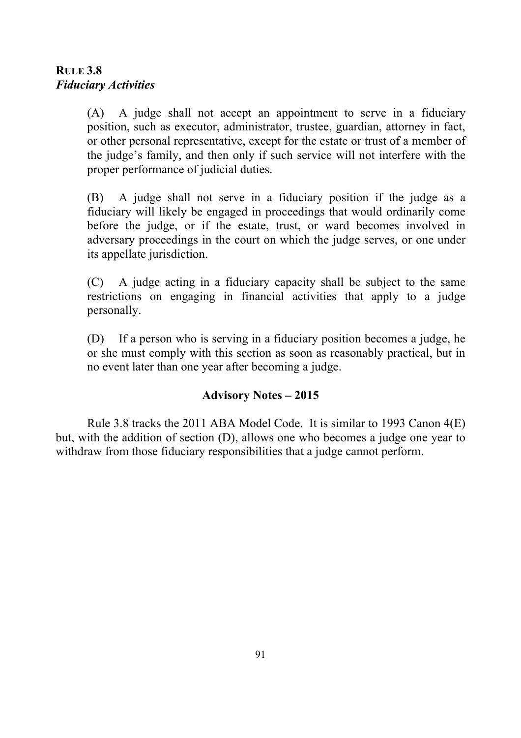# **RULE 3.8** *Fiduciary Activities*

(A) A judge shall not accept an appointment to serve in a fiduciary position, such as executor, administrator, trustee, guardian, attorney in fact, or other personal representative, except for the estate or trust of a member of the judge's family, and then only if such service will not interfere with the proper performance of judicial duties.

(B) A judge shall not serve in a fiduciary position if the judge as a fiduciary will likely be engaged in proceedings that would ordinarily come before the judge, or if the estate, trust, or ward becomes involved in adversary proceedings in the court on which the judge serves, or one under its appellate jurisdiction.

(C) A judge acting in a fiduciary capacity shall be subject to the same restrictions on engaging in financial activities that apply to a judge personally.

(D) If a person who is serving in a fiduciary position becomes a judge, he or she must comply with this section as soon as reasonably practical, but in no event later than one year after becoming a judge.

# **Advisory Notes – 2015**

Rule 3.8 tracks the 2011 ABA Model Code. It is similar to 1993 Canon 4(E) but, with the addition of section (D), allows one who becomes a judge one year to withdraw from those fiduciary responsibilities that a judge cannot perform.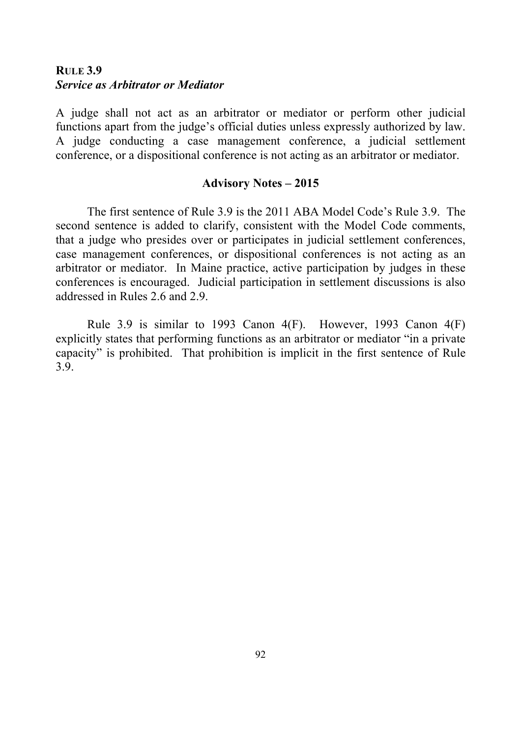### **RULE 3.9** *Service as Arbitrator or Mediator*

A judge shall not act as an arbitrator or mediator or perform other judicial functions apart from the judge's official duties unless expressly authorized by law. A judge conducting a case management conference, a judicial settlement conference, or a dispositional conference is not acting as an arbitrator or mediator.

### **Advisory Notes – 2015**

The first sentence of Rule 3.9 is the 2011 ABA Model Code's Rule 3.9. The second sentence is added to clarify, consistent with the Model Code comments, that a judge who presides over or participates in judicial settlement conferences, case management conferences, or dispositional conferences is not acting as an arbitrator or mediator. In Maine practice, active participation by judges in these conferences is encouraged. Judicial participation in settlement discussions is also addressed in Rules 2.6 and 2.9.

Rule 3.9 is similar to 1993 Canon  $4(F)$ . However, 1993 Canon  $4(F)$ explicitly states that performing functions as an arbitrator or mediator "in a private capacity" is prohibited. That prohibition is implicit in the first sentence of Rule 3.9.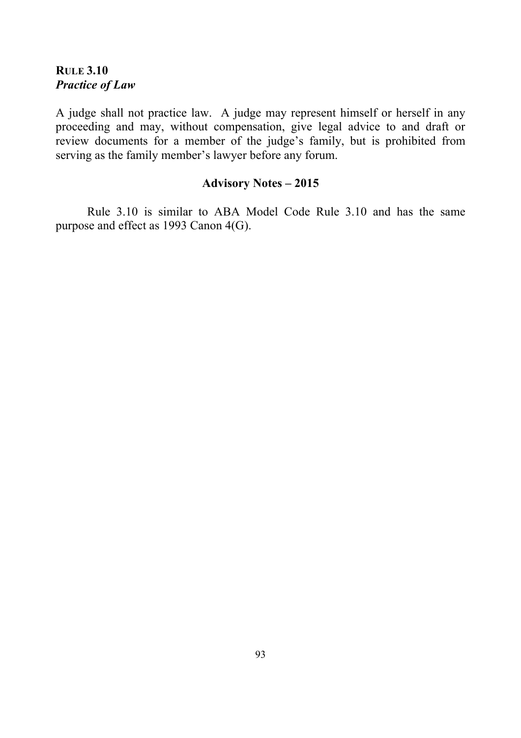# **RULE 3.10** *Practice of Law*

A judge shall not practice law. A judge may represent himself or herself in any proceeding and may, without compensation, give legal advice to and draft or review documents for a member of the judge's family, but is prohibited from serving as the family member's lawyer before any forum.

# **Advisory Notes – 2015**

Rule 3.10 is similar to ABA Model Code Rule 3.10 and has the same purpose and effect as 1993 Canon 4(G).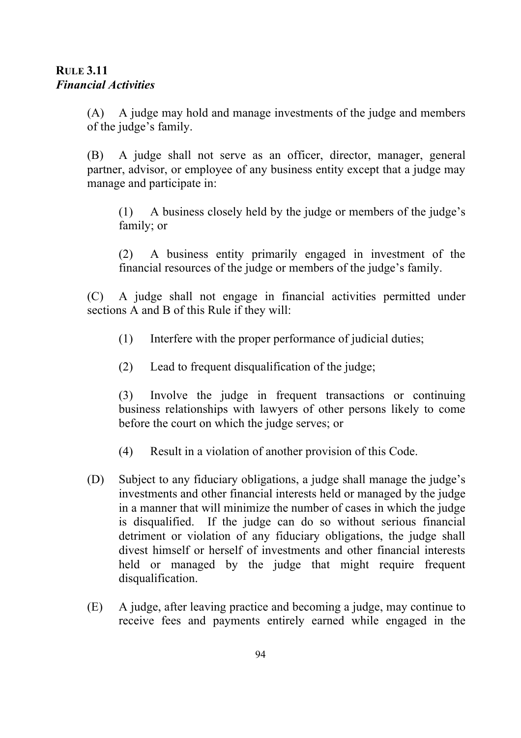## **RULE 3.11** *Financial Activities*

(A) A judge may hold and manage investments of the judge and members of the judge's family.

(B) A judge shall not serve as an officer, director, manager, general partner, advisor, or employee of any business entity except that a judge may manage and participate in:

(1) A business closely held by the judge or members of the judge's family; or

(2) A business entity primarily engaged in investment of the financial resources of the judge or members of the judge's family.

(C) A judge shall not engage in financial activities permitted under sections A and B of this Rule if they will:

- (1) Interfere with the proper performance of judicial duties;
- (2) Lead to frequent disqualification of the judge;

(3) Involve the judge in frequent transactions or continuing business relationships with lawyers of other persons likely to come before the court on which the judge serves; or

- (4) Result in a violation of another provision of this Code.
- (D) Subject to any fiduciary obligations, a judge shall manage the judge's investments and other financial interests held or managed by the judge in a manner that will minimize the number of cases in which the judge is disqualified. If the judge can do so without serious financial detriment or violation of any fiduciary obligations, the judge shall divest himself or herself of investments and other financial interests held or managed by the judge that might require frequent disqualification.
- (E) A judge, after leaving practice and becoming a judge, may continue to receive fees and payments entirely earned while engaged in the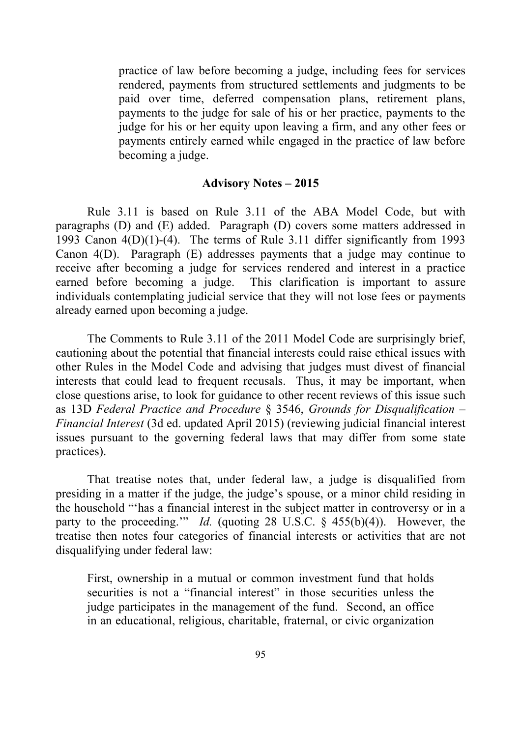practice of law before becoming a judge, including fees for services rendered, payments from structured settlements and judgments to be paid over time, deferred compensation plans, retirement plans, payments to the judge for sale of his or her practice, payments to the judge for his or her equity upon leaving a firm, and any other fees or payments entirely earned while engaged in the practice of law before becoming a judge.

### **Advisory Notes – 2015**

Rule 3.11 is based on Rule 3.11 of the ABA Model Code, but with paragraphs (D) and (E) added. Paragraph (D) covers some matters addressed in 1993 Canon 4(D)(1)-(4). The terms of Rule 3.11 differ significantly from 1993 Canon 4(D). Paragraph (E) addresses payments that a judge may continue to receive after becoming a judge for services rendered and interest in a practice earned before becoming a judge. This clarification is important to assure individuals contemplating judicial service that they will not lose fees or payments already earned upon becoming a judge.

The Comments to Rule 3.11 of the 2011 Model Code are surprisingly brief, cautioning about the potential that financial interests could raise ethical issues with other Rules in the Model Code and advising that judges must divest of financial interests that could lead to frequent recusals. Thus, it may be important, when close questions arise, to look for guidance to other recent reviews of this issue such as 13D *Federal Practice and Procedure* § 3546, *Grounds for Disqualification – Financial Interest* (3d ed. updated April 2015) (reviewing judicial financial interest issues pursuant to the governing federal laws that may differ from some state practices).

That treatise notes that, under federal law, a judge is disqualified from presiding in a matter if the judge, the judge's spouse, or a minor child residing in the household "'has a financial interest in the subject matter in controversy or in a party to the proceeding." *Id.* (quoting 28 U.S.C.  $\S$  455(b)(4)). However, the treatise then notes four categories of financial interests or activities that are not disqualifying under federal law:

First, ownership in a mutual or common investment fund that holds securities is not a "financial interest" in those securities unless the judge participates in the management of the fund. Second, an office in an educational, religious, charitable, fraternal, or civic organization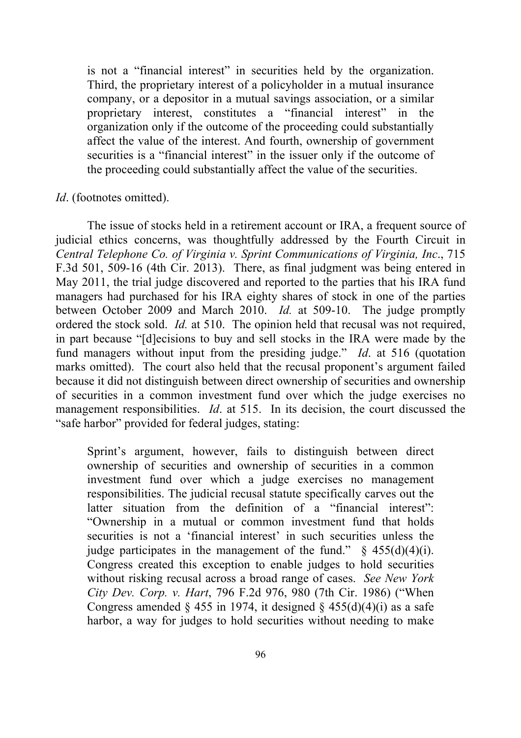is not a "financial interest" in securities held by the organization. Third, the proprietary interest of a policyholder in a mutual insurance company, or a depositor in a mutual savings association, or a similar proprietary interest, constitutes a "financial interest" in the organization only if the outcome of the proceeding could substantially affect the value of the interest. And fourth, ownership of government securities is a "financial interest" in the issuer only if the outcome of the proceeding could substantially affect the value of the securities.

#### *Id.* (footnotes omitted).

The issue of stocks held in a retirement account or IRA, a frequent source of judicial ethics concerns, was thoughtfully addressed by the Fourth Circuit in *Central Telephone Co. of Virginia v. Sprint Communications of Virginia, Inc*., 715 F.3d 501, 509-16 (4th Cir. 2013). There, as final judgment was being entered in May 2011, the trial judge discovered and reported to the parties that his IRA fund managers had purchased for his IRA eighty shares of stock in one of the parties between October 2009 and March 2010. *Id.* at 509-10. The judge promptly ordered the stock sold. *Id.* at 510. The opinion held that recusal was not required, in part because "[d]ecisions to buy and sell stocks in the IRA were made by the fund managers without input from the presiding judge." *Id*. at 516 (quotation marks omitted). The court also held that the recusal proponent's argument failed because it did not distinguish between direct ownership of securities and ownership of securities in a common investment fund over which the judge exercises no management responsibilities. *Id*. at 515. In its decision, the court discussed the "safe harbor" provided for federal judges, stating:

Sprint's argument, however, fails to distinguish between direct ownership of securities and ownership of securities in a common investment fund over which a judge exercises no management responsibilities. The judicial recusal statute specifically carves out the latter situation from the definition of a "financial interest": "Ownership in a mutual or common investment fund that holds securities is not a 'financial interest' in such securities unless the judge participates in the management of the fund."  $\frac{1}{2}$  455(d)(4)(i). Congress created this exception to enable judges to hold securities without risking recusal across a broad range of cases. *See New York City Dev. Corp. v. Hart*, 796 F.2d 976, 980 (7th Cir. 1986) ("When Congress amended  $\S$  455 in 1974, it designed  $\S$  455(d)(4)(i) as a safe harbor, a way for judges to hold securities without needing to make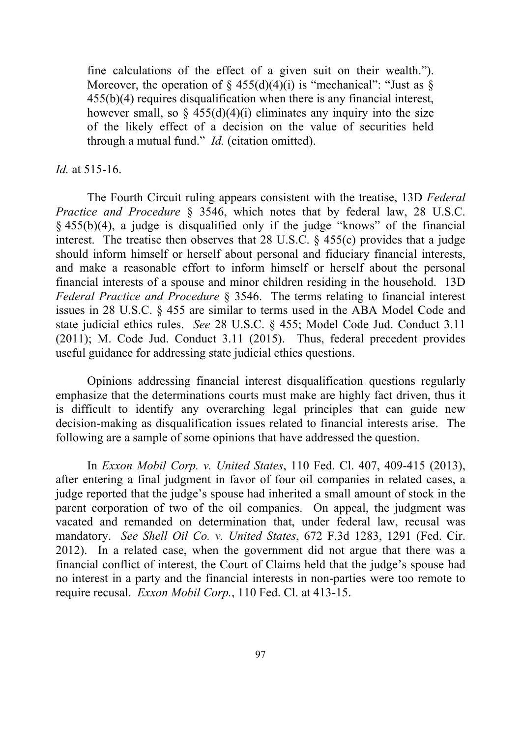fine calculations of the effect of a given suit on their wealth."). Moreover, the operation of  $\S$  455(d)(4)(i) is "mechanical": "Just as  $\S$ 455(b)(4) requires disqualification when there is any financial interest, however small, so  $\S$  455(d)(4)(i) eliminates any inquiry into the size of the likely effect of a decision on the value of securities held through a mutual fund." *Id.* (citation omitted).

*Id.* at 515-16.

The Fourth Circuit ruling appears consistent with the treatise, 13D *Federal Practice and Procedure* § 3546, which notes that by federal law, 28 U.S.C. § 455(b)(4), a judge is disqualified only if the judge "knows" of the financial interest. The treatise then observes that 28 U.S.C. § 455(c) provides that a judge should inform himself or herself about personal and fiduciary financial interests, and make a reasonable effort to inform himself or herself about the personal financial interests of a spouse and minor children residing in the household. 13D *Federal Practice and Procedure* § 3546. The terms relating to financial interest issues in 28 U.S.C. § 455 are similar to terms used in the ABA Model Code and state judicial ethics rules. *See* 28 U.S.C. § 455; Model Code Jud. Conduct 3.11 (2011); M. Code Jud. Conduct 3.11 (2015). Thus, federal precedent provides useful guidance for addressing state judicial ethics questions.

Opinions addressing financial interest disqualification questions regularly emphasize that the determinations courts must make are highly fact driven, thus it is difficult to identify any overarching legal principles that can guide new decision-making as disqualification issues related to financial interests arise. The following are a sample of some opinions that have addressed the question.

In *Exxon Mobil Corp. v. United States*, 110 Fed. Cl. 407, 409-415 (2013), after entering a final judgment in favor of four oil companies in related cases, a judge reported that the judge's spouse had inherited a small amount of stock in the parent corporation of two of the oil companies. On appeal, the judgment was vacated and remanded on determination that, under federal law, recusal was mandatory. *See Shell Oil Co. v. United States*, 672 F.3d 1283, 1291 (Fed. Cir. 2012). In a related case, when the government did not argue that there was a financial conflict of interest, the Court of Claims held that the judge's spouse had no interest in a party and the financial interests in non-parties were too remote to require recusal. *Exxon Mobil Corp.*, 110 Fed. Cl. at 413-15.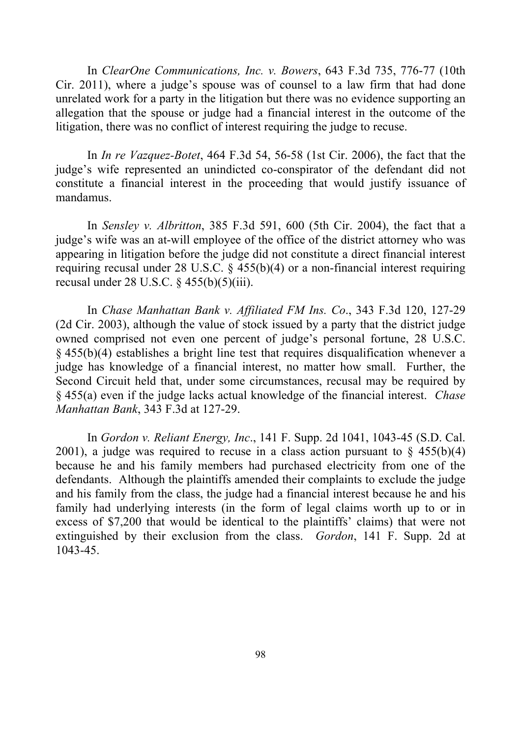In *ClearOne Communications, Inc. v. Bowers*, 643 F.3d 735, 776-77 (10th Cir. 2011), where a judge's spouse was of counsel to a law firm that had done unrelated work for a party in the litigation but there was no evidence supporting an allegation that the spouse or judge had a financial interest in the outcome of the litigation, there was no conflict of interest requiring the judge to recuse.

In *In re Vazquez-Botet*, 464 F.3d 54, 56-58 (1st Cir. 2006), the fact that the judge's wife represented an unindicted co-conspirator of the defendant did not constitute a financial interest in the proceeding that would justify issuance of mandamus.

In *Sensley v. Albritton*, 385 F.3d 591, 600 (5th Cir. 2004), the fact that a judge's wife was an at-will employee of the office of the district attorney who was appearing in litigation before the judge did not constitute a direct financial interest requiring recusal under 28 U.S.C. § 455(b)(4) or a non-financial interest requiring recusal under 28 U.S.C. § 455(b)(5)(iii).

In *Chase Manhattan Bank v. Affiliated FM Ins. Co*., 343 F.3d 120, 127-29 (2d Cir. 2003), although the value of stock issued by a party that the district judge owned comprised not even one percent of judge's personal fortune, 28 U.S.C. § 455(b)(4) establishes a bright line test that requires disqualification whenever a judge has knowledge of a financial interest, no matter how small. Further, the Second Circuit held that, under some circumstances, recusal may be required by § 455(a) even if the judge lacks actual knowledge of the financial interest. *Chase Manhattan Bank*, 343 F.3d at 127-29.

In *Gordon v. Reliant Energy, Inc*., 141 F. Supp. 2d 1041, 1043-45 (S.D. Cal. 2001), a judge was required to recuse in a class action pursuant to  $\S$  455(b)(4) because he and his family members had purchased electricity from one of the defendants. Although the plaintiffs amended their complaints to exclude the judge and his family from the class, the judge had a financial interest because he and his family had underlying interests (in the form of legal claims worth up to or in excess of \$7,200 that would be identical to the plaintiffs' claims) that were not extinguished by their exclusion from the class. *Gordon*, 141 F. Supp. 2d at 1043-45.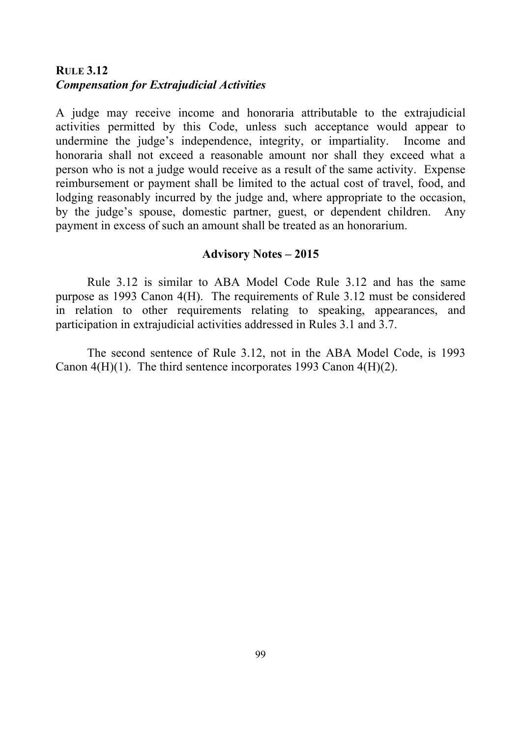# **RULE 3.12** *Compensation for Extrajudicial Activities*

A judge may receive income and honoraria attributable to the extrajudicial activities permitted by this Code, unless such acceptance would appear to undermine the judge's independence, integrity, or impartiality. Income and honoraria shall not exceed a reasonable amount nor shall they exceed what a person who is not a judge would receive as a result of the same activity. Expense reimbursement or payment shall be limited to the actual cost of travel, food, and lodging reasonably incurred by the judge and, where appropriate to the occasion, by the judge's spouse, domestic partner, guest, or dependent children. Any payment in excess of such an amount shall be treated as an honorarium.

### **Advisory Notes – 2015**

Rule 3.12 is similar to ABA Model Code Rule 3.12 and has the same purpose as 1993 Canon 4(H). The requirements of Rule 3.12 must be considered in relation to other requirements relating to speaking, appearances, and participation in extrajudicial activities addressed in Rules 3.1 and 3.7.

The second sentence of Rule 3.12, not in the ABA Model Code, is 1993 Canon  $4(H)(1)$ . The third sentence incorporates 1993 Canon  $4(H)(2)$ .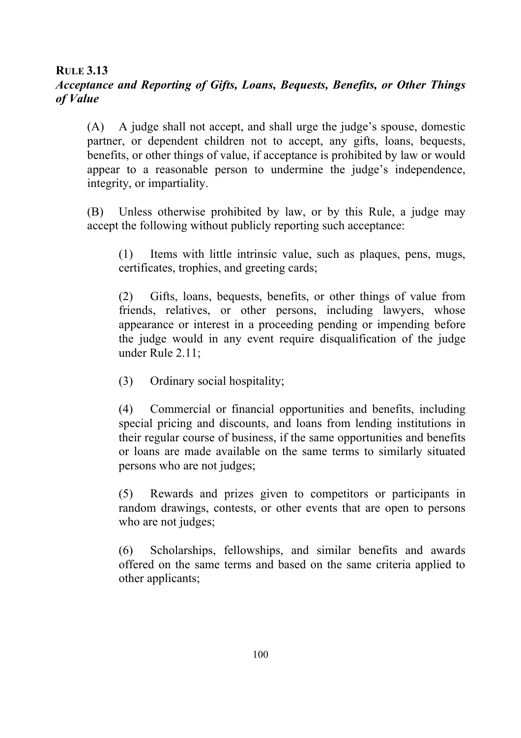# **RULE 3.13**

# *Acceptance and Reporting of Gifts, Loans, Bequests, Benefits, or Other Things of Value*

(A) A judge shall not accept, and shall urge the judge's spouse, domestic partner, or dependent children not to accept, any gifts, loans, bequests, benefits, or other things of value, if acceptance is prohibited by law or would appear to a reasonable person to undermine the judge's independence, integrity, or impartiality.

(B) Unless otherwise prohibited by law, or by this Rule, a judge may accept the following without publicly reporting such acceptance:

(1) Items with little intrinsic value, such as plaques, pens, mugs, certificates, trophies, and greeting cards;

(2) Gifts, loans, bequests, benefits, or other things of value from friends, relatives, or other persons, including lawyers, whose appearance or interest in a proceeding pending or impending before the judge would in any event require disqualification of the judge under Rule 2.11;

(3) Ordinary social hospitality;

(4) Commercial or financial opportunities and benefits, including special pricing and discounts, and loans from lending institutions in their regular course of business, if the same opportunities and benefits or loans are made available on the same terms to similarly situated persons who are not judges;

(5) Rewards and prizes given to competitors or participants in random drawings, contests, or other events that are open to persons who are not judges;

(6) Scholarships, fellowships, and similar benefits and awards offered on the same terms and based on the same criteria applied to other applicants;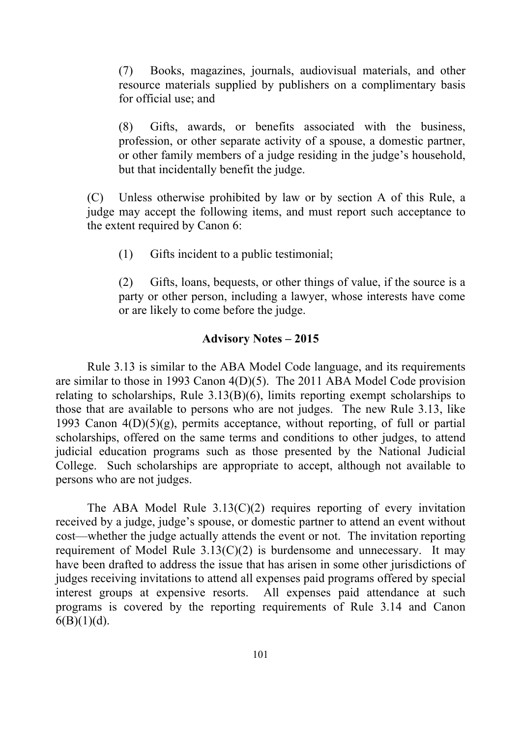(7) Books, magazines, journals, audiovisual materials, and other resource materials supplied by publishers on a complimentary basis for official use; and

(8) Gifts, awards, or benefits associated with the business, profession, or other separate activity of a spouse, a domestic partner, or other family members of a judge residing in the judge's household, but that incidentally benefit the judge.

(C) Unless otherwise prohibited by law or by section A of this Rule, a judge may accept the following items, and must report such acceptance to the extent required by Canon 6:

(1) Gifts incident to a public testimonial;

(2) Gifts, loans, bequests, or other things of value, if the source is a party or other person, including a lawyer, whose interests have come or are likely to come before the judge.

#### **Advisory Notes – 2015**

Rule 3.13 is similar to the ABA Model Code language, and its requirements are similar to those in 1993 Canon 4(D)(5). The 2011 ABA Model Code provision relating to scholarships, Rule 3.13(B)(6), limits reporting exempt scholarships to those that are available to persons who are not judges. The new Rule 3.13, like 1993 Canon  $4(D)(5)(g)$ , permits acceptance, without reporting, of full or partial scholarships, offered on the same terms and conditions to other judges, to attend judicial education programs such as those presented by the National Judicial College. Such scholarships are appropriate to accept, although not available to persons who are not judges.

The ABA Model Rule 3.13(C)(2) requires reporting of every invitation received by a judge, judge's spouse, or domestic partner to attend an event without cost—whether the judge actually attends the event or not. The invitation reporting requirement of Model Rule  $3.13(C)(2)$  is burdensome and unnecessary. It may have been drafted to address the issue that has arisen in some other jurisdictions of judges receiving invitations to attend all expenses paid programs offered by special interest groups at expensive resorts. All expenses paid attendance at such programs is covered by the reporting requirements of Rule 3.14 and Canon  $6(B)(1)(d)$ .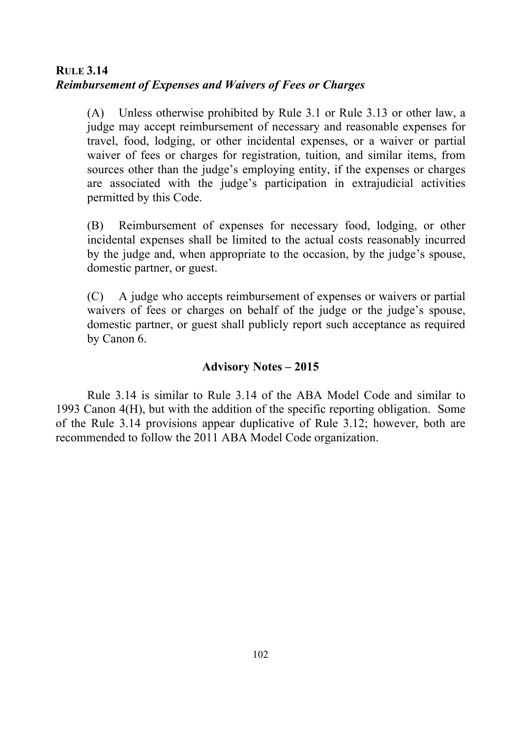# **RULE 3.14** *Reimbursement of Expenses and Waivers of Fees or Charges*

(A) Unless otherwise prohibited by Rule 3.1 or Rule 3.13 or other law, a judge may accept reimbursement of necessary and reasonable expenses for travel, food, lodging, or other incidental expenses, or a waiver or partial waiver of fees or charges for registration, tuition, and similar items, from sources other than the judge's employing entity, if the expenses or charges are associated with the judge's participation in extrajudicial activities permitted by this Code.

(B) Reimbursement of expenses for necessary food, lodging, or other incidental expenses shall be limited to the actual costs reasonably incurred by the judge and, when appropriate to the occasion, by the judge's spouse, domestic partner, or guest.

(C) A judge who accepts reimbursement of expenses or waivers or partial waivers of fees or charges on behalf of the judge or the judge's spouse, domestic partner, or guest shall publicly report such acceptance as required by Canon 6.

# **Advisory Notes – 2015**

Rule 3.14 is similar to Rule 3.14 of the ABA Model Code and similar to 1993 Canon 4(H), but with the addition of the specific reporting obligation. Some of the Rule 3.14 provisions appear duplicative of Rule 3.12; however, both are recommended to follow the 2011 ABA Model Code organization.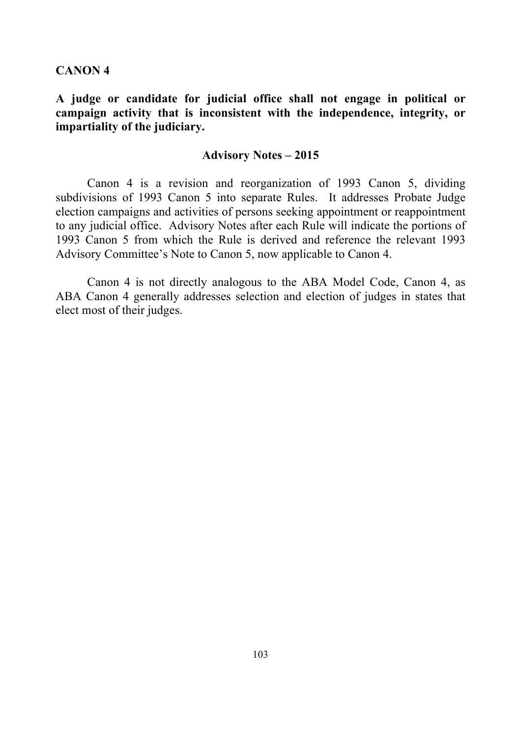#### **CANON 4**

**A judge or candidate for judicial office shall not engage in political or campaign activity that is inconsistent with the independence, integrity, or impartiality of the judiciary.**

### **Advisory Notes – 2015**

Canon 4 is a revision and reorganization of 1993 Canon 5, dividing subdivisions of 1993 Canon 5 into separate Rules. It addresses Probate Judge election campaigns and activities of persons seeking appointment or reappointment to any judicial office. Advisory Notes after each Rule will indicate the portions of 1993 Canon 5 from which the Rule is derived and reference the relevant 1993 Advisory Committee's Note to Canon 5, now applicable to Canon 4.

Canon 4 is not directly analogous to the ABA Model Code, Canon 4, as ABA Canon 4 generally addresses selection and election of judges in states that elect most of their judges.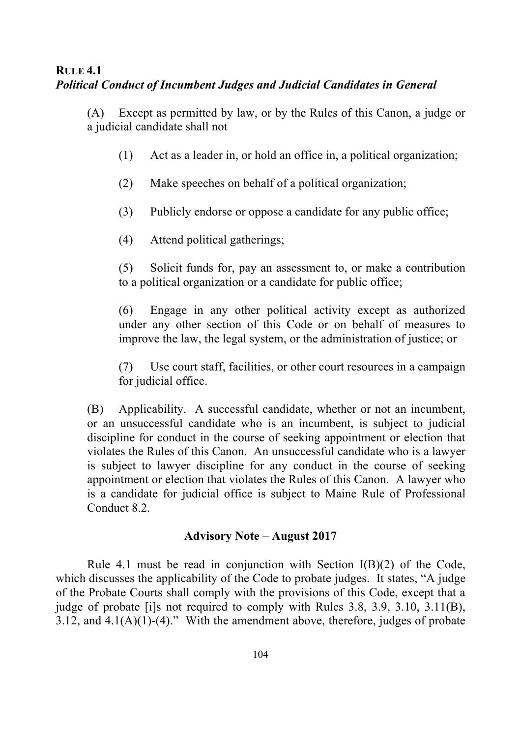# **RULE 4.1** *Political Conduct of Incumbent Judges and Judicial Candidates in General*

(A) Except as permitted by law, or by the Rules of this Canon, a judge or a judicial candidate shall not

- (1) Act as a leader in, or hold an office in, a political organization;
- (2) Make speeches on behalf of a political organization;
- (3) Publicly endorse or oppose a candidate for any public office;
- (4) Attend political gatherings;

(5) Solicit funds for, pay an assessment to, or make a contribution to a political organization or a candidate for public office;

(6) Engage in any other political activity except as authorized under any other section of this Code or on behalf of measures to improve the law, the legal system, or the administration of justice; or

(7) Use court staff, facilities, or other court resources in a campaign for judicial office.

(B) Applicability. A successful candidate, whether or not an incumbent, or an unsuccessful candidate who is an incumbent, is subject to judicial discipline for conduct in the course of seeking appointment or election that violates the Rules of this Canon. An unsuccessful candidate who is a lawyer is subject to lawyer discipline for any conduct in the course of seeking appointment or election that violates the Rules of this Canon. A lawyer who is a candidate for judicial office is subject to Maine Rule of Professional Conduct 8.2.

### **Advisory Note – August 2017**

Rule 4.1 must be read in conjunction with Section I(B)(2) of the Code, which discusses the applicability of the Code to probate judges. It states, "A judge of the Probate Courts shall comply with the provisions of this Code, except that a judge of probate [i]s not required to comply with Rules 3.8, 3.9, 3.10, 3.11(B), 3.12, and  $4.1(A)(1)-(4)$ ." With the amendment above, therefore, judges of probate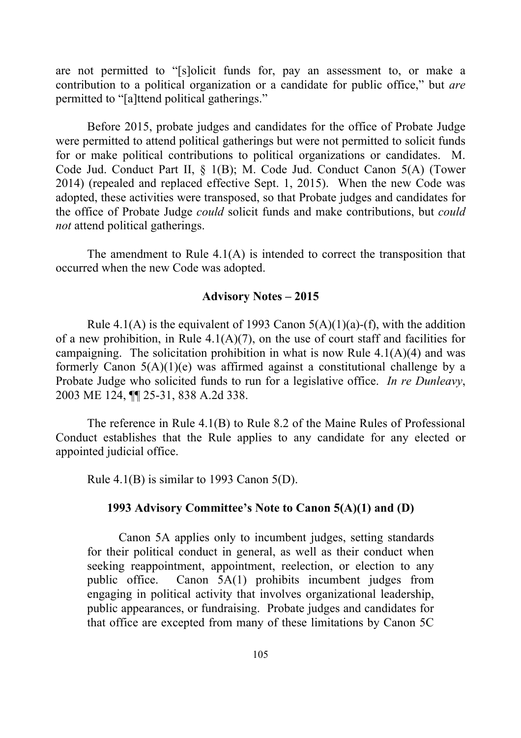are not permitted to "[s]olicit funds for, pay an assessment to, or make a contribution to a political organization or a candidate for public office," but *are* permitted to "[a]ttend political gatherings."

Before 2015, probate judges and candidates for the office of Probate Judge were permitted to attend political gatherings but were not permitted to solicit funds for or make political contributions to political organizations or candidates. M. Code Jud. Conduct Part II, § 1(B); M. Code Jud. Conduct Canon 5(A) (Tower 2014) (repealed and replaced effective Sept. 1, 2015). When the new Code was adopted, these activities were transposed, so that Probate judges and candidates for the office of Probate Judge *could* solicit funds and make contributions, but *could not* attend political gatherings.

The amendment to Rule  $4.1(A)$  is intended to correct the transposition that occurred when the new Code was adopted.

### **Advisory Notes – 2015**

Rule 4.1(A) is the equivalent of 1993 Canon  $5(A)(1)(a)-(f)$ , with the addition of a new prohibition, in Rule  $4.1(A)(7)$ , on the use of court staff and facilities for campaigning. The solicitation prohibition in what is now Rule  $4.1(A)(4)$  and was formerly Canon 5(A)(1)(e) was affirmed against a constitutional challenge by a Probate Judge who solicited funds to run for a legislative office. *In re Dunleavy*, 2003 ME 124, ¶¶ 25-31, 838 A.2d 338.

The reference in Rule 4.1(B) to Rule 8.2 of the Maine Rules of Professional Conduct establishes that the Rule applies to any candidate for any elected or appointed judicial office.

Rule 4.1(B) is similar to 1993 Canon 5(D).

### **1993 Advisory Committee's Note to Canon 5(A)(1) and (D)**

Canon 5A applies only to incumbent judges, setting standards for their political conduct in general, as well as their conduct when seeking reappointment, appointment, reelection, or election to any public office. Canon 5A(1) prohibits incumbent judges from engaging in political activity that involves organizational leadership, public appearances, or fundraising. Probate judges and candidates for that office are excepted from many of these limitations by Canon 5C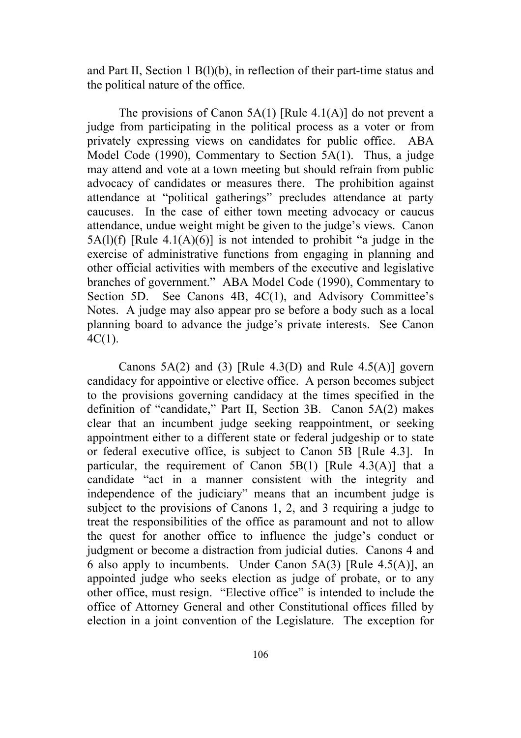and Part II, Section 1 B(l)(b), in reflection of their part-time status and the political nature of the office.

The provisions of Canon  $5A(1)$  [Rule 4.1(A)] do not prevent a judge from participating in the political process as a voter or from privately expressing views on candidates for public office. ABA Model Code (1990), Commentary to Section 5A(1). Thus, a judge may attend and vote at a town meeting but should refrain from public advocacy of candidates or measures there. The prohibition against attendance at "political gatherings" precludes attendance at party caucuses. In the case of either town meeting advocacy or caucus attendance, undue weight might be given to the judge's views. Canon  $5A(1)(f)$  [Rule  $4.1(A)(6)$ ] is not intended to prohibit "a judge in the exercise of administrative functions from engaging in planning and other official activities with members of the executive and legislative branches of government." ABA Model Code (1990), Commentary to Section 5D. See Canons 4B, 4C(1), and Advisory Committee's Notes. A judge may also appear pro se before a body such as a local planning board to advance the judge's private interests. See Canon  $4C(1)$ .

Canons  $5A(2)$  and  $(3)$  [Rule 4.3(D) and Rule 4.5(A)] govern candidacy for appointive or elective office. A person becomes subject to the provisions governing candidacy at the times specified in the definition of "candidate," Part II, Section 3B. Canon 5A(2) makes clear that an incumbent judge seeking reappointment, or seeking appointment either to a different state or federal judgeship or to state or federal executive office, is subject to Canon 5B [Rule 4.3]. In particular, the requirement of Canon  $5B(1)$  [Rule 4.3(A)] that a candidate "act in a manner consistent with the integrity and independence of the judiciary" means that an incumbent judge is subject to the provisions of Canons 1, 2, and 3 requiring a judge to treat the responsibilities of the office as paramount and not to allow the quest for another office to influence the judge's conduct or judgment or become a distraction from judicial duties. Canons 4 and 6 also apply to incumbents. Under Canon 5A(3) [Rule 4.5(A)], an appointed judge who seeks election as judge of probate, or to any other office, must resign. "Elective office" is intended to include the office of Attorney General and other Constitutional offices filled by election in a joint convention of the Legislature. The exception for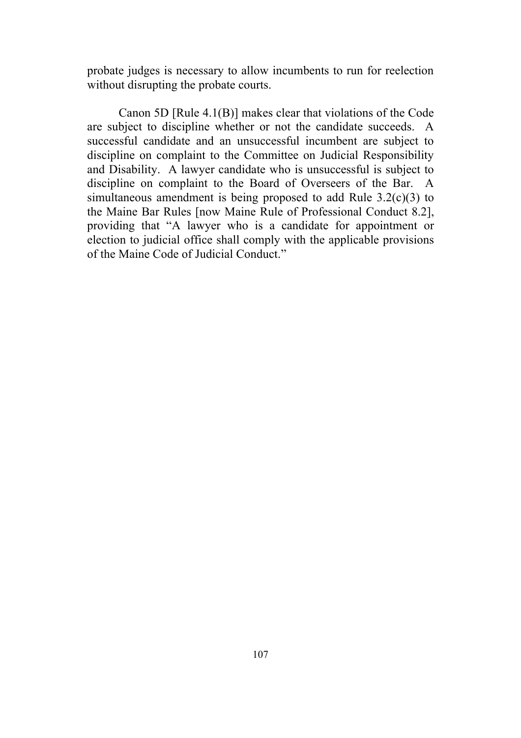probate judges is necessary to allow incumbents to run for reelection without disrupting the probate courts.

Canon 5D [Rule 4.1(B)] makes clear that violations of the Code are subject to discipline whether or not the candidate succeeds. A successful candidate and an unsuccessful incumbent are subject to discipline on complaint to the Committee on Judicial Responsibility and Disability. A lawyer candidate who is unsuccessful is subject to discipline on complaint to the Board of Overseers of the Bar. A simultaneous amendment is being proposed to add Rule 3.2(c)(3) to the Maine Bar Rules [now Maine Rule of Professional Conduct 8.2], providing that "A lawyer who is a candidate for appointment or election to judicial office shall comply with the applicable provisions of the Maine Code of Judicial Conduct."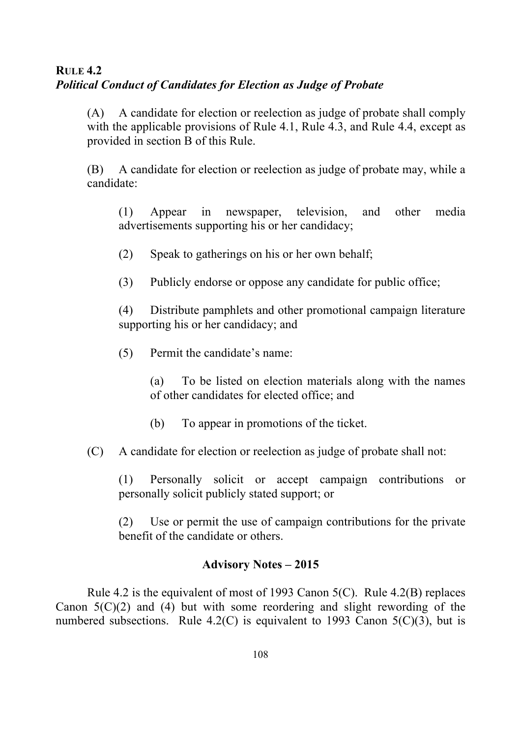# **RULE 4.2** *Political Conduct of Candidates for Election as Judge of Probate*

(A) A candidate for election or reelection as judge of probate shall comply with the applicable provisions of Rule 4.1, Rule 4.3, and Rule 4.4, except as provided in section B of this Rule.

(B) A candidate for election or reelection as judge of probate may, while a candidate:

(1) Appear in newspaper, television, and other media advertisements supporting his or her candidacy;

- (2) Speak to gatherings on his or her own behalf;
- (3) Publicly endorse or oppose any candidate for public office;

(4) Distribute pamphlets and other promotional campaign literature supporting his or her candidacy; and

(5) Permit the candidate's name:

(a) To be listed on election materials along with the names of other candidates for elected office; and

- (b) To appear in promotions of the ticket.
- (C) A candidate for election or reelection as judge of probate shall not:

(1) Personally solicit or accept campaign contributions or personally solicit publicly stated support; or

(2) Use or permit the use of campaign contributions for the private benefit of the candidate or others.

# **Advisory Notes – 2015**

Rule 4.2 is the equivalent of most of 1993 Canon 5(C). Rule 4.2(B) replaces Canon  $5(C)(2)$  and (4) but with some reordering and slight rewording of the numbered subsections. Rule 4.2(C) is equivalent to 1993 Canon  $5(C)(3)$ , but is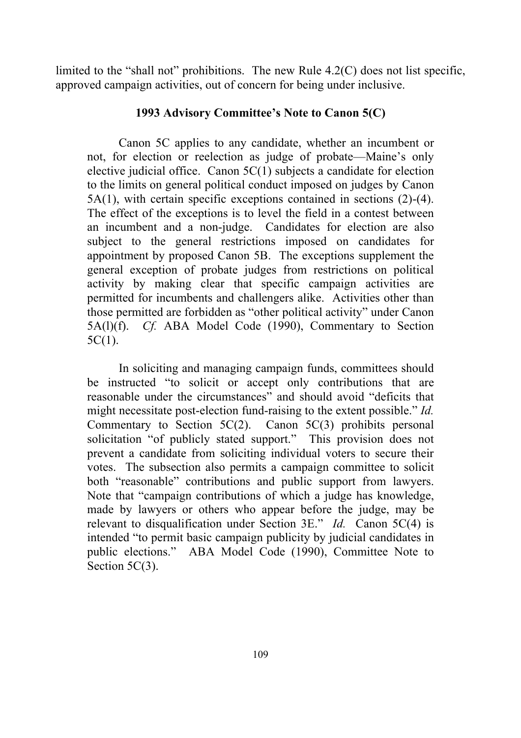limited to the "shall not" prohibitions. The new Rule 4.2(C) does not list specific, approved campaign activities, out of concern for being under inclusive.

#### **1993 Advisory Committee's Note to Canon 5(C)**

Canon 5C applies to any candidate, whether an incumbent or not, for election or reelection as judge of probate—Maine's only elective judicial office. Canon 5C(1) subjects a candidate for election to the limits on general political conduct imposed on judges by Canon 5A(1), with certain specific exceptions contained in sections (2)-(4). The effect of the exceptions is to level the field in a contest between an incumbent and a non-judge. Candidates for election are also subject to the general restrictions imposed on candidates for appointment by proposed Canon 5B. The exceptions supplement the general exception of probate judges from restrictions on political activity by making clear that specific campaign activities are permitted for incumbents and challengers alike. Activities other than those permitted are forbidden as "other political activity" under Canon 5A(l)(f). *Cf.* ABA Model Code (1990), Commentary to Section  $5C(1)$ .

In soliciting and managing campaign funds, committees should be instructed "to solicit or accept only contributions that are reasonable under the circumstances" and should avoid "deficits that might necessitate post-election fund-raising to the extent possible." *Id.*  Commentary to Section 5C(2). Canon 5C(3) prohibits personal solicitation "of publicly stated support." This provision does not prevent a candidate from soliciting individual voters to secure their votes. The subsection also permits a campaign committee to solicit both "reasonable" contributions and public support from lawyers. Note that "campaign contributions of which a judge has knowledge, made by lawyers or others who appear before the judge, may be relevant to disqualification under Section 3E." *Id.* Canon 5C(4) is intended "to permit basic campaign publicity by judicial candidates in public elections." ABA Model Code (1990), Committee Note to Section 5C(3).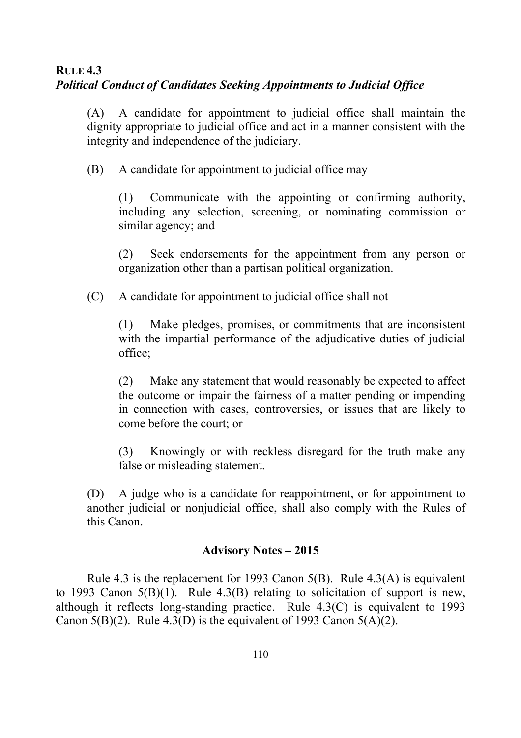# **RULE 4.3** *Political Conduct of Candidates Seeking Appointments to Judicial Office*

(A) A candidate for appointment to judicial office shall maintain the dignity appropriate to judicial office and act in a manner consistent with the integrity and independence of the judiciary.

(B) A candidate for appointment to judicial office may

(1) Communicate with the appointing or confirming authority, including any selection, screening, or nominating commission or similar agency; and

(2) Seek endorsements for the appointment from any person or organization other than a partisan political organization.

(C) A candidate for appointment to judicial office shall not

(1) Make pledges, promises, or commitments that are inconsistent with the impartial performance of the adjudicative duties of judicial office;

(2) Make any statement that would reasonably be expected to affect the outcome or impair the fairness of a matter pending or impending in connection with cases, controversies, or issues that are likely to come before the court; or

(3) Knowingly or with reckless disregard for the truth make any false or misleading statement.

(D) A judge who is a candidate for reappointment, or for appointment to another judicial or nonjudicial office, shall also comply with the Rules of this Canon.

## **Advisory Notes – 2015**

Rule 4.3 is the replacement for 1993 Canon 5(B). Rule 4.3(A) is equivalent to 1993 Canon 5(B)(1). Rule 4.3(B) relating to solicitation of support is new, although it reflects long-standing practice. Rule 4.3(C) is equivalent to 1993 Canon  $5(B)(2)$ . Rule  $4.3(D)$  is the equivalent of 1993 Canon  $5(A)(2)$ .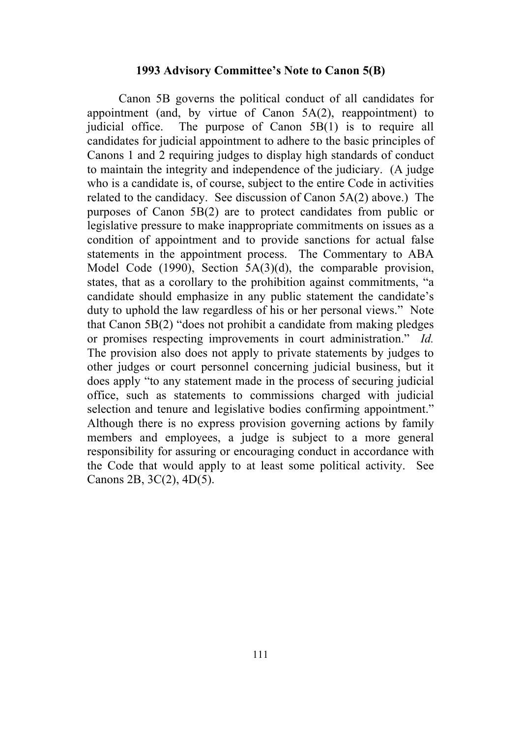#### **1993 Advisory Committee's Note to Canon 5(B)**

Canon 5B governs the political conduct of all candidates for appointment (and, by virtue of Canon 5A(2), reappointment) to judicial office. The purpose of Canon 5B(1) is to require all candidates for judicial appointment to adhere to the basic principles of Canons 1 and 2 requiring judges to display high standards of conduct to maintain the integrity and independence of the judiciary. (A judge who is a candidate is, of course, subject to the entire Code in activities related to the candidacy. See discussion of Canon 5A(2) above.) The purposes of Canon 5B(2) are to protect candidates from public or legislative pressure to make inappropriate commitments on issues as a condition of appointment and to provide sanctions for actual false statements in the appointment process. The Commentary to ABA Model Code (1990), Section 5A(3)(d), the comparable provision, states, that as a corollary to the prohibition against commitments, "a candidate should emphasize in any public statement the candidate's duty to uphold the law regardless of his or her personal views." Note that Canon 5B(2) "does not prohibit a candidate from making pledges or promises respecting improvements in court administration." *Id.*  The provision also does not apply to private statements by judges to other judges or court personnel concerning judicial business, but it does apply "to any statement made in the process of securing judicial office, such as statements to commissions charged with judicial selection and tenure and legislative bodies confirming appointment." Although there is no express provision governing actions by family members and employees, a judge is subject to a more general responsibility for assuring or encouraging conduct in accordance with the Code that would apply to at least some political activity. See Canons 2B, 3C(2), 4D(5).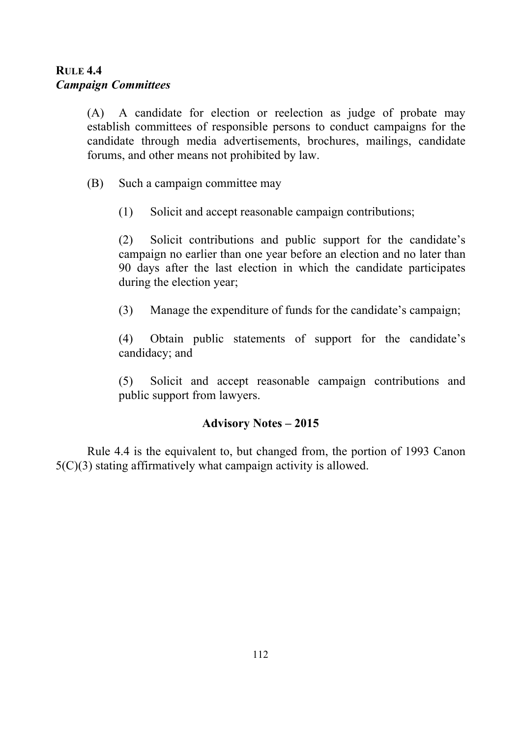# **RULE 4.4** *Campaign Committees*

(A) A candidate for election or reelection as judge of probate may establish committees of responsible persons to conduct campaigns for the candidate through media advertisements, brochures, mailings, candidate forums, and other means not prohibited by law.

- (B) Such a campaign committee may
	- (1) Solicit and accept reasonable campaign contributions;

(2) Solicit contributions and public support for the candidate's campaign no earlier than one year before an election and no later than 90 days after the last election in which the candidate participates during the election year;

(3) Manage the expenditure of funds for the candidate's campaign;

(4) Obtain public statements of support for the candidate's candidacy; and

(5) Solicit and accept reasonable campaign contributions and public support from lawyers.

# **Advisory Notes – 2015**

Rule 4.4 is the equivalent to, but changed from, the portion of 1993 Canon 5(C)(3) stating affirmatively what campaign activity is allowed.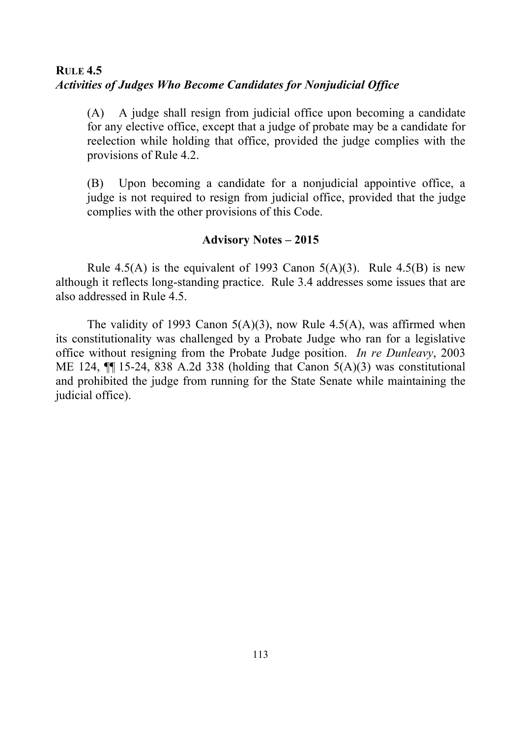# **RULE 4.5** *Activities of Judges Who Become Candidates for Nonjudicial Office*

(A) A judge shall resign from judicial office upon becoming a candidate for any elective office, except that a judge of probate may be a candidate for reelection while holding that office, provided the judge complies with the provisions of Rule 4.2.

(B) Upon becoming a candidate for a nonjudicial appointive office, a judge is not required to resign from judicial office, provided that the judge complies with the other provisions of this Code.

## **Advisory Notes – 2015**

Rule 4.5(A) is the equivalent of 1993 Canon  $5(A)(3)$ . Rule 4.5(B) is new although it reflects long-standing practice. Rule 3.4 addresses some issues that are also addressed in Rule 4.5.

The validity of 1993 Canon 5(A)(3), now Rule 4.5(A), was affirmed when its constitutionality was challenged by a Probate Judge who ran for a legislative office without resigning from the Probate Judge position. *In re Dunleavy*, 2003 ME 124, ¶¶ 15-24, 838 A.2d 338 (holding that Canon 5(A)(3) was constitutional and prohibited the judge from running for the State Senate while maintaining the judicial office).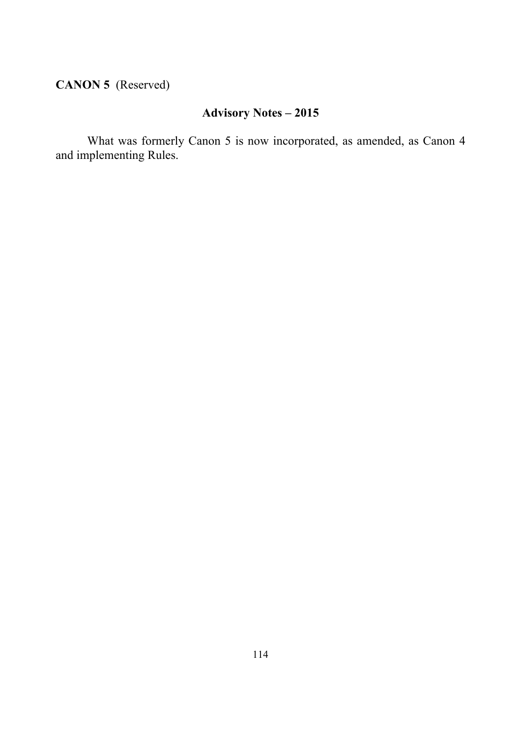**CANON 5** (Reserved)

# **Advisory Notes – 2015**

What was formerly Canon 5 is now incorporated, as amended, as Canon 4 and implementing Rules.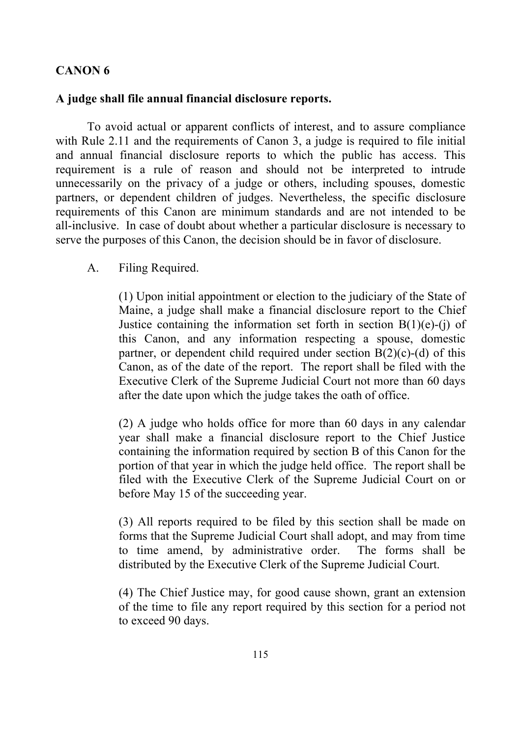## **CANON 6**

#### **A judge shall file annual financial disclosure reports.**

To avoid actual or apparent conflicts of interest, and to assure compliance with Rule 2.11 and the requirements of Canon 3, a judge is required to file initial and annual financial disclosure reports to which the public has access. This requirement is a rule of reason and should not be interpreted to intrude unnecessarily on the privacy of a judge or others, including spouses, domestic partners, or dependent children of judges. Nevertheless, the specific disclosure requirements of this Canon are minimum standards and are not intended to be all-inclusive. In case of doubt about whether a particular disclosure is necessary to serve the purposes of this Canon, the decision should be in favor of disclosure.

#### A. Filing Required.

(1) Upon initial appointment or election to the judiciary of the State of Maine, a judge shall make a financial disclosure report to the Chief Justice containing the information set forth in section  $B(1)(e)$ -(j) of this Canon, and any information respecting a spouse, domestic partner, or dependent child required under section  $B(2)(c)-(d)$  of this Canon, as of the date of the report. The report shall be filed with the Executive Clerk of the Supreme Judicial Court not more than 60 days after the date upon which the judge takes the oath of office.

(2) A judge who holds office for more than 60 days in any calendar year shall make a financial disclosure report to the Chief Justice containing the information required by section B of this Canon for the portion of that year in which the judge held office. The report shall be filed with the Executive Clerk of the Supreme Judicial Court on or before May 15 of the succeeding year.

(3) All reports required to be filed by this section shall be made on forms that the Supreme Judicial Court shall adopt, and may from time to time amend, by administrative order. The forms shall be distributed by the Executive Clerk of the Supreme Judicial Court.

(4) The Chief Justice may, for good cause shown, grant an extension of the time to file any report required by this section for a period not to exceed 90 days.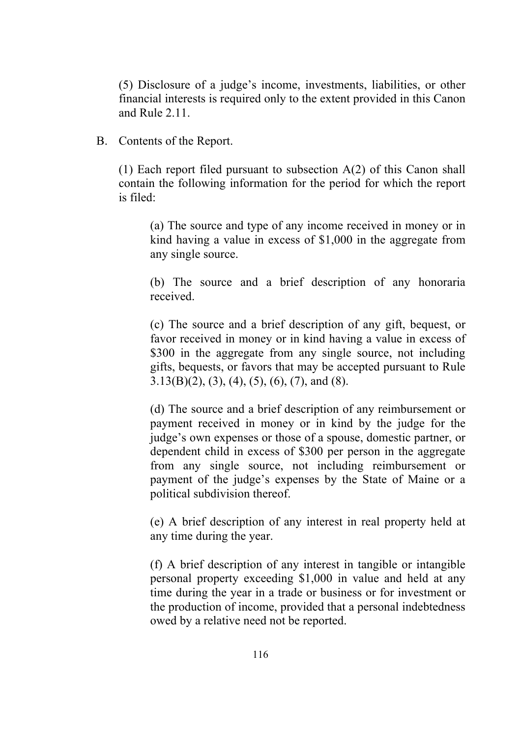(5) Disclosure of a judge's income, investments, liabilities, or other financial interests is required only to the extent provided in this Canon and Rule 2.11.

B. Contents of the Report.

(1) Each report filed pursuant to subsection A(2) of this Canon shall contain the following information for the period for which the report is filed:

(a) The source and type of any income received in money or in kind having a value in excess of \$1,000 in the aggregate from any single source.

(b) The source and a brief description of any honoraria received.

(c) The source and a brief description of any gift, bequest, or favor received in money or in kind having a value in excess of \$300 in the aggregate from any single source, not including gifts, bequests, or favors that may be accepted pursuant to Rule  $3.13(B)(2)$ , (3), (4), (5), (6), (7), and (8).

(d) The source and a brief description of any reimbursement or payment received in money or in kind by the judge for the judge's own expenses or those of a spouse, domestic partner, or dependent child in excess of \$300 per person in the aggregate from any single source, not including reimbursement or payment of the judge's expenses by the State of Maine or a political subdivision thereof.

(e) A brief description of any interest in real property held at any time during the year.

(f) A brief description of any interest in tangible or intangible personal property exceeding \$1,000 in value and held at any time during the year in a trade or business or for investment or the production of income, provided that a personal indebtedness owed by a relative need not be reported.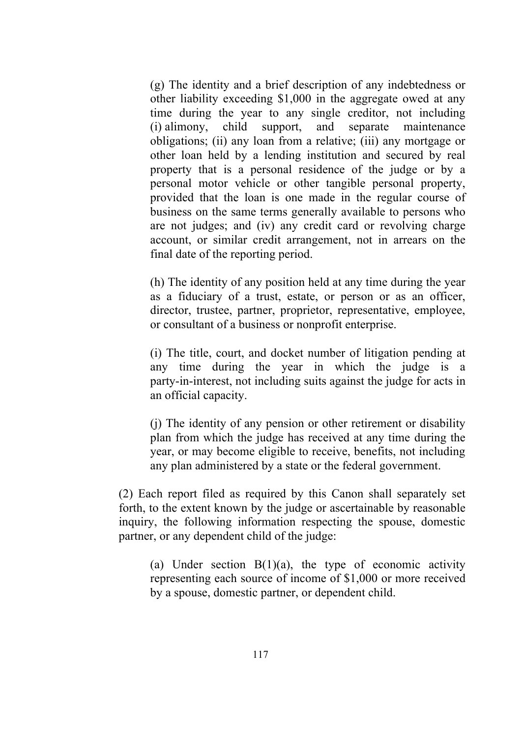(g) The identity and a brief description of any indebtedness or other liability exceeding \$1,000 in the aggregate owed at any time during the year to any single creditor, not including (i) alimony, child support, and separate maintenance obligations; (ii) any loan from a relative; (iii) any mortgage or other loan held by a lending institution and secured by real property that is a personal residence of the judge or by a personal motor vehicle or other tangible personal property, provided that the loan is one made in the regular course of business on the same terms generally available to persons who are not judges; and (iv) any credit card or revolving charge account, or similar credit arrangement, not in arrears on the final date of the reporting period.

(h) The identity of any position held at any time during the year as a fiduciary of a trust, estate, or person or as an officer, director, trustee, partner, proprietor, representative, employee, or consultant of a business or nonprofit enterprise.

(i) The title, court, and docket number of litigation pending at any time during the year in which the judge is a party-in-interest, not including suits against the judge for acts in an official capacity.

(j) The identity of any pension or other retirement or disability plan from which the judge has received at any time during the year, or may become eligible to receive, benefits, not including any plan administered by a state or the federal government.

(2) Each report filed as required by this Canon shall separately set forth, to the extent known by the judge or ascertainable by reasonable inquiry, the following information respecting the spouse, domestic partner, or any dependent child of the judge:

(a) Under section  $B(1)(a)$ , the type of economic activity representing each source of income of \$1,000 or more received by a spouse, domestic partner, or dependent child.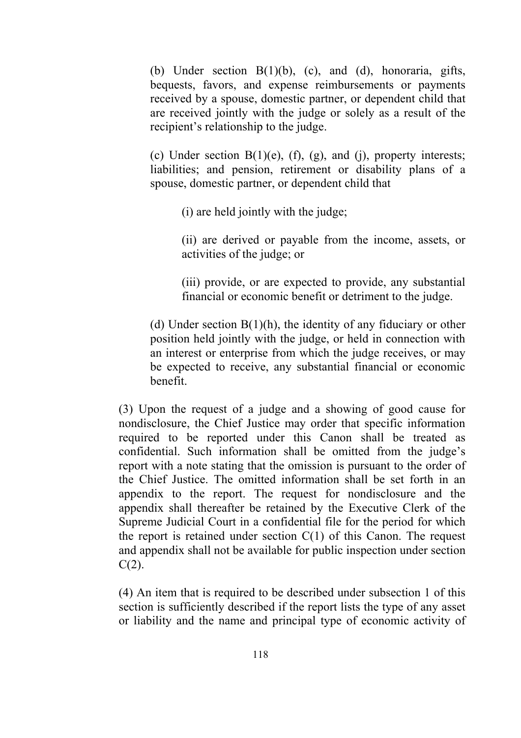(b) Under section  $B(1)(b)$ , (c), and (d), honoraria, gifts, bequests, favors, and expense reimbursements or payments received by a spouse, domestic partner, or dependent child that are received jointly with the judge or solely as a result of the recipient's relationship to the judge.

(c) Under section  $B(1)(e)$ ,  $(f)$ ,  $(g)$ , and  $(j)$ , property interests; liabilities; and pension, retirement or disability plans of a spouse, domestic partner, or dependent child that

(i) are held jointly with the judge;

(ii) are derived or payable from the income, assets, or activities of the judge; or

(iii) provide, or are expected to provide, any substantial financial or economic benefit or detriment to the judge.

(d) Under section B(1)(h), the identity of any fiduciary or other position held jointly with the judge, or held in connection with an interest or enterprise from which the judge receives, or may be expected to receive, any substantial financial or economic benefit.

(3) Upon the request of a judge and a showing of good cause for nondisclosure, the Chief Justice may order that specific information required to be reported under this Canon shall be treated as confidential. Such information shall be omitted from the judge's report with a note stating that the omission is pursuant to the order of the Chief Justice. The omitted information shall be set forth in an appendix to the report. The request for nondisclosure and the appendix shall thereafter be retained by the Executive Clerk of the Supreme Judicial Court in a confidential file for the period for which the report is retained under section C(1) of this Canon. The request and appendix shall not be available for public inspection under section  $C(2)$ .

(4) An item that is required to be described under subsection 1 of this section is sufficiently described if the report lists the type of any asset or liability and the name and principal type of economic activity of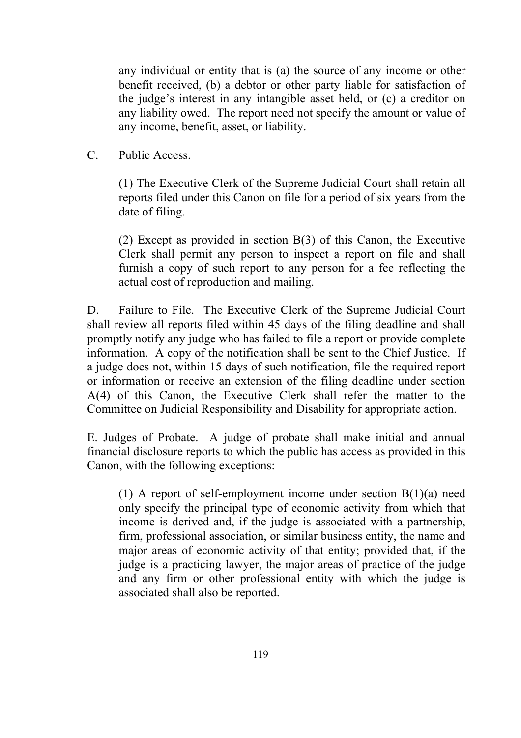any individual or entity that is (a) the source of any income or other benefit received, (b) a debtor or other party liable for satisfaction of the judge's interest in any intangible asset held, or (c) a creditor on any liability owed. The report need not specify the amount or value of any income, benefit, asset, or liability.

C. Public Access.

(1) The Executive Clerk of the Supreme Judicial Court shall retain all reports filed under this Canon on file for a period of six years from the date of filing.

(2) Except as provided in section B(3) of this Canon, the Executive Clerk shall permit any person to inspect a report on file and shall furnish a copy of such report to any person for a fee reflecting the actual cost of reproduction and mailing.

D. Failure to File. The Executive Clerk of the Supreme Judicial Court shall review all reports filed within 45 days of the filing deadline and shall promptly notify any judge who has failed to file a report or provide complete information. A copy of the notification shall be sent to the Chief Justice. If a judge does not, within 15 days of such notification, file the required report or information or receive an extension of the filing deadline under section A(4) of this Canon, the Executive Clerk shall refer the matter to the Committee on Judicial Responsibility and Disability for appropriate action.

E. Judges of Probate. A judge of probate shall make initial and annual financial disclosure reports to which the public has access as provided in this Canon, with the following exceptions:

(1) A report of self-employment income under section B(1)(a) need only specify the principal type of economic activity from which that income is derived and, if the judge is associated with a partnership, firm, professional association, or similar business entity, the name and major areas of economic activity of that entity; provided that, if the judge is a practicing lawyer, the major areas of practice of the judge and any firm or other professional entity with which the judge is associated shall also be reported.